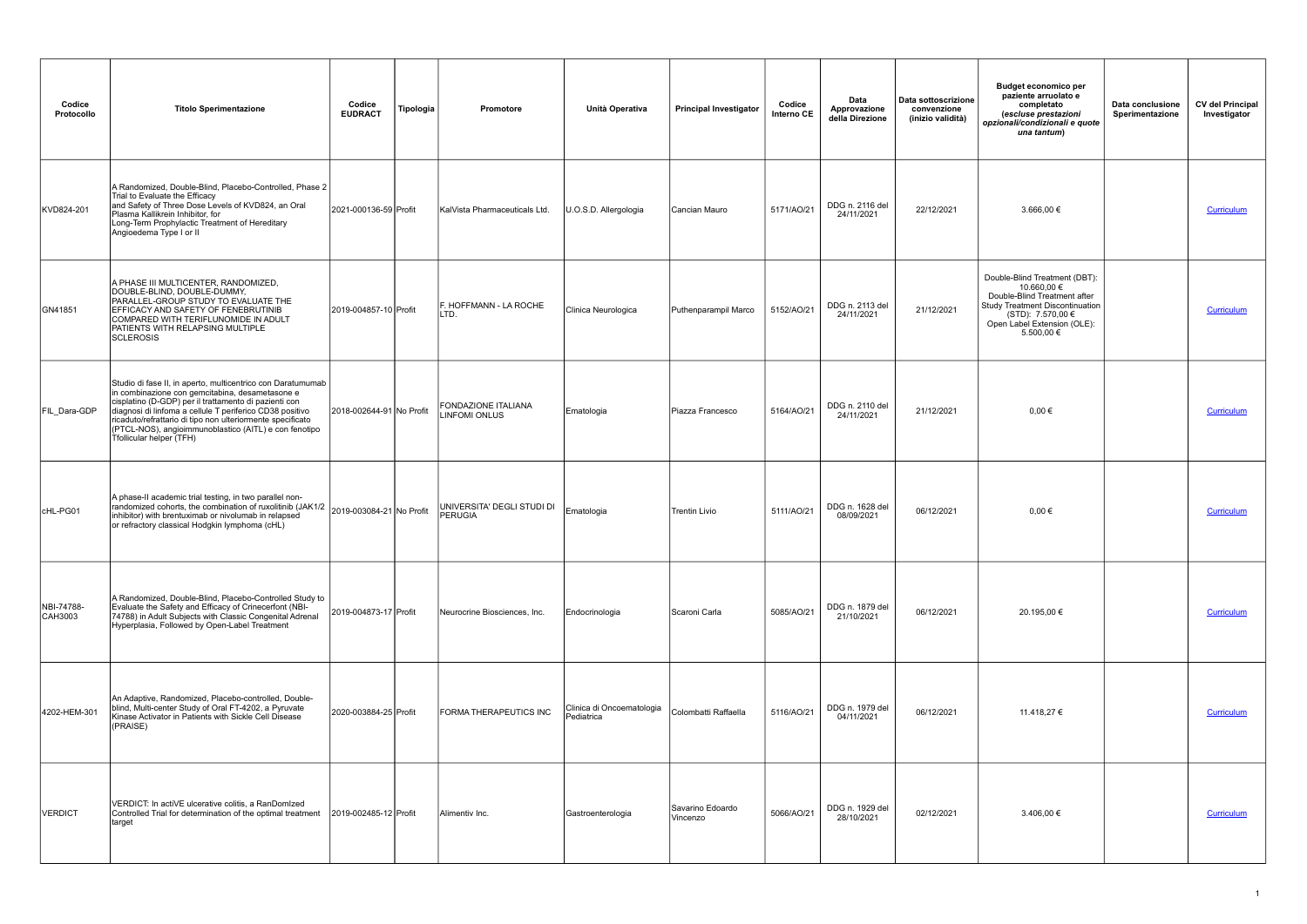| Codice<br>Protocollo  | <b>Titolo Sperimentazione</b>                                                                                                                                                                                                                                                                                                                                                          | Codice<br><b>EUDRACT</b> | Tipologia | Promotore                                   | Unità Operativa                         | <b>Principal Investigator</b> | Codice<br>Interno CE | Data<br>Approvazione<br>della Direzione | Data sottoscrizione<br>convenzione<br>(inizio validità) | Budget economico per<br>paziente arruolato e<br>completato<br>(escluse prestazioni<br>opzionali/condizionali e quote<br>una tantum)                                               | Data conclusione<br>Sperimentazione | <b>CV del Principal</b><br>Investigator |
|-----------------------|----------------------------------------------------------------------------------------------------------------------------------------------------------------------------------------------------------------------------------------------------------------------------------------------------------------------------------------------------------------------------------------|--------------------------|-----------|---------------------------------------------|-----------------------------------------|-------------------------------|----------------------|-----------------------------------------|---------------------------------------------------------|-----------------------------------------------------------------------------------------------------------------------------------------------------------------------------------|-------------------------------------|-----------------------------------------|
| KVD824-201            | A Randomized, Double-Blind, Placebo-Controlled, Phase 2<br>Trial to Evaluate the Efficacy<br>and Safety of Three Dose Levels of KVD824, an Oral<br>Plasma Kallikrein Inhibitor, for<br>Long-Term Prophylactic Treatment of Hereditary<br>Angioedema Type I or II                                                                                                                       | 2021-000136-59 Profit    |           | KalVista Pharmaceuticals Ltd.               | U.O.S.D. Allergologia                   | ICancian Mauro                | 5171/AO/21           | DDG n. 2116 del<br>24/11/2021           | 22/12/2021                                              | $3.666,00 \in$                                                                                                                                                                    |                                     | Curriculum                              |
| GN41851               | A PHASE III MULTICENTER, RANDOMIZED,<br>DOUBLE-BLIND, DOUBLE-DUMMY,<br>PARALLEL-GROUP STUDY TO EVALUATE THE<br>EFFICACY AND SAFETY OF FENEBRUTINIB<br>COMPARED WITH TERIFLUNOMIDE IN ADULT<br>PATIENTS WITH RELAPSING MULTIPLE<br><b>SCLEROSIS</b>                                                                                                                                     | 2019-004857-10 Profit    |           | F. HOFFMANN - LA ROCHE<br>LTD.              | Clinica Neurologica                     | Puthenparampil Marco          | 5152/AO/21           | DDG n. 2113 del<br>24/11/2021           | 21/12/2021                                              | Double-Blind Treatment (DBT):<br>10.660,00 €<br>Double-Blind Treatment after<br>Study Treatment Discontinuation<br>(STD): 7.570,00 €<br>Open Label Extension (OLE):<br>5.500,00 € |                                     | Curriculum                              |
| FIL_Dara-GDP          | Studio di fase II, in aperto, multicentrico con Daratumumab<br>in combinazione con gemcitabina, desametasone e<br>cisplatino (D-GDP) per il trattamento di pazienti con<br>diagnosi di linfoma a cellule T periferico CD38 positivo<br>ricaduto/refrattario di tipo non ulteriormente specificato<br>(PTCL-NOS), angioimmunoblastico (AITL) e con fenotipo<br>Tfollicular helper (TFH) | 2018-002644-91 No Profit |           | FONDAZIONE ITALIANA<br><b>LINFOMI ONLUS</b> | Ematologia                              | Piazza Francesco              | 5164/AO/21           | DDG n. 2110 del<br>24/11/2021           | 21/12/2021                                              | $0,00 \in$                                                                                                                                                                        |                                     | <b>Curriculum</b>                       |
| CHL-PG01              | A phase-II academic trial testing, in two parallel non-<br>randomized cohorts, the combination of ruxolitinib (JAK1/2 2019-003084-21 No Profit<br>inhibitor) with brentuximab or nivolumab in relapsed<br>or refractory classical Hodgkin lymphoma (cHL)                                                                                                                               |                          |           | UNIVERSITA' DEGLI STUDI DI<br>PERUGIA       | Ematologia                              | <b>Trentin Livio</b>          | 5111/AO/21           | DDG n. 1628 del<br>08/09/2021           | 06/12/2021                                              | $0.00 \in$                                                                                                                                                                        |                                     | Curriculum                              |
| NBI-74788-<br>CAH3003 | A Randomized, Double-Blind, Placebo-Controlled Study to<br>Evaluate the Safety and Efficacy of Crinecerfont (NBI-<br>74788) in Adult Subjects with Classic Congenital Adrenal<br>Hyperplasia, Followed by Open-Label Treatment                                                                                                                                                         | 2019-004873-17 Profit    |           | Neurocrine Biosciences, Inc.                | Endocrinologia                          | Scaroni Carla                 | 5085/AO/21           | DDG n. 1879 del<br>21/10/2021           | 06/12/2021                                              | 20.195,00 €                                                                                                                                                                       |                                     | Curriculum                              |
| 4202-HEM-301          | An Adaptive, Randomized, Placebo-controlled, Double-<br>blind, Multi-center Study of Oral FT-4202, a Pyruvate<br>Kinase Activator in Patients with Sickle Cell Disease<br>(PRAISE)                                                                                                                                                                                                     | 2020-003884-25 Profit    |           | FORMA THERAPEUTICS INC                      | Clinica di Oncoematologia<br>Pediatrica | Colombatti Raffaella          | 5116/AO/21           | DDG n. 1979 del<br>04/11/2021           | 06/12/2021                                              | 11.418,27 €                                                                                                                                                                       |                                     | <b>Curriculum</b>                       |
| <b>VERDICT</b>        | VERDICT: In actiVE ulcerative colitis, a RanDomIzed<br>Controlled Trial for determination of the optimal treatment<br> target                                                                                                                                                                                                                                                          | 2019-002485-12 Profit    |           | Alimentiv Inc.                              | Gastroenterologia                       | Savarino Edoardo<br>Vincenzo  | 5066/AO/21           | DDG n. 1929 del<br>28/10/2021           | 02/12/2021                                              | 3.406,00 €                                                                                                                                                                        |                                     | Curriculum                              |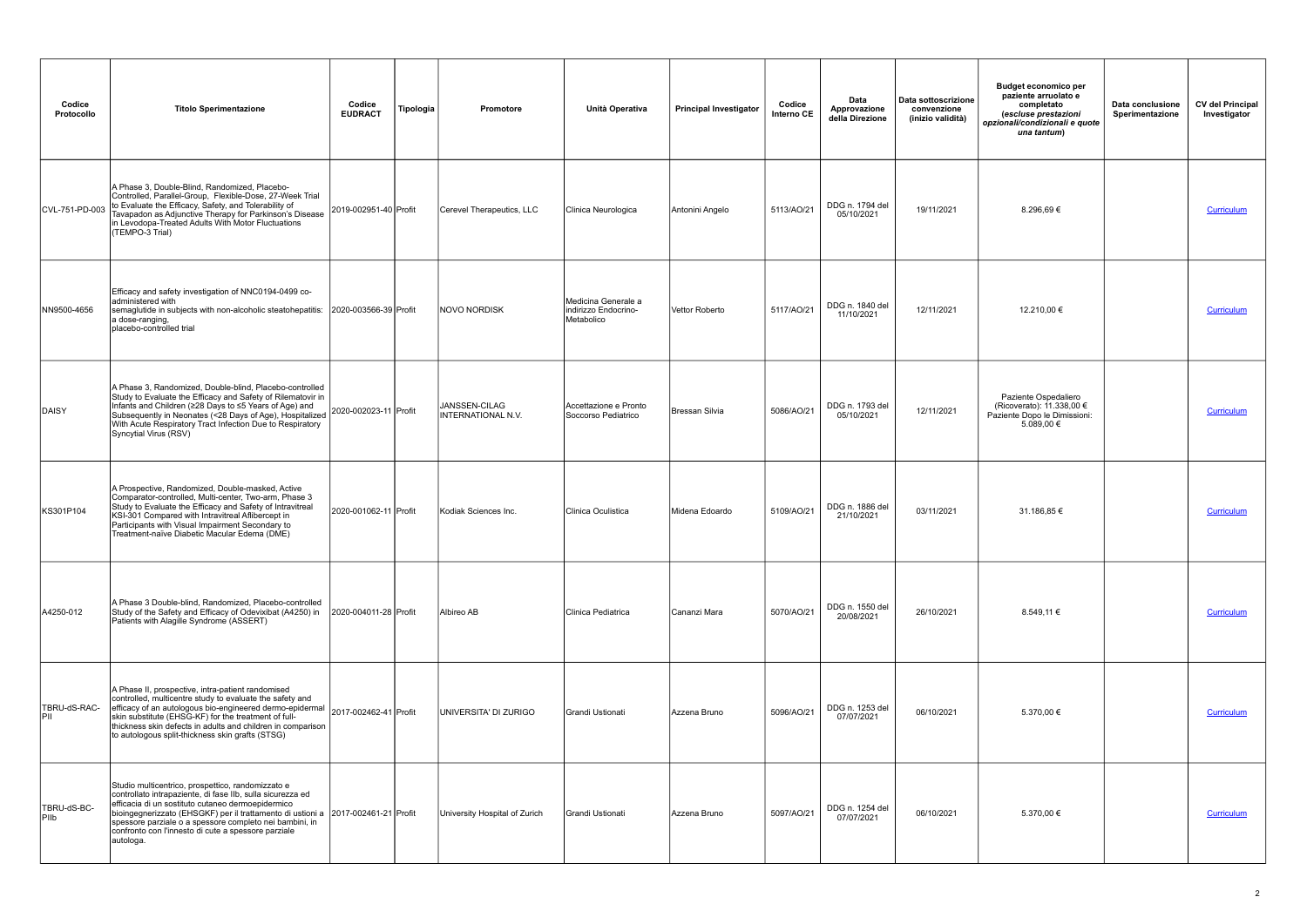| Codice<br>Protocollo       | <b>Titolo Sperimentazione</b>                                                                                                                                                                                                                                                                                                                                                                                                  | Codice<br><b>EUDRACT</b> | Tipologia | <b>Promotore</b>                     | Unità Operativa                                           | <b>Principal Investigator</b> | Codice<br>Interno CE | Data<br>Approvazione<br>della Direzione | Data sottoscrizione<br>convenzione<br>(inizio validità) | <b>Budget economico per</b><br>paziente arruolato e<br>completato<br>(escluse prestazioni<br>opzionali/condizionali e quote<br>una tantum) | Data conclusione<br>Sperimentazione | <b>CV del Principal</b><br>Investigator |
|----------------------------|--------------------------------------------------------------------------------------------------------------------------------------------------------------------------------------------------------------------------------------------------------------------------------------------------------------------------------------------------------------------------------------------------------------------------------|--------------------------|-----------|--------------------------------------|-----------------------------------------------------------|-------------------------------|----------------------|-----------------------------------------|---------------------------------------------------------|--------------------------------------------------------------------------------------------------------------------------------------------|-------------------------------------|-----------------------------------------|
| CVL-751-PD-003             | A Phase 3, Double-Blind, Randomized, Placebo-<br>Controlled, Parallel-Group, Flexible-Dose, 27-Week Trial<br>to Evaluate the Efficacy, Safety, and Tolerability of<br>Tavapadon as Adjunctive Therapy for Parkinson's Disease<br>in Levodopa-Treated Adults With Motor Fluctuations<br>(TEMPO-3 Trial)                                                                                                                         | 2019-002951-40 Profit    |           | Cerevel Therapeutics, LLC            | Clinica Neurologica                                       | Antonini Angelo               | 5113/AO/21           | DDG n. 1794 del<br>05/10/2021           | 19/11/2021                                              | 8.296,69€                                                                                                                                  |                                     | Curriculum                              |
| NN9500-4656                | Efficacy and safety investigation of NNC0194-0499 co-<br>administered with<br>semaglutide in subjects with non-alcoholic steatohepatitis:<br>a dose-ranging,<br>placebo-controlled trial                                                                                                                                                                                                                                       | 2020-003566-39 Profit    |           | INOVO NORDISK                        | Medicina Generale a<br>indirizzo Endocrino-<br>Metabolico | Vettor Roberto                | 5117/AO/21           | DDG n. 1840 del<br>11/10/2021           | 12/11/2021                                              | 12.210,00 €                                                                                                                                |                                     | Curriculum                              |
| DAISY                      | A Phase 3, Randomized, Double-blind, Placebo-controlled<br>Study to Evaluate the Efficacy and Safety of Rilematovir in<br>Infants and Children (≥28 Days to ≤5 Years of Age) and<br>Subsequently in Neonates (<28 Days of Age), Hospitalized 2020-002023-11 Profit<br>With Acute Description of Age), Hospitalized 2020-002023-11 Profit<br>With Acute Respiratory Tract Infection Due to Respiratory<br>Syncytial Virus (RSV) |                          |           | JANSSEN-CILAG<br>IINTERNATIONAL N.V. | Accettazione e Pronto<br>Soccorso Pediatrico              | Bressan Silvia                | 5086/AO/21           | DDG n. 1793 del<br>05/10/2021           | 12/11/2021                                              | Paziente Ospedaliero<br>(Ricoverato): 11.338,00 €<br>Paziente Dopo le Dimissioni:<br>5.089,00 €                                            |                                     | Curriculum                              |
| KS301P104                  | A Prospective, Randomized, Double-masked, Active<br>Comparator-controlled, Multi-center, Two-arm, Phase 3<br>Study to Evaluate the Efficacy and Safety of Intravitreal<br>KSI-301 Compared with Intravitreal Aflibercept in<br>Participants with Visual Impairment Secondary to<br>Treatment-naïve Diabetic Macular Edema (DME)                                                                                                | 2020-001062-11 Profit    |           | Kodiak Sciences Inc.                 | Clinica Oculistica                                        | Midena Edoardo                | 5109/AO/21           | DDG n. 1886 del<br>21/10/2021           | 03/11/2021                                              | 31.186,85 €                                                                                                                                |                                     | <b>Curriculum</b>                       |
| A4250-012                  | A Phase 3 Double-blind, Randomized, Placebo-controlled<br>Study of the Safety and Efficacy of Odevixibat (A4250) in<br>Patients with Alagille Syndrome (ASSERT)                                                                                                                                                                                                                                                                | 2020-004011-28 Profit    |           | Albireo AB                           | Clinica Pediatrica                                        | Cananzi Mara                  | 5070/AO/21           | DDG n. 1550 del<br>20/08/2021           | 26/10/2021                                              | 8.549,11 €                                                                                                                                 |                                     | <b>Curriculum</b>                       |
| TBRU-dS-RAC-<br>IPII       | A Phase II, prospective, intra-patient randomised<br>controlled, multicentre study to evaluate the safety and<br>efficacy of an autologous bio-engineeried dermo-epidermal 2017-002462-41 Profit<br>skin substitute (EHSG-KF) for the treatment of full-<br>thickness skin defects in adults and children in comparison<br>to autologous split-thickness skin grafts (STSG)                                                    |                          |           | UNIVERSITA' DI ZURIGO                | Grandi Ustionati                                          | Azzena Bruno                  | 5096/AO/21           | DDG n. 1253 del<br>07/07/2021           | 06/10/2021                                              | 5.370,00 €                                                                                                                                 |                                     | <b>Curriculum</b>                       |
| TBRU-dS-BC-<br><b>PIID</b> | Studio multicentrico, prospettico, randomizzato e<br>controllato intrapaziente, di fase IIb, sulla sicurezza ed<br>efficacia di un sostituto cutaneo dermoepidermico<br>bioingegnerizzato (EHSGKF) per il trattamento di ustioni a   2017-002461-21 Profit<br>spessore parziale o a spessore completo nei bambini, in<br>confronto con l'innesto di cute a spessore parziale<br>autologa.                                      |                          |           | University Hospital of Zurich        | Grandi Ustionati                                          | Azzena Bruno                  | 5097/AO/21           | DDG n. 1254 del<br>07/07/2021           | 06/10/2021                                              | 5.370,00 €                                                                                                                                 |                                     | Curriculum                              |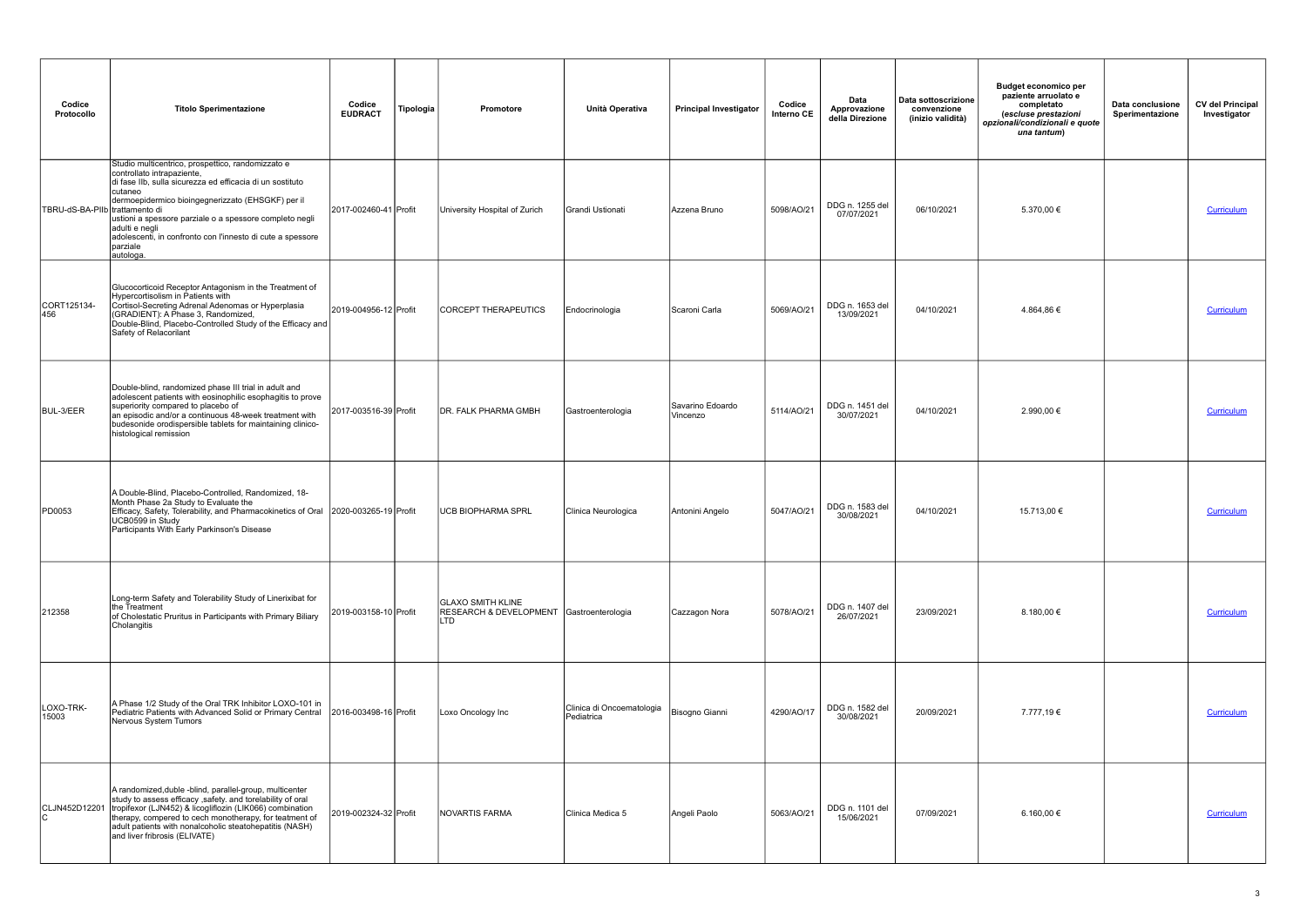| Codice<br>Protocollo           | <b>Titolo Sperimentazione</b>                                                                                                                                                                                                                                                                                                                                                     | Codice<br><b>EUDRACT</b> | Tipologia | Promotore                                                                   | Unità Operativa                         | <b>Principal Investigator</b> | Codice<br>Interno CE | Data<br>Approvazione<br>della Direzione | Data sottoscrizione<br>convenzione<br>(inizio validità) | <b>Budget economico per</b><br>paziente arruolato e<br>completato<br>(escluse prestazioni<br>opzionali/condizionali e quote<br>una tantum) | Data conclusione<br>Sperimentazione | <b>CV del Principal</b><br>Investigator |
|--------------------------------|-----------------------------------------------------------------------------------------------------------------------------------------------------------------------------------------------------------------------------------------------------------------------------------------------------------------------------------------------------------------------------------|--------------------------|-----------|-----------------------------------------------------------------------------|-----------------------------------------|-------------------------------|----------------------|-----------------------------------------|---------------------------------------------------------|--------------------------------------------------------------------------------------------------------------------------------------------|-------------------------------------|-----------------------------------------|
| TBRU-dS-BA-PIIb trattamento di | Studio multicentrico, prospettico, randomizzato e<br>controllato intrapaziente,<br>di fase IIb, sulla sicurezza ed efficacia di un sostituto<br> cutaneo<br>dermoepidermico bioingegnerizzato (EHSGKF) per il<br>ustioni a spessore parziale o a spessore completo negli<br>adulti e negli<br>adolescenti, in confronto con l'innesto di cute a spessore<br>parziale<br>autologa. | 2017-002460-41 Profit    |           | University Hospital of Zurich                                               | Grandi Ustionati                        | Azzena Bruno                  | 5098/AO/21           | DDG n. 1255 del<br>07/07/2021           | 06/10/2021                                              | 5.370,00 €                                                                                                                                 |                                     | Curriculum                              |
| CORT125134-<br>456             | Glucocorticoid Receptor Antagonism in the Treatment of<br>Hypercortisolism in Patients with<br>Cortisol-Secreting Adrenal Adenomas or Hyperplasia<br>(GRADIENT): A Phase 3, Randomized,<br>Double-Blind, Placebo-Controlled Study of the Efficacy and<br>Safety of Relacorilant                                                                                                   | 2019-004956-12 Profit    |           | CORCEPT THERAPEUTICS                                                        | Endocrinologia                          | Scaroni Carla                 | 5069/AO/21           | DDG n. 1653 del<br>13/09/2021           | 04/10/2021                                              | 4.864,86€                                                                                                                                  |                                     | Curriculum                              |
| BUL-3/EER                      | Double-blind, randomized phase III trial in adult and<br>adolescent patients with eosinophilic esophagitis to prove<br>superiority compared to placebo of<br>an episodic and/or a continuous 48-week treatment with<br>budesonide orodispersible tablets for maintaining clinico-<br>histological remission                                                                       | 2017-003516-39 Profit    |           | <b>DR. FALK PHARMA GMBH</b>                                                 | Gastroenterologia                       | Savarino Edoardo<br>Vincenzo  | 5114/AO/21           | DDG n. 1451 del<br>30/07/2021           | 04/10/2021                                              | 2.990,00 €                                                                                                                                 |                                     | Curriculum                              |
| PD0053                         | A Double-Blind, Placebo-Controlled, Randomized, 18-<br>Month Phase 2a Study to Evaluate the<br>Efficacy, Safety, Tolerability, and Pharmacokinetics of Oral 2020-003265-19 Profit<br>UCB0599 in Study<br>Participants With Early Parkinson's Disease                                                                                                                              |                          |           | UCB BIOPHARMA SPRL                                                          | Clinica Neurologica                     | Antonini Angelo               | 5047/AO/21           | DDG n. 1583 del<br>30/08/2021           | 04/10/2021                                              | 15.713,00 €                                                                                                                                |                                     | Curriculum                              |
| 212358                         | Long-term Safety and Tolerability Study of Linerixibat for<br>the Treatment<br>of Cholestatic Pruritus in Participants with Primary Biliary<br>Cholangitis                                                                                                                                                                                                                        | 2019-003158-10 Profit    |           | GLAXO SMITH KLINE<br>RESEARCH & DEVELOPMENT Gastroenterologia<br><b>LTD</b> |                                         | Cazzagon Nora                 | 5078/AO/21           | DDG n. 1407 del<br>26/07/2021           | 23/09/2021                                              | 8.180,00 $\epsilon$                                                                                                                        |                                     | Curriculum                              |
| LOXO-TRK-<br>15003             | A Phase 1/2 Study of the Oral TRK Inhibitor LOXO-101 in<br>Pediatric Patients with Advanced Solid or Primary Central<br>Nervous System Tumors                                                                                                                                                                                                                                     | 2016-003498-16 Profit    |           | Loxo Oncology Inc                                                           | Clinica di Oncoematologia<br>Pediatrica | Bisogno Gianni                | 4290/AO/17           | DDG n. 1582 del<br>30/08/2021           | 20/09/2021                                              | 7.777,19€                                                                                                                                  |                                     | Curriculum                              |
| CLJN452D12201                  | A randomized, duble -blind, parallel-group, multicenter<br>study to assess efficacy , safety. and torelability of oral<br>tropifexor (LJN452) & licogliflozin (LIK066) combination<br>therapy, compered to cech monotherapy, for teatment of<br>adult patients with nonalcoholic steatohepatitis (NASH)<br>and liver fribrosis (ELIVATE)                                          | 2019-002324-32 Profit    |           | NOVARTIS FARMA                                                              | Clinica Medica 5                        | Angeli Paolo                  | 5063/AO/21           | DDG n. 1101 del<br>15/06/2021           | 07/09/2021                                              | 6.160,00 €                                                                                                                                 |                                     | Curriculum                              |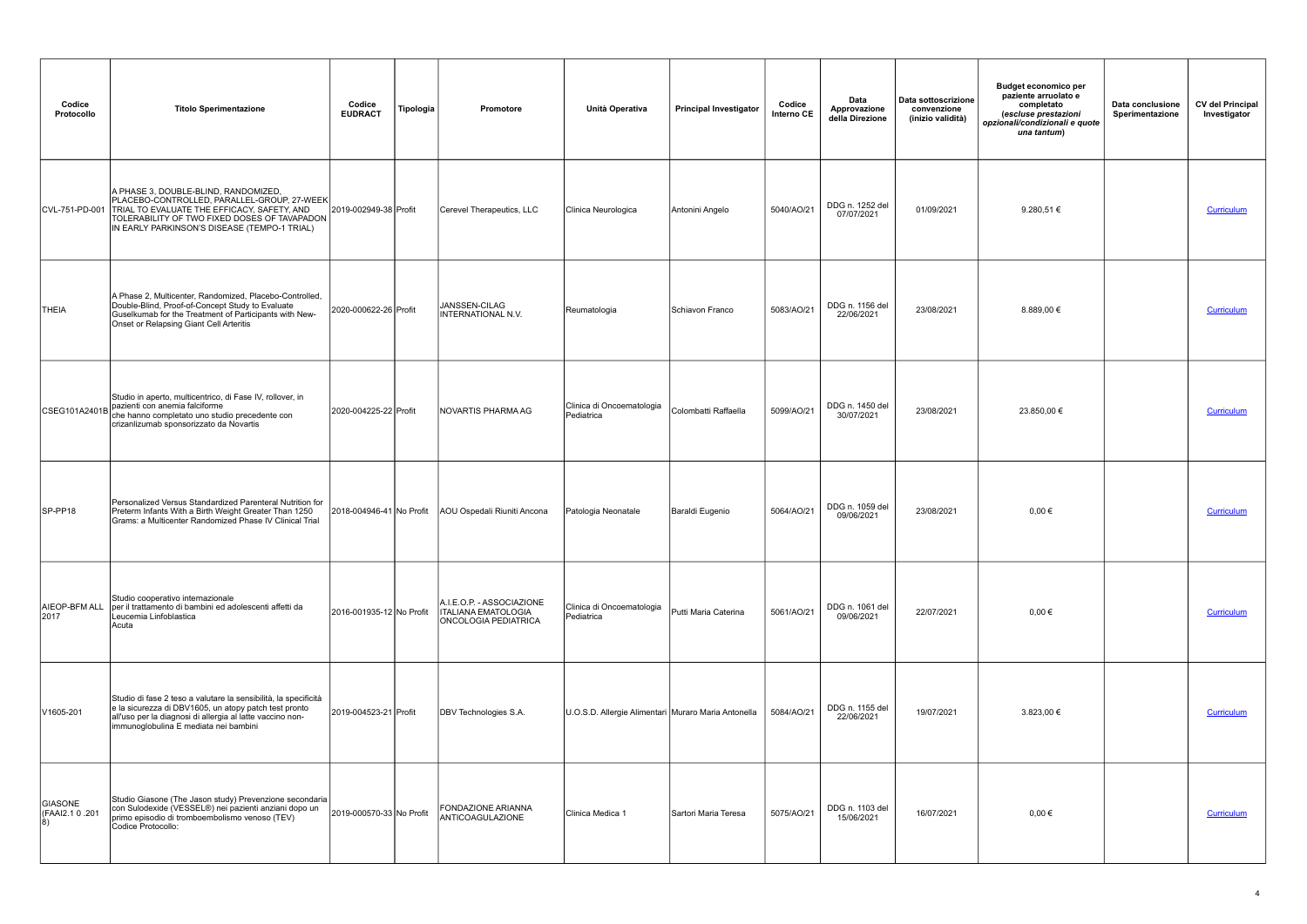| Codice<br>Protocollo             | <b>Titolo Sperimentazione</b>                                                                                                                                                                                                      | Codice<br><b>EUDRACT</b> | Tipologia | Promotore                                                                              | Unità Operativa                                     | <b>Principal Investigator</b> | Codice<br>Interno CE | Data<br>Approvazione<br>della Direzione | Data sottoscrizione<br>convenzione<br>(inizio validità) | <b>Budget economico per</b><br>paziente arruolato e<br>completato<br>(escluse prestazioni<br>opzionali/condizionali e quote<br>una tantum) | Data conclusione<br>Sperimentazione | <b>CV del Principal</b><br>Investigator |
|----------------------------------|------------------------------------------------------------------------------------------------------------------------------------------------------------------------------------------------------------------------------------|--------------------------|-----------|----------------------------------------------------------------------------------------|-----------------------------------------------------|-------------------------------|----------------------|-----------------------------------------|---------------------------------------------------------|--------------------------------------------------------------------------------------------------------------------------------------------|-------------------------------------|-----------------------------------------|
| CVL-751-PD-001                   | A PHASE 3, DOUBLE-BLIND, RANDOMIZED,<br>PLACEBO-CONTROLLED, PARALLEL-GROUP, 27-WEEK<br>TRIAL TO EVALUATE THE EFFICACY, SAFETY, AND<br>TOLERABILITY OF TWO FIXED DOSES OF TAVAPADON<br>IN EARLY PARKINSON'S DISEASE (TEMPO-1 TRIAL) | 2019-002949-38 Profit    |           | Cerevel Therapeutics, LLC                                                              | Clinica Neurologica                                 | Antonini Angelo               | 5040/AO/21           | DDG n. 1252 del<br>07/07/2021           | 01/09/2021                                              | 9.280,51 $\in$                                                                                                                             |                                     | Curriculum                              |
| <b>THEIA</b>                     | A Phase 2, Multicenter, Randomized, Placebo-Controlled,<br>Double-Blind, Proof-of-Concept Study to Evaluate<br>Guselkumab for the Treatment of Participants with New-<br>Onset or Relapsing Giant Cell Arteritis                   | 2020-000622-26 Profit    |           | JANSSEN-CILAG<br><b>INTERNATIONAL N.V.</b>                                             | Reumatologia                                        | Schiavon Franco               | 5083/AO/21           | DDG n. 1156 del<br>22/06/2021           | 23/08/2021                                              | 8.889,00 €                                                                                                                                 |                                     | Curriculum                              |
| CSEG101A2401B                    | Studio in aperto, multicentrico, di Fase IV, rollover, in<br>pazienti con anemia falciforme<br>che hanno completato uno studio precedente con<br>crizanlizumab sponsorizzato da Novartis                                           | 2020-004225-22 Profit    |           | INOVARTIS PHARMA AG                                                                    | Clinica di Oncoematologia<br>Pediatrica             | Colombatti Raffaella          | 5099/AO/21           | DDG n. 1450 del<br>30/07/2021           | 23/08/2021                                              | 23.850,00 €                                                                                                                                |                                     | Curriculum                              |
| $SP-PP18$                        | Personalized Versus Standardized Parenteral Nutrition for<br>Preterm Infants With a Birth Weight Greater Than 1250<br>Grams: a Multicenter Randomized Phase IV Clinical Trial                                                      | 2018-004946-41 No Profit |           | AOU Ospedali Riuniti Ancona                                                            | Patologia Neonatale                                 | Baraldi Eugenio               | 5064/AO/21           | DDG n. 1059 del<br>09/06/2021           | 23/08/2021                                              | $0.00 \in$                                                                                                                                 |                                     | Curriculum                              |
| AIEOP-BFM ALL<br>2017            | Studio cooperativo internazionale<br>per il trattamento di bambini ed adolescenti affetti da<br>Leucemia Linfoblastica<br>Acuta                                                                                                    | 2016-001935-12 No Profit |           | A.I.E.O.P. - ASSOCIAZIONE<br><b>ITALIANA EMATOLOGIA</b><br><b>ONCOLOGIA PEDIATRICA</b> | Clinica di Oncoematologia<br>Pediatrica             | Putti Maria Caterina          | 5061/AO/21           | DDG n. 1061 del<br>09/06/2021           | 22/07/2021                                              | $0,00 \in$                                                                                                                                 |                                     | Curriculum                              |
| V1605-201                        | Studio di fase 2 teso a valutare la sensibilità, la specificità<br>e la sicurezza di DBV1605, un atopy patch test pronto<br>all'uso per la diagnosi di allergia al latte vaccino non-<br>immunoglobulina E mediata nei bambini     | 2019-004523-21 Profit    |           | DBV Technologies S.A.                                                                  | U.O.S.D. Allergie Alimentari Muraro Maria Antonella |                               | 5084/AO/21           | DDG n. 1155 del<br>22/06/2021           | 19/07/2021                                              | 3.823,00 €                                                                                                                                 |                                     | <b>Curriculum</b>                       |
| GIASONE<br>CFAAI2.1 0.201<br> 8) | Studio Giasone (The Jason study) Prevenzione secondaria<br>con Sulodexide (VESSEL®) nei pazienti anziani dopo un<br>primo episodio di tromboembolismo venoso (TEV)<br>Codice Protocollo:                                           | 2019-000570-33 No Profit |           | FONDAZIONE ARIANNA<br>ANTICOAGULAZIONE                                                 | Clinica Medica 1                                    | Sartori Maria Teresa          | 5075/AO/21           | DDG n. 1103 del<br>15/06/2021           | 16/07/2021                                              | $0,00 \in$                                                                                                                                 |                                     | Curriculum                              |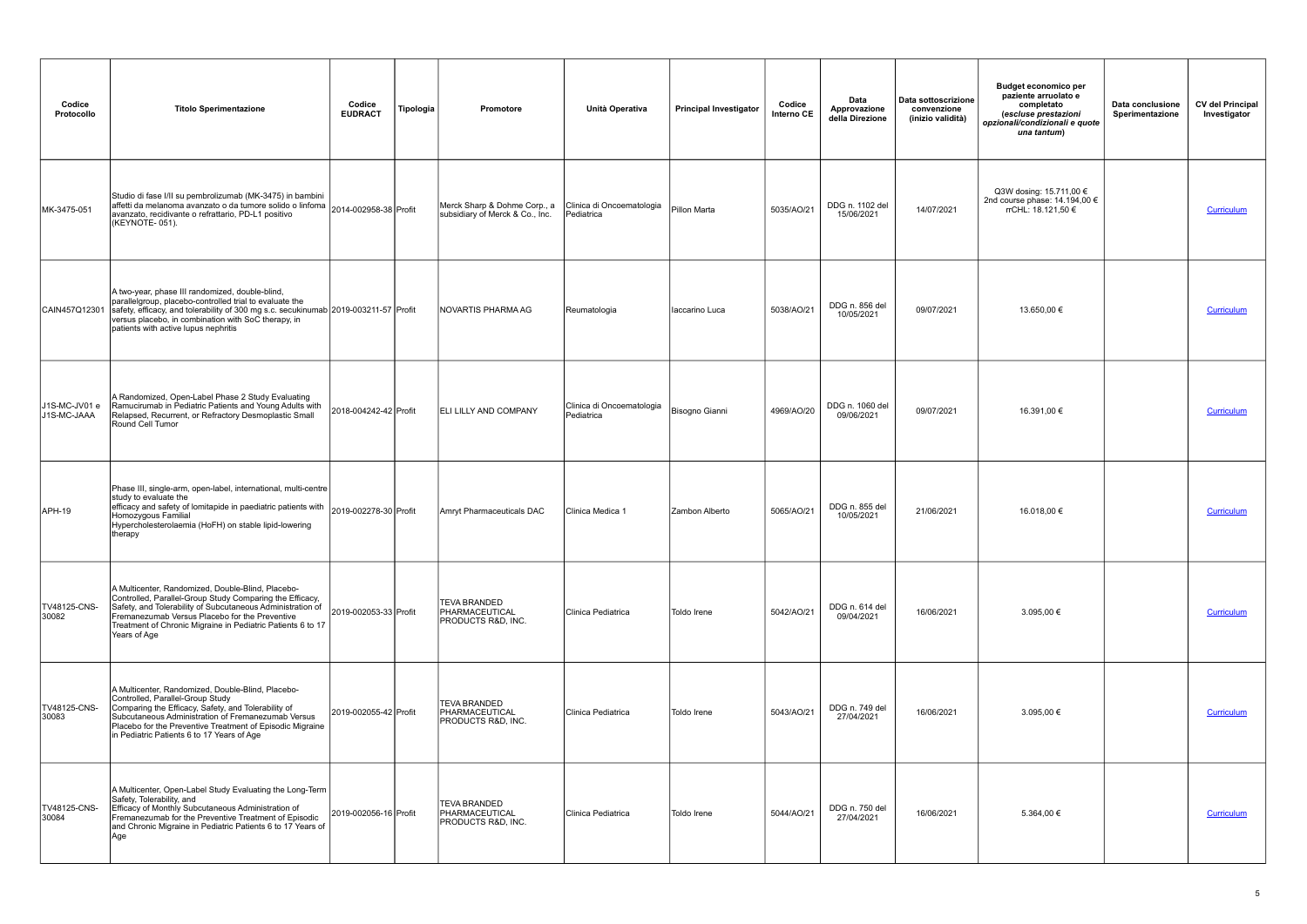| Codice<br>Protocollo         | <b>Titolo Sperimentazione</b>                                                                                                                                                                                                                                                                                 | Codice<br><b>EUDRACT</b> | Tipologia | Promotore                                                              | Unità Operativa                         | <b>Principal Investigator</b> | Codice<br>Interno CE | Data<br>Approvazione<br>della Direzione | Data sottoscrizione<br>convenzione<br>(inizio validità) | <b>Budget economico per</b><br>paziente arruolato e<br>completato<br>(escluse prestazioni<br>opzionali/condizionali e quote<br>una tantum) | Data conclusione<br>Sperimentazione | <b>CV del Principal</b><br>Investigator |
|------------------------------|---------------------------------------------------------------------------------------------------------------------------------------------------------------------------------------------------------------------------------------------------------------------------------------------------------------|--------------------------|-----------|------------------------------------------------------------------------|-----------------------------------------|-------------------------------|----------------------|-----------------------------------------|---------------------------------------------------------|--------------------------------------------------------------------------------------------------------------------------------------------|-------------------------------------|-----------------------------------------|
| MK-3475-051                  | Studio di fase I/II su pembrolizumab (MK-3475) in bambini<br>affetti da melanoma avanzato o da tumore solido o linfoma  <br> affetti da melanoma avanzato o da tumore solido o linfoma    2014-002958-38    Profit<br>avanzato, recidivante o refrattario, PD-L1 positivo<br>(KEYNOTE-051).                   |                          |           | Merck Sharp & Dohme Corp., a<br>subsidiary of Merck & Co., Inc.        | Clinica di Oncoematologia<br>Pediatrica | Pillon Marta                  | 5035/AO/21           | DDG n. 1102 del<br>15/06/2021           | 14/07/2021                                              | Q3W dosing: 15.711,00 €<br>2nd course phase: 14.194,00 €<br>rrCHL: 18.121,50 €                                                             |                                     | Curriculum                              |
| CAIN457Q12301                | A two-year, phase III randomized, double-blind,<br>parallelgroup, placebo-controlled trial to evaluate the<br>safety, efficacy, and tolerability of 300 mg s.c. secukinumab 2019-003211-57 Profit<br>versus placebo, in combination with SoC therapy, in<br>patients with active lupus nephritis              |                          |           | INOVARTIS PHARMA AG                                                    | Reumatologia                            | Iaccarino Luca                | 5038/AO/21           | DDG n. 856 del<br>10/05/2021            | 09/07/2021                                              | 13.650,00 €                                                                                                                                |                                     | Curriculum                              |
| J1S-MC-JV01 e<br>J1S-MC-JAAA | A Randomized, Open-Label Phase 2 Study Evaluating<br>Ramucirumab in Pediatric Patients and Young Adults with<br>Relapsed, Recurrent, or Refractory Desmoplastic Small<br>Round Cell Tumor                                                                                                                     | 2018-004242-42 Profit    |           | <b>IELI LILLY AND COMPANY</b>                                          | Clinica di Oncoematologia<br>Pediatrica | Bisogno Gianni                | 4969/AO/20           | DDG n. 1060 del<br>09/06/2021           | 09/07/2021                                              | 16.391,00 €                                                                                                                                |                                     | Curriculum                              |
| APH-19                       | Phase III, single-arm, open-label, international, multi-centre<br>study to evaluate the<br>efficacy and safety of lomitapide in paediatric patients with 2019-002278-30 Profit<br>Homozygous Familial<br>Hypercholesterolaemia (HoFH) on stable lipid-lowering<br>therapy                                     |                          |           | Amryt Pharmaceuticals DAC                                              | Clinica Medica 1                        | Zambon Alberto                | 5065/AO/21           | DDG n. 855 del<br>10/05/2021            | 21/06/2021                                              | 16.018,00 €                                                                                                                                |                                     | <b>Curriculum</b>                       |
| TV48125-CNS-<br>30082        | A Multicenter, Randomized, Double-Blind, Placebo-<br>Controlled, Parallel-Group Study Comparing the Efficacy,<br>Safety, and Tolerability of Subcutaneous Administration of<br>Fremanezumab Versus Placebo for the Preventive<br>Treatment of Chronic Migraine in Pediatric Patients 6 to 17<br>Years of Age  | 2019-002053-33 Profit    |           | <b>TEVA BRANDED</b><br>PHARMACEUTICAL<br><b>PRODUCTS R&amp;D, INC.</b> | Clinica Pediatrica                      | Toldo Irene                   | 5042/AO/21           | DDG n. 614 del<br>09/04/2021            | 16/06/2021                                              | 3.095,00 €                                                                                                                                 |                                     | Curriculum                              |
| TV48125-CNS-<br>30083        | A Multicenter, Randomized, Double-Blind, Placebo-<br>Controlled, Parallel-Group Study<br>Comparing the Efficacy, Safety, and Tolerability of<br>Subcutaneous Administration of Fremanezumab Versus<br>Placebo for the Preventive Treatment of Episodic Migraine<br>in Pediatric Patients 6 to 17 Years of Age | 2019-002055-42 Profit    |           | <b>TEVA BRANDED</b><br>PHARMACEUTICAL<br><b>PRODUCTS R&amp;D, INC.</b> | Clinica Pediatrica                      | Toldo Irene                   | 5043/AO/21           | DDG n. 749 del<br>27/04/2021            | 16/06/2021                                              | 3.095,00 €                                                                                                                                 |                                     | Curriculum                              |
| TV48125-CNS-<br>30084        | A Multicenter, Open-Label Study Evaluating the Long-Term<br>Safety, Tolerability, and<br>Efficacy of Monthly Subcutaneous Administration of<br>Fremanezumab for the Preventive Treatment of Episodic<br>and Chronic Migraine in Pediatric Patients 6 to 17 Years of<br>Age                                    | 2019-002056-16 Profit    |           | <b>TEVA BRANDED</b><br>PHARMACEUTICAL<br>PRODUCTS R&D, INC.            | Clinica Pediatrica                      | Toldo Irene                   | 5044/AO/21           | DDG n. 750 del<br>27/04/2021            | 16/06/2021                                              | 5.364,00 €                                                                                                                                 |                                     | Curriculum                              |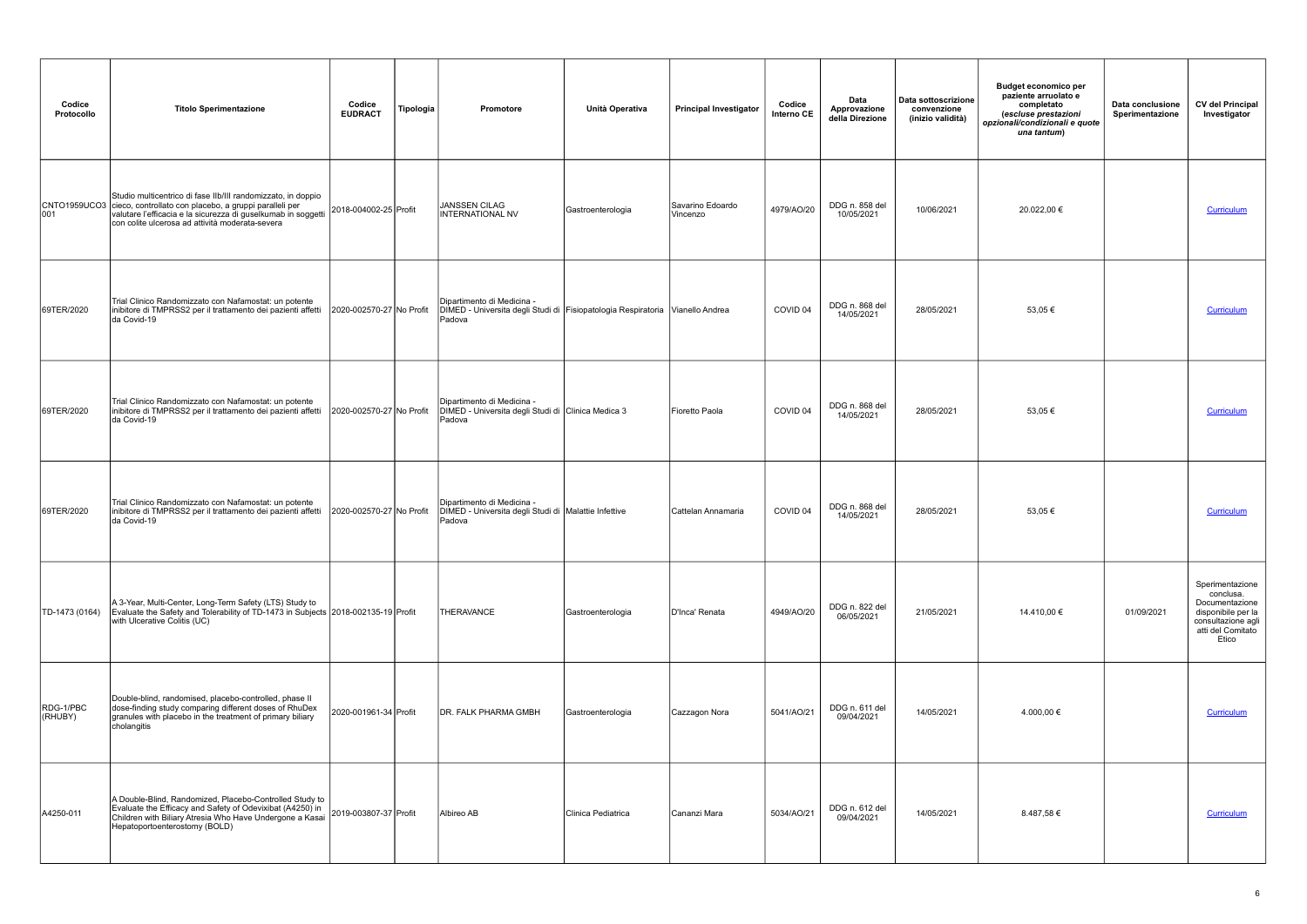| Codice<br>Protocollo | <b>Titolo Sperimentazione</b>                                                                                                                                                                                                                                                     | Codice<br><b>EUDRACT</b> | Tipologia | Promotore                                                                                                             | Unità Operativa    | <b>Principal Investigator</b> | Codice<br>Interno CE | Data<br>Approvazione<br>della Direzione | Data sottoscrizione<br>convenzione<br>(inizio validità) | <b>Budget economico per</b><br>paziente arruolato e<br>completato<br>(escluse prestazioni<br>opzionali/condizionali e quote<br>una tantum) | Data conclusione<br>Sperimentazione | <b>CV del Principal</b><br>Investigator                                                                                  |
|----------------------|-----------------------------------------------------------------------------------------------------------------------------------------------------------------------------------------------------------------------------------------------------------------------------------|--------------------------|-----------|-----------------------------------------------------------------------------------------------------------------------|--------------------|-------------------------------|----------------------|-----------------------------------------|---------------------------------------------------------|--------------------------------------------------------------------------------------------------------------------------------------------|-------------------------------------|--------------------------------------------------------------------------------------------------------------------------|
|                      | Studio multicentrico di fase Ilb/III randomizzato, in doppio<br>CNTO1959UCO3 cieco, controllato con placebo, a gruppi paralleli per<br>001 valutare l'efficacia e la sicurezza di guselkumab in soggetti 2018-004002-25 Profit<br>con colite ulcerosa ad attività moderata-severa |                          |           | JANSSEN CILAG<br><b>INTERNATIONAL NV</b>                                                                              | Gastroenterologia  | Savarino Edoardo<br>Vincenzo  | 4979/AO/20           | DDG n. 858 del<br>10/05/2021            | 10/06/2021                                              | 20.022,00 €                                                                                                                                |                                     | Curriculum                                                                                                               |
| 69TER/2020           | Trial Clinico Randomizzato con Nafamostat: un potente<br>inibitore di TMPRSS2 per il trattamento dei pazienti affetti<br>da Covid-19                                                                                                                                              | 2020-002570-27 No Profit |           | Dipartimento di Medicina -<br>DIMED - Universita degli Studi di Fisiopatologia Respiratoria Vianello Andrea<br>Padova |                    |                               | COVID 04             | DDG n. 868 del<br>14/05/2021            | 28/05/2021                                              | 53,05€                                                                                                                                     |                                     | Curriculum                                                                                                               |
| 69TER/2020           | Trial Clinico Randomizzato con Nafamostat: un potente<br>inibitore di TMPRSS2 per il trattamento dei pazienti affetti<br>da Covid-19                                                                                                                                              | 2020-002570-27 No Profit |           | Dipartimento di Medicina -<br>DIMED - Universita degli Studi di Clinica Medica 3<br>Padova                            |                    | Fioretto Paola                | COVID 04             | DDG n. 868 del<br>14/05/2021            | 28/05/2021                                              | 53,05€                                                                                                                                     |                                     | Curriculum                                                                                                               |
| 69TER/2020           | Trial Clinico Randomizzato con Nafamostat: un potente<br>inibitore di TMPRSS2 per il trattamento dei pazienti affetti<br>da Covid-19                                                                                                                                              | 2020-002570-27 No Profit |           | Dipartimento di Medicina -<br>DIMED - Universita degli Studi di   Malattie Infettive<br>Padova                        |                    | Cattelan Annamaria            | COVID <sub>04</sub>  | DDG n. 868 del<br>14/05/2021            | 28/05/2021                                              | 53,05€                                                                                                                                     |                                     | Curriculum                                                                                                               |
| TD-1473 (0164)       | A 3-Year, Multi-Center, Long-Term Safety (LTS) Study to<br>Evaluate the Safety and Tolerability of TD-1473 in Subjects 2018-002135-19 Profit<br>with Ulcerative Colitis (UC)                                                                                                      |                          |           | THERAVANCE                                                                                                            | Gastroenterologia  | D'Inca' Renata                | 4949/AO/20           | DDG n. 822 del<br>06/05/2021            | 21/05/2021                                              | 14.410,00 €                                                                                                                                | 01/09/2021                          | Sperimentazione<br>conclusa.<br>Documentazione<br>disponibile per la<br>consultazione agli<br>atti del Comitato<br>Etico |
| RDG-1/PBC<br>(RHUBY) | Double-blind, randomised, placebo-controlled, phase II<br>dose-finding study comparing different doses of RhuDex<br>granules with placebo in the treatment of primary biliary<br>cholangitis                                                                                      | 2020-001961-34 Profit    |           | <b>DR. FALK PHARMA GMBH</b>                                                                                           | Gastroenterologia  | Cazzagon Nora                 | 5041/AO/21           | DDG n. 611 del<br>09/04/2021            | 14/05/2021                                              | 4.000,00 €                                                                                                                                 |                                     | <b>Curriculum</b>                                                                                                        |
| A4250-011            | A Double-Blind, Randomized, Placebo-Controlled Study to<br>Evaluate the Efficacy and Safety of Odevixibat (A4250) in<br>Children with Biliary Atresia Who Have Undergone a Kasai<br>Hepatoportoenterostomy (BOLD)                                                                 | 2019-003807-37 Profit    |           | Albireo AB                                                                                                            | Clinica Pediatrica | Cananzi Mara                  | 5034/AO/21           | DDG n. 612 del<br>09/04/2021            | 14/05/2021                                              | 8.487,58€                                                                                                                                  |                                     | Curriculum                                                                                                               |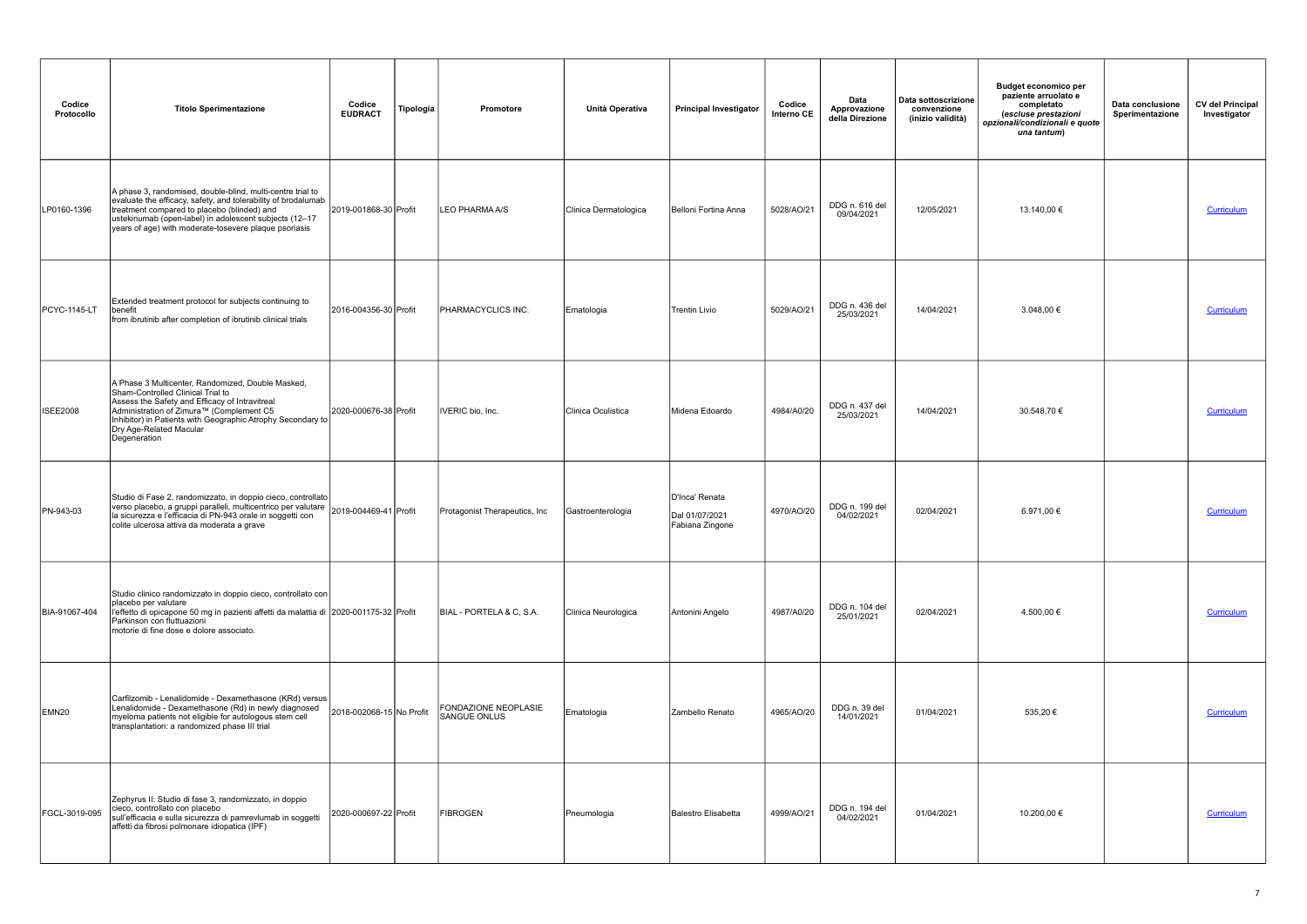| Codice<br>Protocollo | <b>Titolo Sperimentazione</b>                                                                                                                                                                                                                                                                  | Codice<br><b>EUDRACT</b> | Tipologia | Promotore                                          | Unità Operativa       | <b>Principal Investigator</b>                       | Codice<br>Interno CE | Data<br>Approvazione<br>della Direzione | Data sottoscrizione<br>convenzione<br>(inizio validità) | <b>Budget economico per</b><br>paziente arruolato e<br>completato<br>(escluse prestazioni<br>opzionali/condizionali e quote<br>una tantum) | Data conclusione<br>Sperimentazione | <b>CV del Principal</b><br>Investigator |
|----------------------|------------------------------------------------------------------------------------------------------------------------------------------------------------------------------------------------------------------------------------------------------------------------------------------------|--------------------------|-----------|----------------------------------------------------|-----------------------|-----------------------------------------------------|----------------------|-----------------------------------------|---------------------------------------------------------|--------------------------------------------------------------------------------------------------------------------------------------------|-------------------------------------|-----------------------------------------|
| LP0160-1396          | A phase 3, randomised, double-blind, multi-centre trial to<br>evaluate the efficacy, safety, and tolerability of brodalumab<br>treatment compared to placebo (blinded) and<br>ustekinumab (open-label) in adolescent subjects (12-17<br>years of age) with moderate-tosevere plaque psoriasis  | 2019-001868-30 Profit    |           | LEO PHARMA A/S                                     | Clinica Dermatologica | Belloni Fortina Anna                                | 5028/AO/21           | DDG n. 616 del<br>09/04/2021            | 12/05/2021                                              | 13.140,00 €                                                                                                                                |                                     | Curriculum                              |
| <b>PCYC-1145-LT</b>  | Extended treatment protocol for subjects continuing to<br>benefit<br>from ibrutinib after completion of ibrutinib clinical trials                                                                                                                                                              | 2016-004356-30 Profit    |           | <b>PHARMACYCLICS INC.</b>                          | Ematologia            | <b>Trentin Livio</b>                                | 5029/AO/21           | DDG n. 436 del<br>25/03/2021            | 14/04/2021                                              | 3.048,00 €                                                                                                                                 |                                     | Curriculum                              |
| <b>ISEE2008</b>      | A Phase 3 Multicenter, Randomized, Double Masked,<br>Sham-Controlled Clinical Trial to<br>Assess the Safety and Efficacy of Intravitreal<br>Administration of Zimura™ (Complement C5<br>Inhibitor) in Patients with Geographic Atrophy Secondary to<br>Dry Age-Related Macular<br>Degeneration | 2020-000676-38 Profit    |           | IVERIC bio, Inc.                                   | Clinica Oculistica    | Midena Edoardo                                      | 4984/A0/20           | DDG n. 437 del<br>25/03/2021            | 14/04/2021                                              | 30.548,70 €                                                                                                                                |                                     | Curriculum                              |
| PN-943-03            | Studio di Fase 2, randomizzato, in doppio cieco, controllato<br>verso placebo, a gruppi paralleli, multicentrico per valutare   2019-004469-41   Profit<br>la sicurezza e l'efficacia di PN-943 orale in soggetti con<br>colite ulcerosa attiva da moderata a grave                            |                          |           | Protagonist Therapeutics, Inc.                     | Gastroenterologia     | D'Inca' Renata<br>Dal 01/07/2021<br>Fabiana Zingone | 4970/AO/20           | DDG n. 199 del<br>04/02/2021            | 02/04/2021                                              | 6.971,00 €                                                                                                                                 |                                     | Curriculum                              |
| BIA-91067-404        | Studio clinico randomizzato in doppio cieco, controllato con<br>placebo per valutare<br>l'effetto di opicapone 50 mg in pazienti affetti da malattia di 2020-001175-32 Profit<br>Parkinson con fluttuazioni<br>motorie di fine dose e dolore associato.                                        |                          |           | BIAL - PORTELA & C, S.A.                           | Clinica Neurologica   | Antonini Angelo                                     | 4987/A0/20           | DDG n. 104 del<br>25/01/2021            | 02/04/2021                                              | 4.500,00 €                                                                                                                                 |                                     | Curriculum                              |
| EMN <sub>20</sub>    | Carfilzomib - Lenalidomide - Dexamethasone (KRd) versus<br>Lenalidomide - Dexamethasone (Rd) in newly diagnosed<br>myeloma patients not eligible for autologous stem cell<br>transplantation: a randomized phase III trial                                                                     | 2018-002068-15 No Profit |           | <b>FONDAZIONE NEOPLASIE</b><br><b>SANGUE ONLUS</b> | Ematologia            | Zambello Renato                                     | 4965/AO/20           | DDG n. 39 del<br>14/01/2021             | 01/04/2021                                              | 535,20 €                                                                                                                                   |                                     | Curriculum                              |
| FGCL-3019-095        | Zephyrus II: Studio di fase 3, randomizzato, in doppio<br>cieco, controllato con placebo<br>sull'efficacia e sulla sicurezza di pamrevlumab in soggetti<br>affetti da fibrosi polmonare idiopatica (IPF)                                                                                       | 2020-000697-22 Profit    |           | <b>FIBROGEN</b>                                    | Pneumologia           | Balestro Elisabetta                                 | 4999/AO/21           | DDG n. 194 del<br>04/02/2021            | 01/04/2021                                              | 10.200,00 €                                                                                                                                |                                     | <b>Curriculum</b>                       |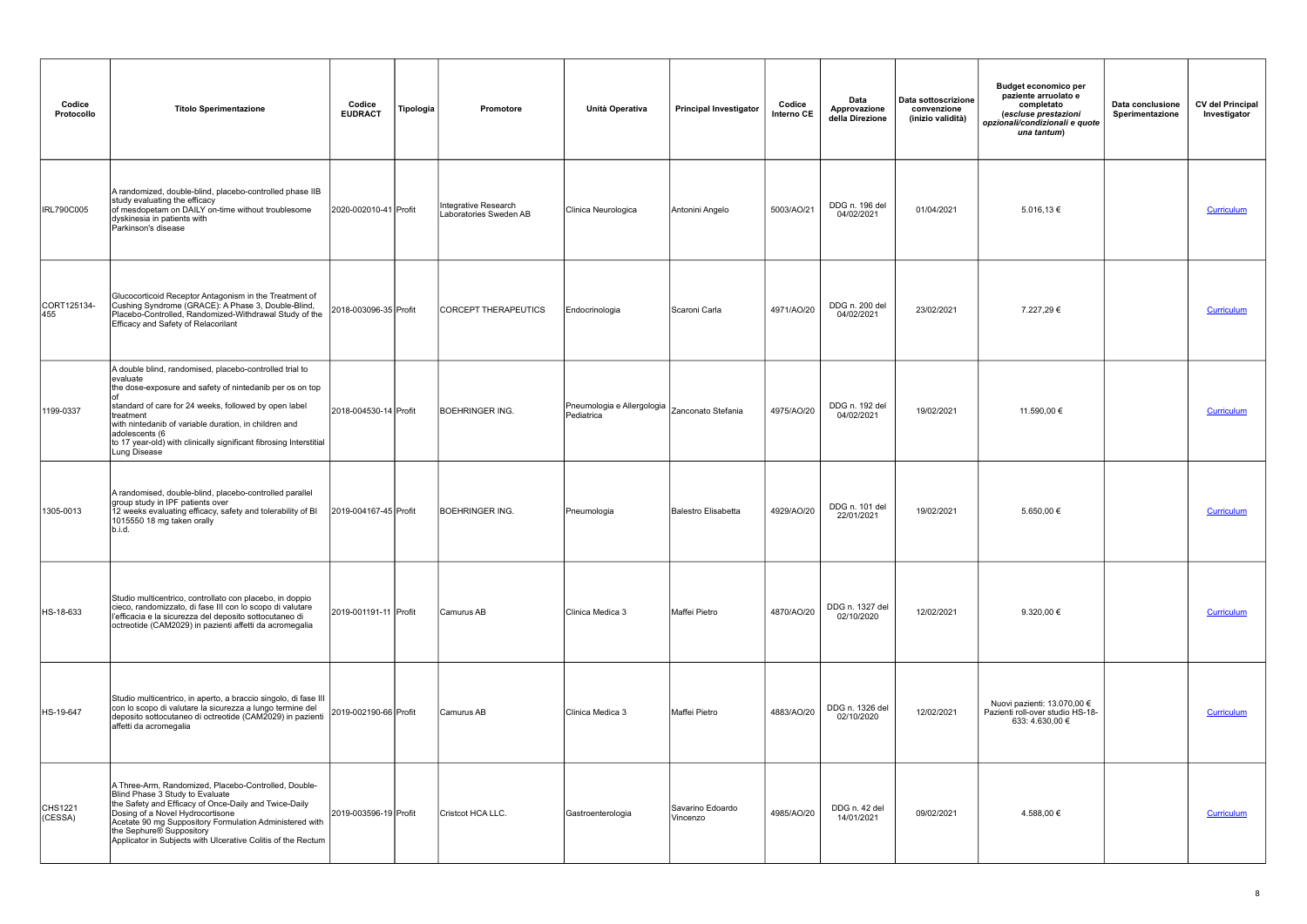| Codice<br>Protocollo | <b>Titolo Sperimentazione</b>                                                                                                                                                                                                                                                                                                                                          | Codice<br><b>EUDRACT</b> | Tipologia | <b>Promotore</b>                               | Unità Operativa                                               | <b>Principal Investigator</b> | Codice<br>Interno CE | Data<br>Approvazione<br>della Direzione | Data sottoscrizione<br>convenzione<br>(inizio validità) | <b>Budget economico per</b><br>paziente arruolato e<br>completato<br>(escluse prestazioni<br>opzionali/condizionali e quote<br>una tantum) | Data conclusione<br>Sperimentazione | <b>CV del Principal</b><br>Investigator |
|----------------------|------------------------------------------------------------------------------------------------------------------------------------------------------------------------------------------------------------------------------------------------------------------------------------------------------------------------------------------------------------------------|--------------------------|-----------|------------------------------------------------|---------------------------------------------------------------|-------------------------------|----------------------|-----------------------------------------|---------------------------------------------------------|--------------------------------------------------------------------------------------------------------------------------------------------|-------------------------------------|-----------------------------------------|
| <b>IRL790C005</b>    | A randomized, double-blind, placebo-controlled phase IIB<br>study evaluating the efficacy<br>of mesdopetam on DAILY on-time without troublesome<br>dyskinesia in patients with<br>Parkinson's disease                                                                                                                                                                  | 2020-002010-41 Profit    |           | Integrative Research<br>Laboratories Sweden AB | Clinica Neurologica                                           | Antonini Angelo               | 5003/AO/21           | DDG n. 196 del<br>04/02/2021            | 01/04/2021                                              | $5.016, 13 \in$                                                                                                                            |                                     | Curriculum                              |
| CORT125134-<br>455   | Glucocorticoid Receptor Antagonism in the Treatment of<br>Cushing Syndrome (GRACE): A Phase 3, Double-Blind,<br>Placebo-Controlled, Randomized-Withdrawal Study of the<br>Efficacy and Safety of Relacorilant                                                                                                                                                          | 2018-003096-35 Profit    |           | <b>CORCEPT THERAPEUTICS</b>                    | Endocrinologia                                                | Scaroni Carla                 | 4971/AO/20           | DDG n. 200 del<br>04/02/2021            | 23/02/2021                                              | 7.227,29€                                                                                                                                  |                                     | Curriculum                              |
| 1199-0337            | A double blind, randomised, placebo-controlled trial to<br>evaluate<br>the dose-exposure and safety of nintedanib per os on top<br>standard of care for 24 weeks, followed by open label<br>treatment<br>with nintedanib of variable duration, in children and<br>adolescents (6<br>to 17 year-old) with clinically significant fibrosing Interstitial<br>Lung Disease | 2018-004530-14 Profit    |           | BOEHRINGER ING.                                | Pneumologia e Allergologia   Zanconato Stefania<br>Pediatrica |                               | 4975/AO/20           | DDG n. 192 del<br>04/02/2021            | 19/02/2021                                              | 11.590,00 €                                                                                                                                |                                     | <b>Curriculum</b>                       |
| 1305-0013            | A randomised, double-blind, placebo-controlled parallel<br>group study in IPF patients over<br>12 weeks evaluating efficacy, safety and tolerability of BI<br>1015550 18 mg taken orally<br>b.i.d.                                                                                                                                                                     | 2019-004167-45 Profit    |           | <b>BOEHRINGER ING.</b>                         | Pneumologia                                                   | Balestro Elisabetta           | 4929/AO/20           | DDG n. 101 del<br>22/01/2021            | 19/02/2021                                              | 5.650,00 €                                                                                                                                 |                                     | Curriculum                              |
| HS-18-633            | Studio multicentrico, controllato con placebo, in doppio<br>cieco, randomizzato, di fase III con lo scopo di valutare<br>l'efficacia e la sicurezza del deposito sottocutaneo di<br>octreotide (CAM2029) in pazienti affetti da acromegalia                                                                                                                            | 2019-001191-11 Profit    |           | Camurus AB                                     | Clinica Medica 3                                              | Maffei Pietro                 | 4870/AO/20           | DDG n. 1327 del<br>02/10/2020           | 12/02/2021                                              | 9.320,00 $\in$                                                                                                                             |                                     | Curriculum                              |
| HS-19-647            | Studio multicentrico, in aperto, a braccio singolo, di fase III<br>con lo scopo di valutare la sicurezza a lungo termine del<br>deposito sottocutaneo di octreotide (CAM2029) in pazienti<br>affetti da acromegalia                                                                                                                                                    | 2019-002190-66 Profit    |           | Camurus AB                                     | Clinica Medica 3                                              | Maffei Pietro                 | 4883/AO/20           | DDG n. 1326 del<br>02/10/2020           | 12/02/2021                                              | Nuovi pazienti: 13.070,00 €<br>Pazienti roll-over studio HS-18-<br>633: 4.630,00 €                                                         |                                     | <b>Curriculum</b>                       |
| CHS1221<br>(CESSA)   | A Three-Arm, Randomized, Placebo-Controlled, Double-<br>Blind Phase 3 Study to Evaluate<br>the Safety and Efficacy of Once-Daily and Twice-Daily<br>Dosing of a Novel Hydrocortisone<br>Acetate 90 mg Suppository Formulation Administered with<br>the Sephure® Suppository<br>Applicator in Subjects with Ulcerative Colitis of the Rectum                            | 2019-003596-19 Profit    |           | Cristcot HCA LLC.                              | Gastroenterologia                                             | Savarino Edoardo<br>Vincenzo  | 4985/AO/20           | DDG n. 42 del<br>14/01/2021             | 09/02/2021                                              | 4.588,00 €                                                                                                                                 |                                     | Curriculum                              |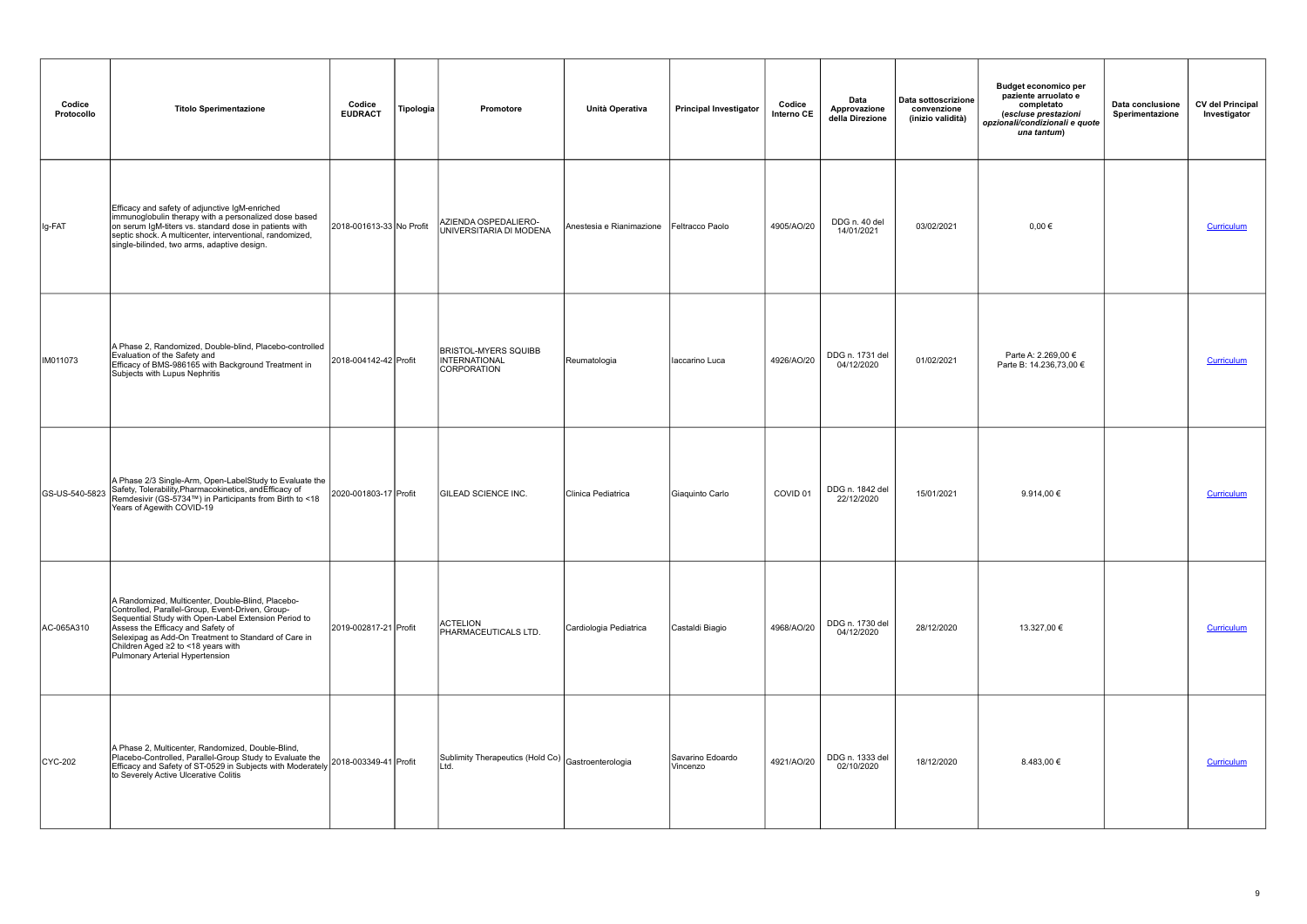| Codice<br>Protocollo | <b>Titolo Sperimentazione</b>                                                                                                                                                                                                                                                                                                          | Codice<br><b>EUDRACT</b> | Tipologia | Promotore                                                   | Unità Operativa          | <b>Principal Investigator</b> | Codice<br>Interno CE | Data<br>Approvazione<br>della Direzione | Data sottoscrizione<br>convenzione<br>(inizio validità) | <b>Budget economico per</b><br>paziente arruolato e<br>completato<br>(escluse prestazioni<br>opzionali/condizionali e quote<br>una tantum) | Data conclusione<br>Sperimentazione | <b>CV del Principal</b><br>Investigator |
|----------------------|----------------------------------------------------------------------------------------------------------------------------------------------------------------------------------------------------------------------------------------------------------------------------------------------------------------------------------------|--------------------------|-----------|-------------------------------------------------------------|--------------------------|-------------------------------|----------------------|-----------------------------------------|---------------------------------------------------------|--------------------------------------------------------------------------------------------------------------------------------------------|-------------------------------------|-----------------------------------------|
| Ig-FAT               | Efficacy and safety of adjunctive IgM-enriched<br>immunoglobulin therapy with a personalized dose based<br>on serum IgM-titers vs. standard dose in patients with<br>septic shock. A multicenter, interventional, randomized,<br>single-bilinded, two arms, adaptive design.                                                           | 2018-001613-33 No Profit |           | AZIENDA OSPEDALIERO-<br>UNIVERSITARIA DI MODENA             | Anestesia e Rianimazione | Feltracco Paolo               | 4905/AO/20           | DDG n. 40 del<br>14/01/2021             | 03/02/2021                                              | $0,00 \in$                                                                                                                                 |                                     | Curriculum                              |
| IM011073             | A Phase 2, Randomized, Double-blind, Placebo-controlled<br>Evaluation of the Safety and<br>Efficacy of BMS-986165 with Background Treatment in<br>Subjects with Lupus Nephritis                                                                                                                                                        | 2018-004142-42 Profit    |           | <b>BRISTOL-MYERS SQUIBB</b><br>INTERNATIONAL<br>CORPORATION | Reumatologia             | laccarino Luca                | 4926/AO/20           | DDG n. 1731 del<br>04/12/2020           | 01/02/2021                                              | Parte A: 2.269,00 €<br>Parte B: 14.236,73,00 €                                                                                             |                                     | Curriculum                              |
| GS-US-540-5823       | A Phase 2/3 Single-Arm, Open-LabelStudy to Evaluate the<br>Safety, Tolerability, Pharmacokinetics, and Efficacy of<br>Remdesivir (GS-5734™) in Participants from Birth to <18<br>Years of Agewith COVID-19                                                                                                                             | 2020-001803-17 Profit    |           | <b>GILEAD SCIENCE INC.</b>                                  | Clinica Pediatrica       | Giaquinto Carlo               | COVID 01             | DDG n. 1842 del<br>22/12/2020           | 15/01/2021                                              | 9.914,00 €                                                                                                                                 |                                     | Curriculum                              |
| AC-065A310           | A Randomized, Multicenter, Double-Blind, Placebo-<br>Controlled, Parallel-Group, Event-Driven, Group-<br>Sequential Study with Open-Label Extension Period to<br>Assess the Efficacy and Safety of<br>Selexipag as Add-On Treatment to Standard of Care in<br>Children Aged ≥2 to <18 years with<br>Pulmonary Arterial Hypertension    | 2019-002817-21 Profit    |           | <b>ACTELION</b><br>PHARMACEUTICALS LTD.                     | Cardiologia Pediatrica   | Castaldi Biagio               | 4968/AO/20           | DDG n. 1730 del<br>04/12/2020           | 28/12/2020                                              | 13.327,00 €                                                                                                                                |                                     | <b>Curriculum</b>                       |
| $CYC-202$            | A Phase 2, Multicenter, Randomized, Double-Blind,<br>Placebo-Controlled, Parallel-Group Study to Evaluate the<br>Efficacy and Safety of ST-0529 in Subjects with Moderately 2018-003349-41 Profit<br>to Sovership attends the Sovership of ST-0529 in Subjects with Moderately 2018-003349-41<br>to Severely Active Ulcerative Colitis |                          |           | Sublimity Therapeutics (Hold Co) Gastroenterologia<br>Ltd.  |                          | Savarino Edoardo<br>Vincenzo  | 4921/AO/20           | DDG n. 1333 del<br>02/10/2020           | 18/12/2020                                              | 8.483,00 €                                                                                                                                 |                                     | Curriculum                              |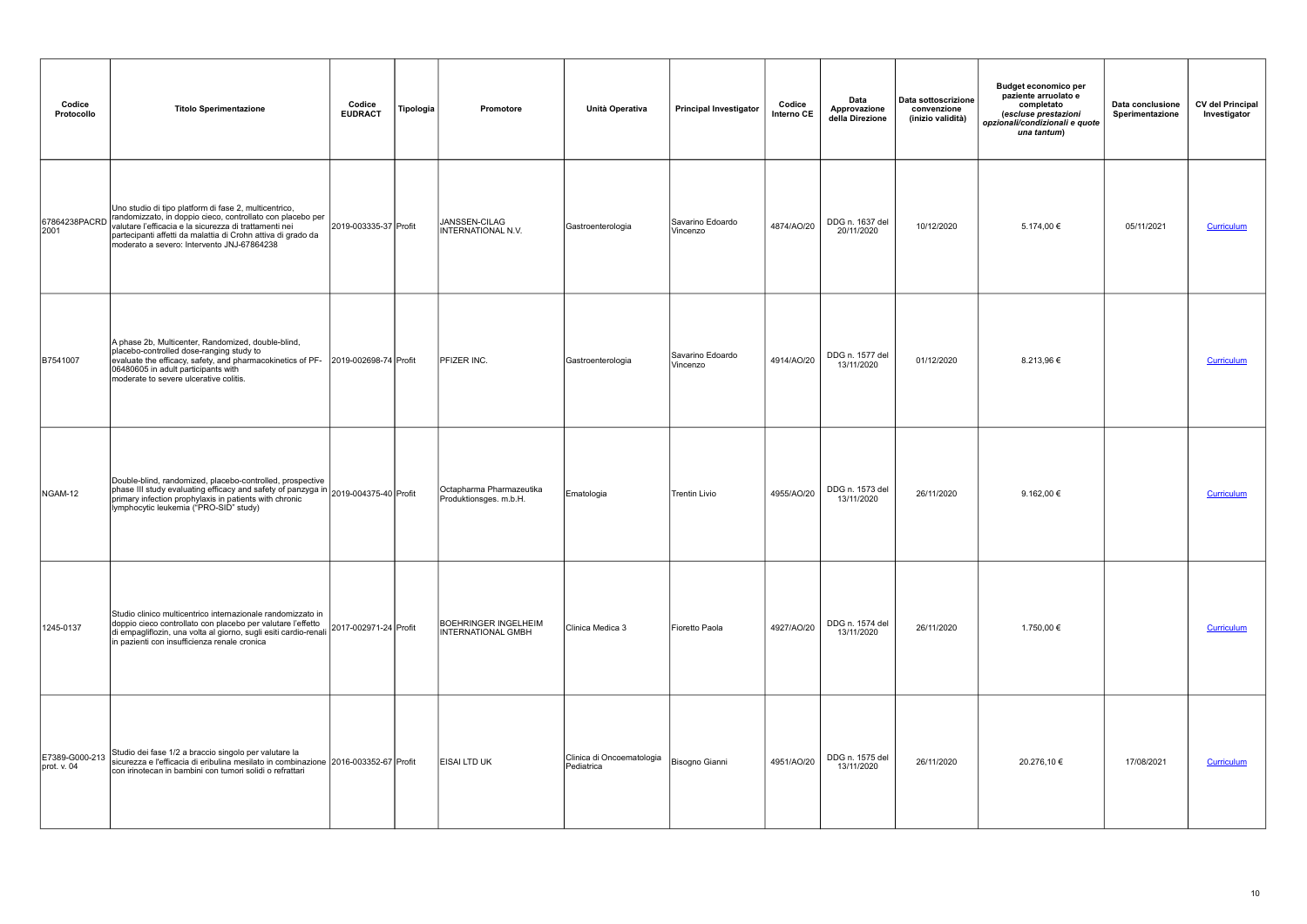| Codice<br>Protocollo          | <b>Titolo Sperimentazione</b>                                                                                                                                                                                                                                                               | Codice<br><b>EUDRACT</b> | Tipologia | Promotore                                                | Unità Operativa                         | <b>Principal Investigator</b> | Codice<br>Interno CE | Data<br>Approvazione<br>della Direzione | Data sottoscrizione<br>convenzione<br>(inizio validità) | <b>Budget economico per</b><br>paziente arruolato e<br>completato<br>(escluse prestazioni<br>opzionali/condizionali e quote<br>una tantum) | Data conclusione<br>Sperimentazione | <b>CV del Principal</b><br>Investigator |
|-------------------------------|---------------------------------------------------------------------------------------------------------------------------------------------------------------------------------------------------------------------------------------------------------------------------------------------|--------------------------|-----------|----------------------------------------------------------|-----------------------------------------|-------------------------------|----------------------|-----------------------------------------|---------------------------------------------------------|--------------------------------------------------------------------------------------------------------------------------------------------|-------------------------------------|-----------------------------------------|
| 67864238PACRD<br>2001         | Uno studio di tipo platform di fase 2, multicentrico,<br>randomizzato, in doppio cieco, controllato con placebo per<br>valutare l'efficacia e la sicurezza di trattamenti nei<br>partecipanti affetti da malattia di Crohn attiva di grado da<br>moderato a severo: Intervento JNJ-67864238 | 2019-003335-37 Profit    |           | JANSSEN-CILAG<br><b>INTERNATIONAL N.V.</b>               | Gastroenterologia                       | Savarino Edoardo<br>Vincenzo  | 4874/AO/20           | DDG n. 1637 del<br>20/11/2020           | 10/12/2020                                              | 5.174,00 €                                                                                                                                 | 05/11/2021                          | Curriculum                              |
| B7541007                      | A phase 2b, Multicenter, Randomized, double-blind,<br>placebo-controlled dose-ranging study to<br>evaluate the efficacy, safety, and pharmacokinetics of PF-<br>06480605 in adult participants with<br>moderate to severe ulcerative colitis.                                               | 2019-002698-74 Profit    |           | PFIZER INC.                                              | Gastroenterologia                       | Savarino Edoardo<br>Vincenzo  | 4914/AO/20           | DDG n. 1577 del<br>13/11/2020           | 01/12/2020                                              | 8.213,96€                                                                                                                                  |                                     | Curriculum                              |
| NGAM-12                       | Double-blind, randomized, placebo-controlled, prospective<br>phase III study evaluating efficacy and safety of panzyga in 2019-004375-40 Profit<br>primary infection prophylaxis in patients with chronic 2019-004375-40<br>lymphocytic leukemia ("PRO-SID" study)                          |                          |           | Octapharma Pharmazeutika<br>Produktionsges. m.b.H.       | Ematologia                              | Trentin Livio                 | 4955/AO/20           | DDG n. 1573 del<br>13/11/2020           | 26/11/2020                                              | 9.162,00 €                                                                                                                                 |                                     | Curriculum                              |
| 1245-0137                     | Studio clinico multicentrico internazionale randomizzato in<br>doppio cieco controllato con placebo per valutare l'effetto<br>di empagliflozin, una volta al giorno, sugli esiti cardio-renali in pazienti con insufficienza renale cronica                                                 | 2017-002971-24 Profit    |           | <b>BOEHRINGER INGELHEIM</b><br><b>INTERNATIONAL GMBH</b> | Clinica Medica 3                        | Fioretto Paola                | 4927/AO/20           | DDG n. 1574 del<br>13/11/2020           | 26/11/2020                                              | 1.750,00 €                                                                                                                                 |                                     | <b>Curriculum</b>                       |
| E7389-G000-213<br>prot. v. 04 | Studio dei fase 1/2 a braccio singolo per valutare la<br>sicurezza e l'efficacia di eribulina mesilato in combinazione 2016-003352-67 Profit<br>con irinotecan in bambini con tumori solidi o refrattari                                                                                    |                          |           | <b>EISAI LTD UK</b>                                      | Clinica di Oncoematologia<br>Pediatrica | Bisogno Gianni                | 4951/AO/20           | DDG n. 1575 del<br>13/11/2020           | 26/11/2020                                              | 20.276,10 €                                                                                                                                | 17/08/2021                          | Curriculum                              |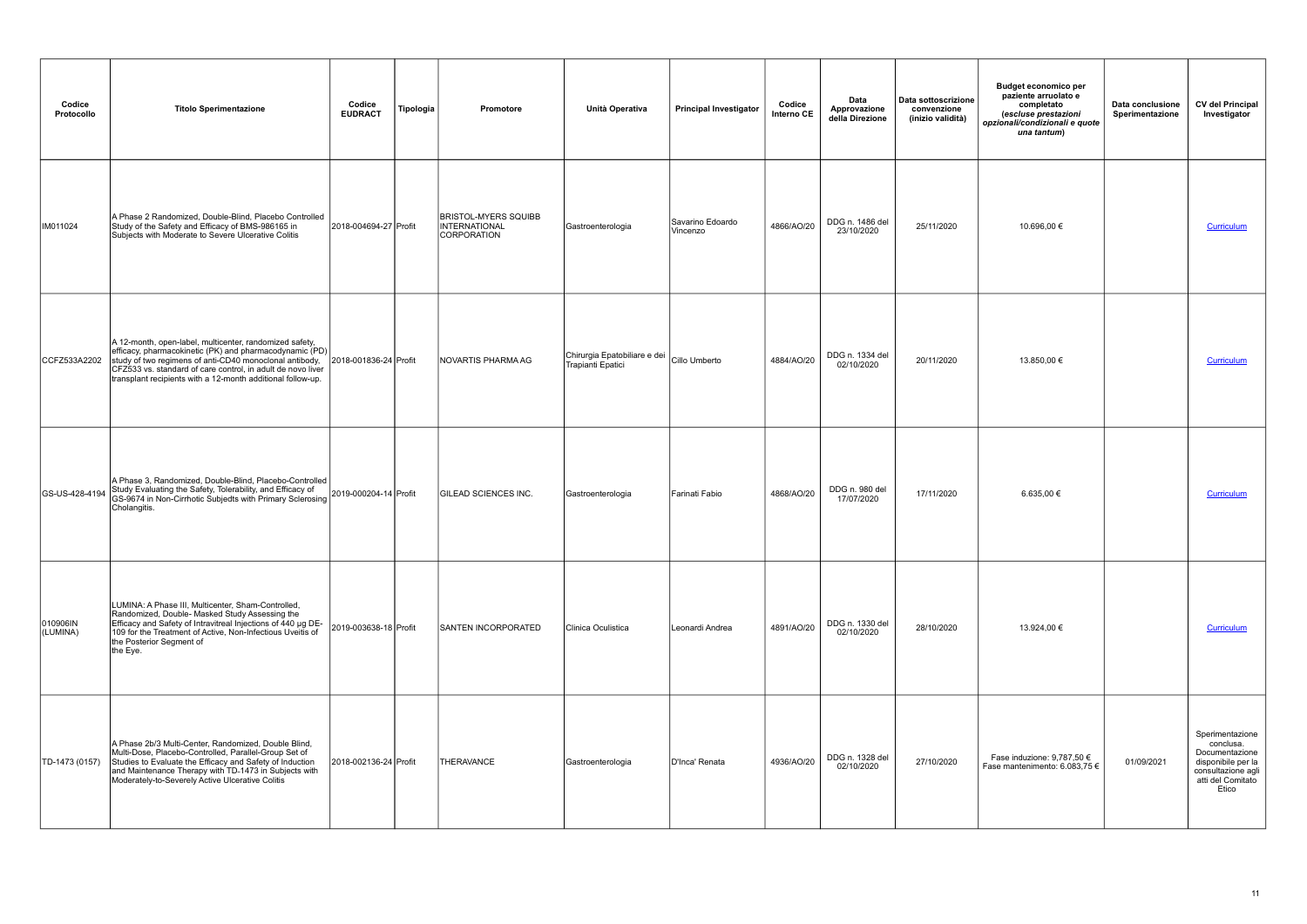| Codice<br>Protocollo | <b>Titolo Sperimentazione</b>                                                                                                                                                                                                                                                                               | Codice<br><b>EUDRACT</b> | Tipologia<br>Promotore                                      | Unità Operativa                                   | <b>Principal Investigator</b> | Codice<br>Interno CE | Data<br>Approvazione<br>della Direzione | Data sottoscrizione<br>convenzione<br>(inizio validità) | <b>Budget economico per</b><br>paziente arruolato e<br>completato<br>(escluse prestazioni<br>opzionali/condizionali e quote<br>una tantum) | Data conclusione<br>Sperimentazione | <b>CV del Principal</b><br>Investigator                                                                                  |
|----------------------|-------------------------------------------------------------------------------------------------------------------------------------------------------------------------------------------------------------------------------------------------------------------------------------------------------------|--------------------------|-------------------------------------------------------------|---------------------------------------------------|-------------------------------|----------------------|-----------------------------------------|---------------------------------------------------------|--------------------------------------------------------------------------------------------------------------------------------------------|-------------------------------------|--------------------------------------------------------------------------------------------------------------------------|
| IM011024             | A Phase 2 Randomized, Double-Blind, Placebo Controlled<br>Study of the Safety and Efficacy of BMS-986165 in<br>Subjects with Moderate to Severe Ulcerative Colitis                                                                                                                                          | 2018-004694-27 Profit    | <b>BRISTOL-MYERS SQUIBB</b><br>INTERNATIONAL<br>CORPORATION | Gastroenterologia                                 | Savarino Edoardo<br>Vincenzo  | 4866/AO/20           | DDG n. 1486 del<br>23/10/2020           | 25/11/2020                                              | 10.696,00 €                                                                                                                                |                                     | Curriculum                                                                                                               |
| CCFZ533A2202         | A 12-month, open-label, multicenter, randomized safety,<br>efficacy, pharmacokinetic (PK) and pharmacodynamic (PD)<br>study of two regimens of anti-CD40 monoclonal antibody,<br>CFZ533 vs. standard of care control, in adult de novo liver<br>transplant recipients with a 12-month additional follow-up. | 2018-001836-24 Profit    | NOVARTIS PHARMA AG                                          | Chirurgia Epatobiliare e dei<br>Trapianti Epatici | Cillo Umberto                 | 4884/AO/20           | DDG n. 1334 del<br>02/10/2020           | 20/11/2020                                              | 13.850,00 €                                                                                                                                |                                     | Curriculum                                                                                                               |
| GS-US-428-4194       | A Phase 3, Randomized, Double-Blind, Placebo-Controlled<br>Study Evaluating the Safety, Tolerability, and Efficacy of<br>GS-9674 in Non-Cirrhotic Subjedts with Primary Sclerosing<br>Cholangitis.                                                                                                          | 2019-000204-14 Profit    | <b>GILEAD SCIENCES INC.</b>                                 | Gastroenterologia                                 | Farinati Fabio                | 4868/AO/20           | DDG n. 980 del<br>17/07/2020            | 17/11/2020                                              | 6.635,00 €                                                                                                                                 |                                     | Curriculum                                                                                                               |
| 010906IN<br>(LUMINA) | LUMINA: A Phase III, Multicenter, Sham-Controlled,<br>Randomized, Double- Masked Study Assessing the<br>Efficacy and Safety of Intravitreal Injections of 440 µg DE-<br>109 for the Treatment of Active, Non-Infectious Uveitis of<br>the Posterior Segment of<br>the Eye.                                  | 2019-003638-18 Profit    | <b>SANTEN INCORPORATED</b>                                  | Clinica Oculistica                                | Leonardi Andrea               | 4891/AO/20           | DDG n. 1330 del<br>02/10/2020           | 28/10/2020                                              | 13.924,00 €                                                                                                                                |                                     | Curriculum                                                                                                               |
| TD-1473 (0157)       | A Phase 2b/3 Multi-Center, Randomized, Double Blind,<br>Multi-Dose, Placebo-Controlled, Parallel-Group Set of<br>Nucleis to Evaluate the Efficacy and Safety of Induction<br>and Maintenance Therapy with TD-1473 in Subjects with<br>Moderately-to-Severely Active Ulcerative Colitis                      | 2018-002136-24 Profit    | THERAVANCE                                                  | Gastroenterologia                                 | D'Inca' Renata                | 4936/AO/20           | DDG n. 1328 del<br>02/10/2020           | 27/10/2020                                              | Fase induzione: 9,787,50 $\epsilon$<br>Fase mantenimento: 6.083,75 €                                                                       | 01/09/2021                          | Sperimentazione<br>conclusa.<br>Documentazione<br>disponibile per la<br>consultazione agli<br>atti del Comitato<br>Etico |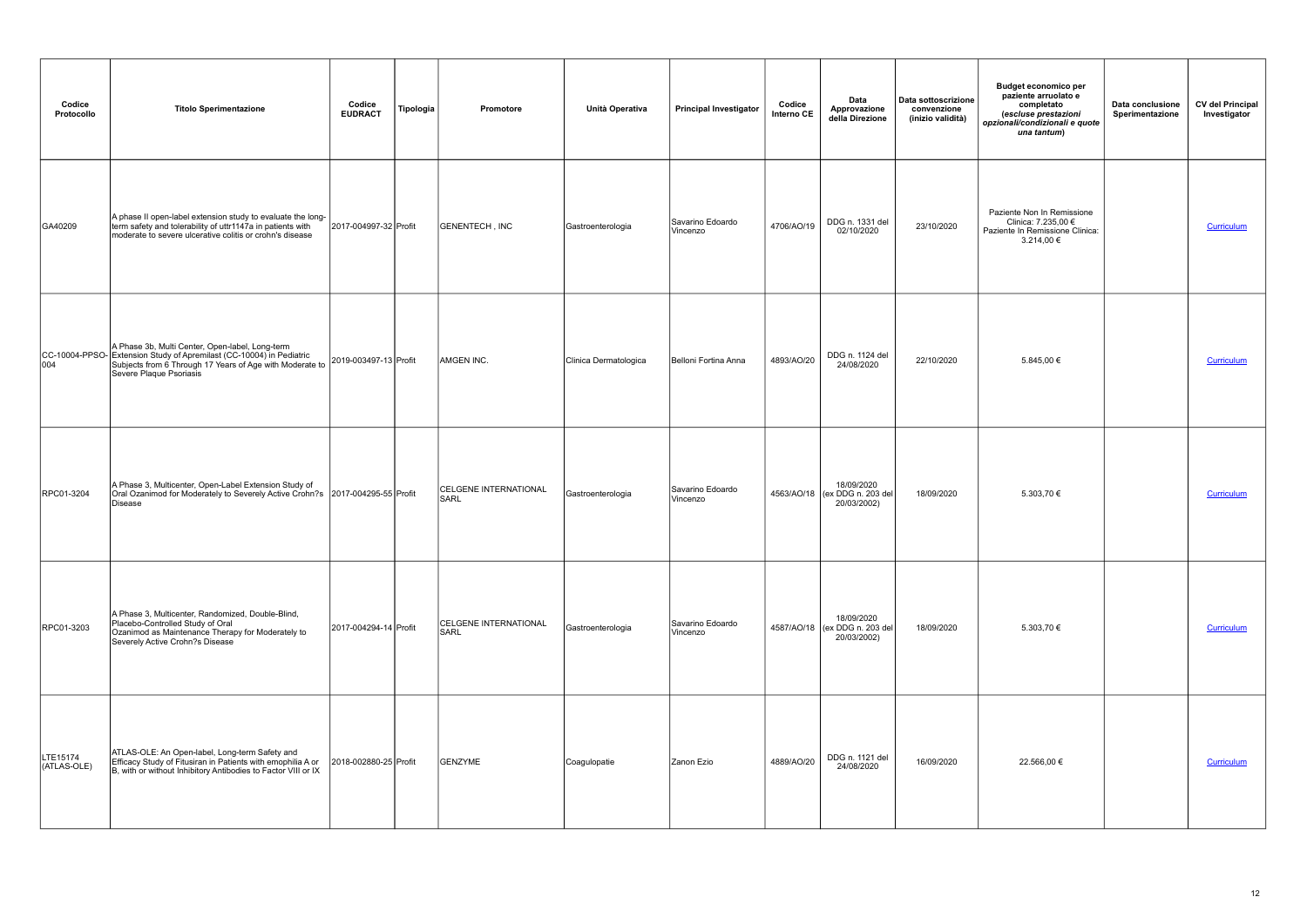| Codice<br>Protocollo    | <b>Titolo Sperimentazione</b>                                                                                                                                                                                                                                                                                                                                                     | Codice<br><b>EUDRACT</b> | Tipologia | Promotore                            | Unità Operativa       | <b>Principal Investigator</b> | Codice<br>Interno CE | Data<br>Approvazione<br>della Direzione                    | Data sottoscrizione<br>convenzione<br>(inizio validità) | <b>Budget economico per</b><br>paziente arruolato e<br>completato<br>(escluse prestazioni<br>opzionali/condizionali e quote<br>una tantum) | Data conclusione<br>Sperimentazione | <b>CV del Principal</b><br>Investigator |
|-------------------------|-----------------------------------------------------------------------------------------------------------------------------------------------------------------------------------------------------------------------------------------------------------------------------------------------------------------------------------------------------------------------------------|--------------------------|-----------|--------------------------------------|-----------------------|-------------------------------|----------------------|------------------------------------------------------------|---------------------------------------------------------|--------------------------------------------------------------------------------------------------------------------------------------------|-------------------------------------|-----------------------------------------|
| GA40209                 | A phase II open-label extension study to evaluate the long-<br>term safety and tolerability of uttr1147a in patients with<br>moderate to severe ulcerative colitis or crohn's disease                                                                                                                                                                                             | 2017-004997-32 Profit    |           | GENENTECH, INC                       | Gastroenterologia     | Savarino Edoardo<br>Vincenzo  | 4706/AO/19           | DDG n. 1331 del<br>02/10/2020                              | 23/10/2020                                              | Paziente Non In Remissione<br>Clinica: 7.235,00 €<br>Paziente In Remissione Clinica:<br>3.214,00 €                                         |                                     | Curriculum                              |
|                         | A Phase 3b, Multi Center, Open-label, Long-term<br>CC-10004-PPSO-<br>Statension Study of Apremilast (CC-10004) in Pediatric<br>004 Subjects from 6 Through 17 Years of Age with Moderate<br>Subjects from 6 Through 17 Years of Age with Moderate to 2019-003497-13 Profit<br>Source Places of Through 17 Years of Age with Moderate to 2019-003497-13<br>Severe Plaque Psoriasis |                          |           | AMGEN INC.                           | Clinica Dermatologica | Belloni Fortina Anna          | 4893/AO/20           | DDG n. 1124 del<br>24/08/2020                              | 22/10/2020                                              | 5.845,00 €                                                                                                                                 |                                     | Curriculum                              |
| RPC01-3204              | A Phase 3, Multicenter, Open-Label Extension Study of<br>Oral Ozanimod for Moderately to Severely Active Crohn?s 2017-004295-55 Profit<br>Disease                                                                                                                                                                                                                                 |                          |           | <b>CELGENE INTERNATIONAL</b><br>SARL | Gastroenterologia     | Savarino Edoardo<br>Vincenzo  |                      | 18/09/2020<br>4563/AO/18 (ex DDG n. 203 del<br>20/03/2002) | 18/09/2020                                              | 5.303,70 €                                                                                                                                 |                                     | Curriculum                              |
| RPC01-3203              | A Phase 3, Multicenter, Randomized, Double-Blind,<br>Placebo-Controlled Study of Oral<br>Ozanimod as Maintenance Therapy for Moderately to<br>Severely Active Crohn?s Disease                                                                                                                                                                                                     | 2017-004294-14 Profit    |           | CELGENE INTERNATIONAL<br>SARL        | Gastroenterologia     | Savarino Edoardo<br>Vincenzo  |                      | 18/09/2020<br>4587/AO/18 (ex DDG n. 203 del<br>20/03/2002) | 18/09/2020                                              | 5.303,70 €                                                                                                                                 |                                     | <b>Curriculum</b>                       |
| LTE15174<br>(ATLAS-OLE) | ATLAS-OLE: An Open-label, Long-term Safety and<br>Efficacy Study of Fitusiran in Patients with emophilia A or<br>B, with or without Inhibitory Antibodies to Factor VIII or IX                                                                                                                                                                                                    | 2018-002880-25 Profit    |           | GENZYME                              | Coagulopatie          | Zanon Ezio                    | 4889/AO/20           | DDG n. 1121 del<br>24/08/2020                              | 16/09/2020                                              | 22.566,00 €                                                                                                                                |                                     | Curriculum                              |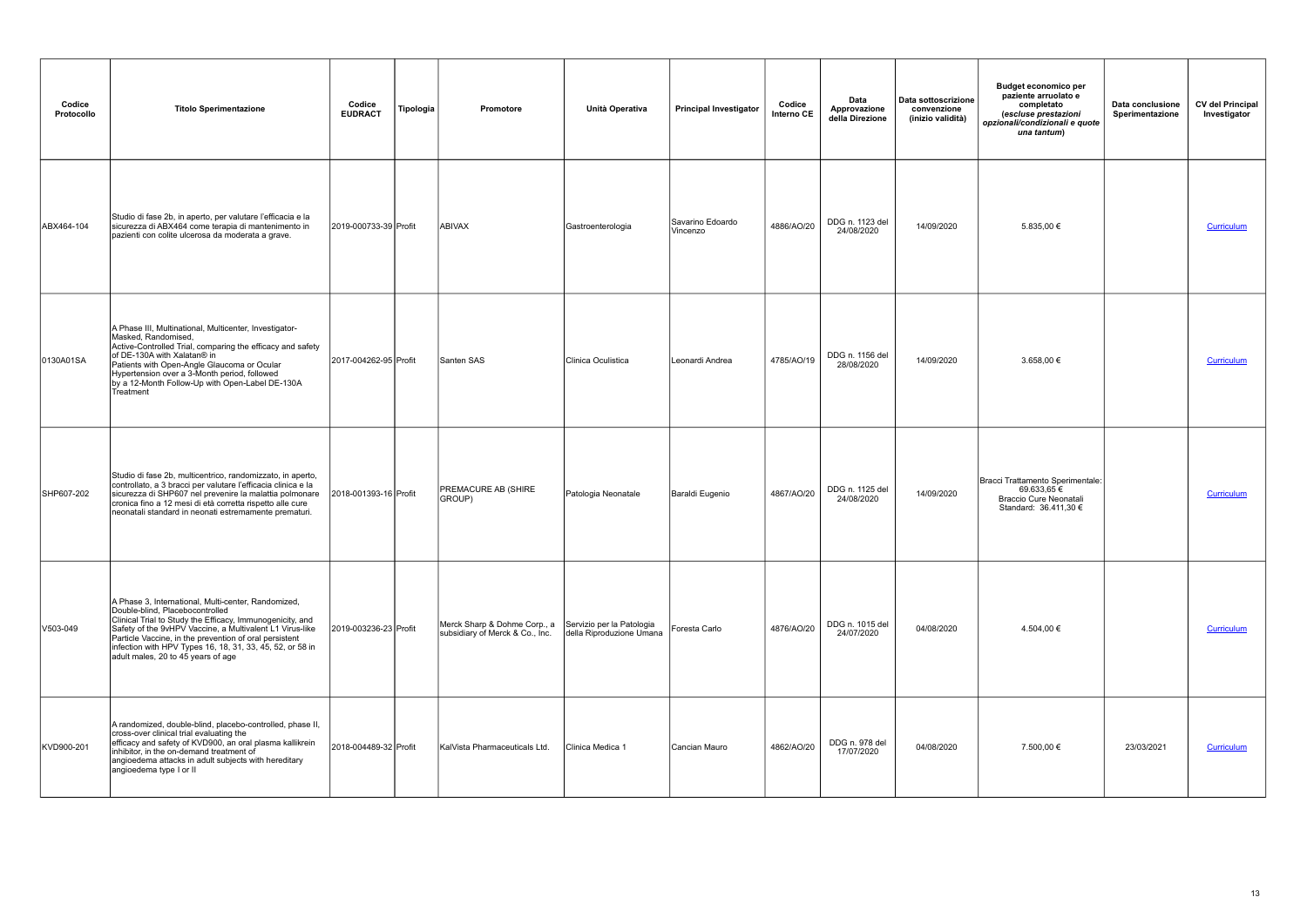| Codice<br>Protocollo | <b>Titolo Sperimentazione</b>                                                                                                                                                                                                                                                                                                                                                | Codice<br><b>EUDRACT</b> | Tipologia | Promotore                                                       | Unità Operativa                                       | <b>Principal Investigator</b> | Codice<br>Interno CE | Data<br>Approvazione<br>della Direzione | Data sottoscrizione<br>convenzione<br>(inizio validità) | <b>Budget economico per</b><br>paziente arruolato e<br>completato<br>(escluse prestazioni<br>opzionali/condizionali e quote<br>una tantum) | Data conclusione<br>Sperimentazione | <b>CV del Principal</b><br>Investigator |
|----------------------|------------------------------------------------------------------------------------------------------------------------------------------------------------------------------------------------------------------------------------------------------------------------------------------------------------------------------------------------------------------------------|--------------------------|-----------|-----------------------------------------------------------------|-------------------------------------------------------|-------------------------------|----------------------|-----------------------------------------|---------------------------------------------------------|--------------------------------------------------------------------------------------------------------------------------------------------|-------------------------------------|-----------------------------------------|
| ABX464-104           | Studio di fase 2b, in aperto, per valutare l'efficacia e la<br>sicurezza di ABX464 come terapia di mantenimento in<br>pazienti con colite ulcerosa da moderata a grave.                                                                                                                                                                                                      | 2019-000733-39 Profit    |           | ABIVAX                                                          | Gastroenterologia                                     | Savarino Edoardo<br>Vincenzo  | 4886/AO/20           | DDG n. 1123 del<br>24/08/2020           | 14/09/2020                                              | 5.835,00 €                                                                                                                                 |                                     | Curriculum                              |
| 0130A01SA            | A Phase III, Multinational, Multicenter, Investigator-<br>Masked, Randomised,<br>Active-Controlled Trial, comparing the efficacy and safety<br>of DE-130A with Xalatan® in<br>Patients with Open-Angle Glaucoma or Ocular<br>Hypertension over a 3-Month period, followed<br>by a 12-Month Follow-Up with Open-Label DE-130A<br>Treatment                                    | 2017-004262-95 Profit    |           | Santen SAS                                                      | Clinica Oculistica                                    | Leonardi Andrea               | 4785/AO/19           | DDG n. 1156 del<br>28/08/2020           | 14/09/2020                                              | 3.658,00 €                                                                                                                                 |                                     | Curriculum                              |
| SHP607-202           | Studio di fase 2b, multicentrico, randomizzato, in aperto,<br>controllato, a 3 bracci per valutare l'efficacia clinica e la<br>sicurezza di SHP607 nel prevenire la malattia polmonare<br>cronica fino a 12 mesi di età corretta rispetto alle cure<br>neonatali standard in neonati estremamente prematuri.                                                                 | 2018-001393-16 Profit    |           | <b>PREMACURE AB (SHIRE</b><br>GROUP)                            | Patologia Neonatale                                   | Baraldi Eugenio               | 4867/AO/20           | DDG n. 1125 del<br>24/08/2020           | 14/09/2020                                              | Bracci Trattamento Sperimentale:<br>69.633,65€<br>Braccio Cure Neonatali<br>Standard: 36.411,30 €                                          |                                     | Curriculum                              |
| V503-049             | A Phase 3, International, Multi-center, Randomized,<br>Double-blind, Placebocontrolled<br>Clinical Trial to Study the Efficacy, Immunogenicity, and<br>Safety of the 9vHPV Vaccine, a Multivalent L1 Virus-like<br>Particle Vaccine, in the prevention of oral persistent<br>infection with HPV Types 16, 18, 31, 33, 45, 52, or 58 in<br>adult males, 20 to 45 years of age | 2019-003236-23 Profit    |           | Merck Sharp & Dohme Corp., a<br>subsidiary of Merck & Co., Inc. | Servizio per la Patologia<br>della Riproduzione Umana | Foresta Carlo                 | 4876/AO/20           | DDG n. 1015 del<br>24/07/2020           | 04/08/2020                                              | 4.504,00 €                                                                                                                                 |                                     | Curriculum                              |
| KVD900-201           | A randomized, double-blind, placebo-controlled, phase II,<br>cross-over clinical trial evaluating the<br>efficacy and safety of KVD900, an oral plasma kallikrein<br>inhibitor, in the on-demand treatment of<br>angioedema attacks in adult subjects with hereditary<br>angioedema type I or II                                                                             | 2018-004489-32 Profit    |           | KalVista Pharmaceuticals Ltd.                                   | Clinica Medica 1                                      | Cancian Mauro                 | 4862/AO/20           | DDG n. 978 del<br>17/07/2020            | 04/08/2020                                              | 7.500,00 €                                                                                                                                 | 23/03/2021                          | Curriculum                              |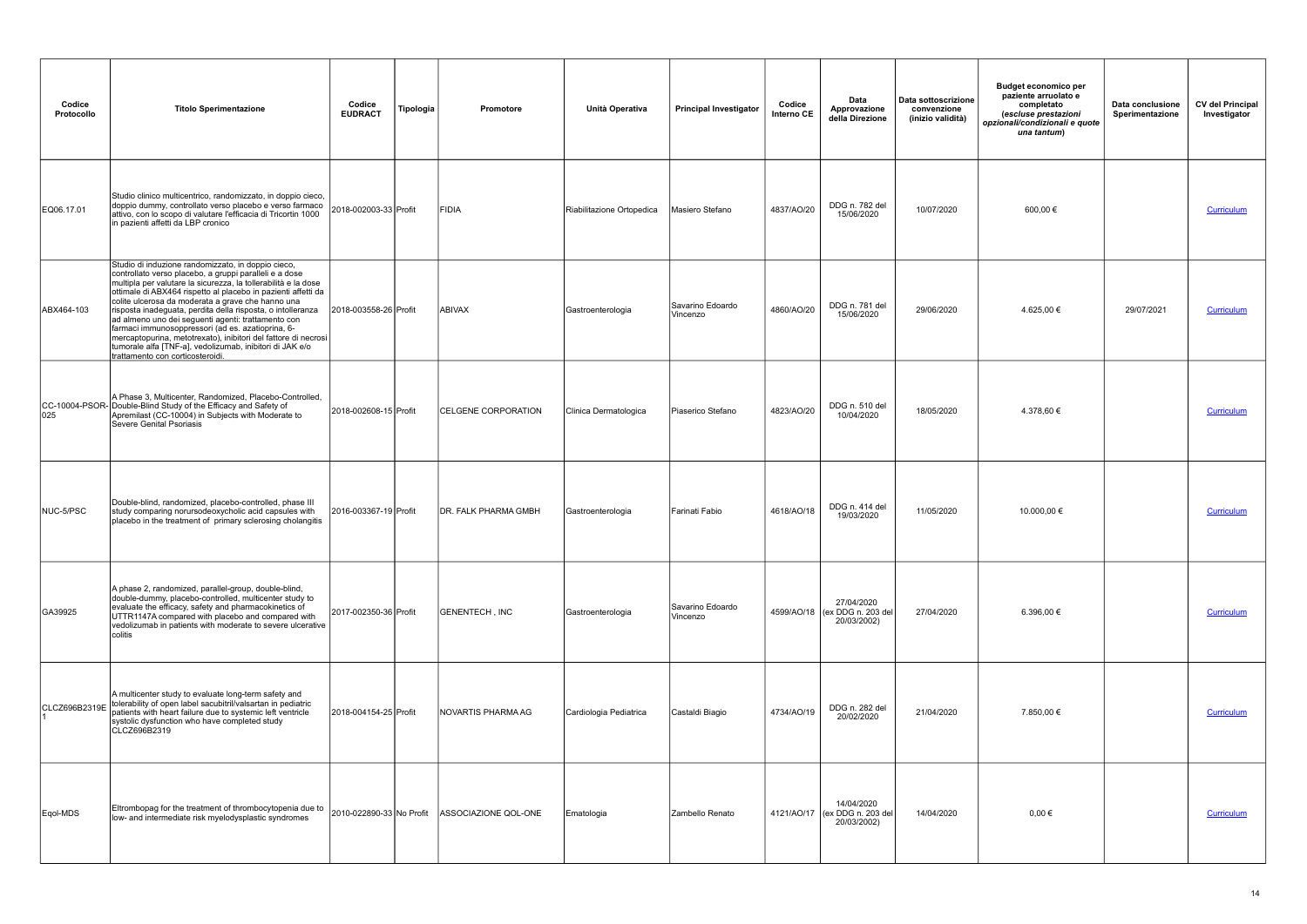| Codice<br>Protocollo | <b>Titolo Sperimentazione</b>                                                                                                                                                                                                                                                                                                                                                                                                                                                                                                                                                                                                                    | Codice<br><b>EUDRACT</b> | Tipologia | <b>Promotore</b>           | Unità Operativa           | <b>Principal Investigator</b> | Codice<br>Interno CE | Data<br>Approvazione<br>della Direzione                     | Data sottoscrizione<br>convenzione<br>(inizio validità) | <b>Budget economico per</b><br>paziente arruolato e<br>completato<br>(escluse prestazioni<br>opzionali/condizionali e quote<br>una tantum) | Data conclusione<br>Sperimentazione | <b>CV del Principal</b><br>Investigator |
|----------------------|--------------------------------------------------------------------------------------------------------------------------------------------------------------------------------------------------------------------------------------------------------------------------------------------------------------------------------------------------------------------------------------------------------------------------------------------------------------------------------------------------------------------------------------------------------------------------------------------------------------------------------------------------|--------------------------|-----------|----------------------------|---------------------------|-------------------------------|----------------------|-------------------------------------------------------------|---------------------------------------------------------|--------------------------------------------------------------------------------------------------------------------------------------------|-------------------------------------|-----------------------------------------|
| EQ06.17.01           | Studio clinico multicentrico, randomizzato, in doppio cieco,<br>doppio dummy, controllato verso placebo e verso farmaco<br>attivo, con lo scopo di valutare l'efficacia di Tricortin 1000<br>in pazienti affetti da LBP cronico                                                                                                                                                                                                                                                                                                                                                                                                                  | 2018-002003-33 Profit    |           | FIDIA                      | Riabilitazione Ortopedica | Masiero Stefano               | 4837/AO/20           | DDG n. 782 del<br>15/06/2020                                | 10/07/2020                                              | 600,00 €                                                                                                                                   |                                     | Curriculum                              |
| ABX464-103           | Studio di induzione randomizzato, in doppio cieco,<br>controllato verso placebo, a gruppi paralleli e a dose<br>multipla per valutare la sicurezza, la tollerabilità e la dose<br>ottimale di ABX464 rispetto al placebo in pazienti affetti da<br>colite ulcerosa da moderata a grave che hanno una<br>risposta inadeguata, perdita della risposta, o intolleranza<br>ad almeno uno dei seguenti agenti: trattamento con<br>farmaci immunosoppressori (ad es. azatioprina, 6-<br>mercaptopurina, metotrexato), inibitori del fattore di necrosi<br>tumorale alfa [TNF-a], vedolizumab, inibitori di JAK e/o<br>trattamento con corticosteroidi. | 2018-003558-26 Profit    |           | ABIVAX                     | Gastroenterologia         | Savarino Edoardo<br>Vincenzo  | 4860/AO/20           | DDG n. 781 del<br>15/06/2020                                | 29/06/2020                                              | 4.625,00 €                                                                                                                                 | 29/07/2021                          | Curriculum                              |
| 025                  | A Phase 3, Multicenter, Randomized, Placebo-Controlled,<br>CC-10004-PSOR-Double-Blind Study of the Efficacy and Safety of<br>Apremilast (CC-10004) in Subjects with Moderate to<br>Severe Genital Psoriasis                                                                                                                                                                                                                                                                                                                                                                                                                                      | 2018-002608-15 Profit    |           | <b>CELGENE CORPORATION</b> | Clinica Dermatologica     | Piaserico Stefano             | 4823/AO/20           | DDG n. 510 del<br>10/04/2020                                | 18/05/2020                                              | 4.378,60 €                                                                                                                                 |                                     | Curriculum                              |
| NUC-5/PSC            | Double-blind, randomized, placebo-controlled, phase III<br>study comparing norursodeoxycholic acid capsules with<br>placebo in the treatment of primary sclerosing cholangitis                                                                                                                                                                                                                                                                                                                                                                                                                                                                   | 2016-003367-19 Profit    |           | DR. FALK PHARMA GMBH       | Gastroenterologia         | Farinati Fabio                | 4618/AO/18           | DDG n. 414 del<br>19/03/2020                                | 11/05/2020                                              | 10.000,00 €                                                                                                                                |                                     | <b>Curriculum</b>                       |
| GA39925              | A phase 2, randomized, parallel-group, double-blind,<br>double-dummy, placebo-controlled, multicenter study to<br>evaluate the efficacy, safety and pharmacokinetics of<br>UTTR1147A compared with placebo and compared with<br>vedolizumab in patients with moderate to severe ulcerative<br>colitis                                                                                                                                                                                                                                                                                                                                            | 2017-002350-36 Profit    |           | <b>GENENTECH, INC</b>      | Gastroenterologia         | Savarino Edoardo<br>Vincenzo  |                      | 27/04/2020<br>4599/AO/18 (ex DDG n. 203 del<br>20/03/2002)  | 27/04/2020                                              | 6.396,00 €                                                                                                                                 |                                     | Curriculum                              |
| CLCZ696B2319E        | A multicenter study to evaluate long-term safety and<br>tolerability of open label sacubitril/valsartan in pediatric<br>patients with heart failure due to systemic left ventricle<br>systolic dysfunction who have completed study<br>CLCZ696B2319                                                                                                                                                                                                                                                                                                                                                                                              | 2018-004154-25 Profit    |           | NOVARTIS PHARMA AG         | Cardiologia Pediatrica    | Castaldi Biagio               | 4734/AO/19           | DDG n. 282 del<br>20/02/2020                                | 21/04/2020                                              | 7.850,00 €                                                                                                                                 |                                     | Curriculum                              |
| Eqol-MDS             | Eltrombopag for the treatment of thrombocytopenia due to 2010-022890-33 No Profit<br>low- and intermediate risk myelodysplastic syndromes                                                                                                                                                                                                                                                                                                                                                                                                                                                                                                        |                          |           | ASSOCIAZIONE QOL-ONE       | Ematologia                | Zambello Renato               |                      | 14/04/2020<br>4121/AO/17 (ex DDG n. 203 del)<br>20/03/2002) | 14/04/2020                                              | $0,00 \in$                                                                                                                                 |                                     | Curriculum                              |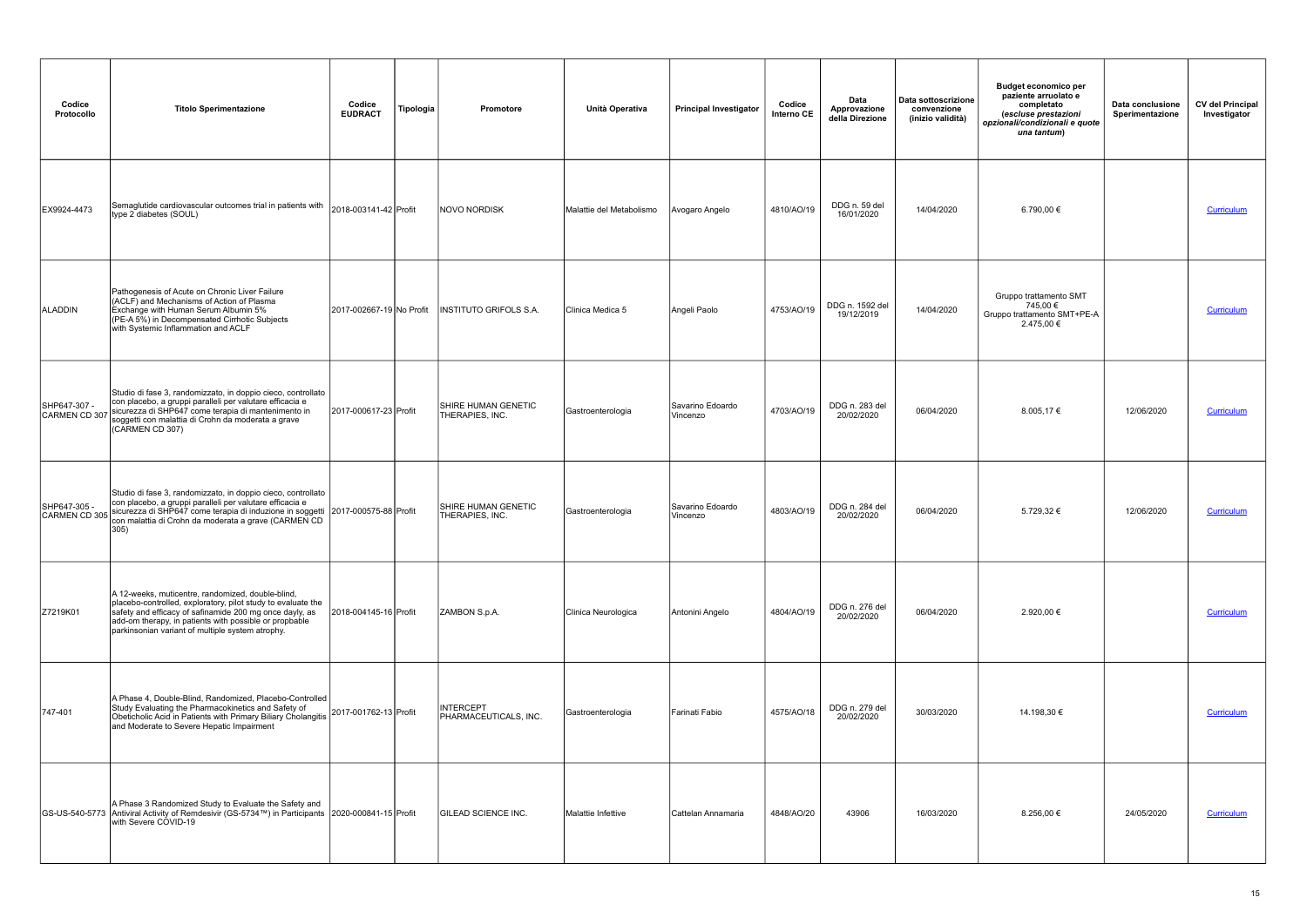| Codice<br>Protocollo          | <b>Titolo Sperimentazione</b>                                                                                                                                                                                                                                                              | Codice<br><b>EUDRACT</b> | Tipologia | <b>Promotore</b>                              | Unità Operativa          | <b>Principal Investigator</b> | Codice<br>Interno CE | Data<br>Approvazione<br>della Direzione | Data sottoscrizione<br>convenzione<br>(inizio validità) | <b>Budget economico per</b><br>paziente arruolato e<br>completato<br>(escluse prestazioni<br>opzionali/condizionali e quote<br>una tantum) | Data conclusione<br>Sperimentazione | <b>CV del Principal</b><br>Investigator |
|-------------------------------|--------------------------------------------------------------------------------------------------------------------------------------------------------------------------------------------------------------------------------------------------------------------------------------------|--------------------------|-----------|-----------------------------------------------|--------------------------|-------------------------------|----------------------|-----------------------------------------|---------------------------------------------------------|--------------------------------------------------------------------------------------------------------------------------------------------|-------------------------------------|-----------------------------------------|
| EX9924-4473                   | Semaglutide cardiovascular outcomes trial in patients with<br>type 2 diabetes (SOUL)                                                                                                                                                                                                       | 2018-003141-42 Profit    |           | NOVO NORDISK                                  | Malattie del Metabolismo | Avogaro Angelo                | 4810/AO/19           | DDG n. 59 del<br>16/01/2020             | 14/04/2020                                              | 6.790,00 €                                                                                                                                 |                                     | Curriculum                              |
| ALADDIN                       | Pathogenesis of Acute on Chronic Liver Failure<br>(ACLF) and Mechanisms of Action of Plasma<br>Exchange with Human Serum Albumin 5%<br>(PE-A 5%) in Decompensated Cirrhotic Subjects<br>with Systemic Inflammation and ACLF                                                                | 2017-002667-19 No Profit |           | <b>INSTITUTO GRIFOLS S.A.</b>                 | Clinica Medica 5         | Angeli Paolo                  | 4753/AO/19           | DDG n. 1592 del<br>19/12/2019           | 14/04/2020                                              | Gruppo trattamento SMT<br>745,00 €<br>Gruppo trattamento SMT+PE-A<br>2.475,00 €                                                            |                                     | Curriculum                              |
| SHP647-307 -<br>CARMEN CD 307 | Studio di fase 3, randomizzato, in doppio cieco, controllato<br>con placebo, a gruppi paralleli per valutare efficacia e<br>sicurezza di SHP647 come terapia di mantenimento in<br>soggetti con malattia di Crohn da moderata a grave<br>(CARMEN CD 307)                                   | 2017-000617-23 Profit    |           | SHIRE HUMAN GENETIC<br>THERAPIES, INC.        | Gastroenterologia        | Savarino Edoardo<br>Vincenzo  | 4703/AO/19           | DDG n. 283 del<br>20/02/2020            | 06/04/2020                                              | 8.005,17€                                                                                                                                  | 12/06/2020                          | Curriculum                              |
| SHP647-305 -<br>CARMEN CD 305 | Studio di fase 3, randomizzato, in doppio cieco, controllato<br>con placebo, a gruppi paralleli per valutare efficacia e<br>sicurezza di SHP647 come terapia di induzione in soggetti 2017-000575-88 Profit<br>con malattia di Crohn da moderata a grave (CARMEN CD<br>305                 |                          |           | <b>SHIRE HUMAN GENETIC</b><br>THERAPIES, INC. | Gastroenterologia        | Savarino Edoardo<br>Vincenzo  | 4803/AO/19           | DDG n. 284 del<br>20/02/2020            | 06/04/2020                                              | 5.729,32 €                                                                                                                                 | 12/06/2020                          | Curriculum                              |
| Z7219K01                      | A 12-weeks, muticentre, randomized, double-blind,<br>placebo-controlled, exploratory, pilot study to evaluate the<br>safety and efficacy of safinamide 200 mg once dayly, as<br>add-om therapy, in patients with possible or propbable<br>parkinsonian variant of multiple system atrophy. | 2018-004145-16 Profit    |           | ZAMBON S.p.A.                                 | Clinica Neurologica      | Antonini Angelo               | 4804/AO/19           | DDG n. 276 del<br>20/02/2020            | 06/04/2020                                              | 2.920,00 €                                                                                                                                 |                                     | Curriculum                              |
| 747-401                       | A Phase 4, Double-Blind, Randomized, Placebo-Controlled<br>Study Evaluating the Pharmacokinetics and Safety of<br>Obeticholic Acid in Patients with Primary Biliary Cholangitis 2017-001762-13 Profit<br>and Moderate to Severe Hepatic Impairment                                         |                          |           | <b>INTERCEPT</b><br>PHARMACEUTICALS, INC.     | Gastroenterologia        | Farinati Fabio                | 4575/AO/18           | DDG n. 279 del<br>20/02/2020            | 30/03/2020                                              | 14.198,30 €                                                                                                                                |                                     | <b>Curriculum</b>                       |
|                               | A Phase 3 Randomized Study to Evaluate the Safety and<br>GS-US-540-5773 Antiviral Activity of Remdesivir (GS-5734™) in Participants 2020-000841-15 Profit<br>with Severe COVID-19                                                                                                          |                          |           | <b>IGILEAD SCIENCE INC.</b>                   | Malattie Infettive       | Cattelan Annamaria            | 4848/AO/20           | 43906                                   | 16/03/2020                                              | 8.256,00 €                                                                                                                                 | 24/05/2020                          | Curriculum                              |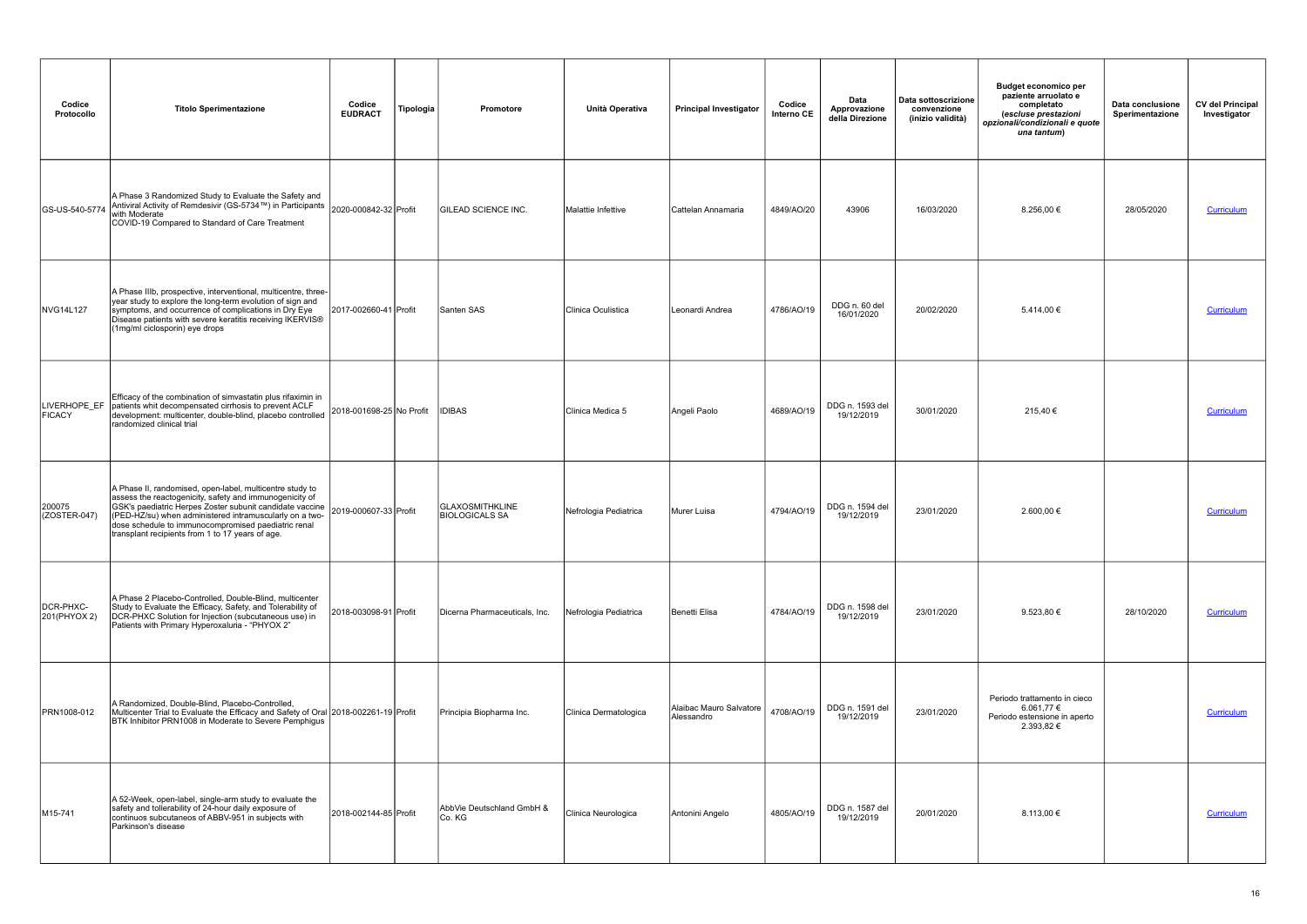| Codice<br>Protocollo          | <b>Titolo Sperimentazione</b>                                                                                                                                                                                                                                                                                                                         | Codice<br><b>EUDRACT</b> | Tipologia | Promotore                                       | Unità Operativa       | <b>Principal Investigator</b>         | Codice<br>Interno CE | Data<br>Approvazione<br>della Direzione | Data sottoscrizione<br>convenzione<br>(inizio validità) | <b>Budget economico per</b><br>paziente arruolato e<br>completato<br>(escluse prestazioni<br>opzionali/condizionali e quote<br>una tantum) | Data conclusione<br>Sperimentazione | <b>CV del Principal</b><br>Investigator |
|-------------------------------|-------------------------------------------------------------------------------------------------------------------------------------------------------------------------------------------------------------------------------------------------------------------------------------------------------------------------------------------------------|--------------------------|-----------|-------------------------------------------------|-----------------------|---------------------------------------|----------------------|-----------------------------------------|---------------------------------------------------------|--------------------------------------------------------------------------------------------------------------------------------------------|-------------------------------------|-----------------------------------------|
| GS-US-540-5774                | A Phase 3 Randomized Study to Evaluate the Safety and<br>Antiviral Activity of Remdesivir (GS-5734™) in Participants 2020-000842-32 Profit<br>with Moderate<br>COVID-19 Compared to Standard of Care Treatment                                                                                                                                        |                          |           | ÍGILEAD SCIENCE INC.                            | Malattie Infettive    | Cattelan Annamaria                    | 4849/AO/20           | 43906                                   | 16/03/2020                                              | 8.256,00 €                                                                                                                                 | 28/05/2020                          | <b>Curriculum</b>                       |
| NVG14L127                     | A Phase IIIb, prospective, interventional, multicentre, three-<br>year study to explore the long-term evolution of sign and<br>symptoms, and occurrence of complications in Dry Eye<br>Disease patients with severe keratitis receiving IKERVIS®<br>(1mg/ml ciclosporin) eye drops                                                                    | 2017-002660-41 Profit    |           | Santen SAS                                      | Clinica Oculistica    | Leonardi Andrea                       | 4786/AO/19           | DDG n. 60 del<br>16/01/2020             | 20/02/2020                                              | 5.414,00 €                                                                                                                                 |                                     | Curriculum                              |
| LIVERHOPE_EF<br><b>FICACY</b> | Efficacy of the combination of simvastatin plus rifaximin in<br>patients whit decompensated cirrhosis to prevent ACLF<br>development: multicenter, double-blind, placebo controlled<br>randomized clinical trial                                                                                                                                      | 2018-001698-25 No Profit |           | <b>IDIBAS</b>                                   | Clinica Medica 5      | Angeli Paolo                          | 4689/AO/19           | DDG n. 1593 del<br>19/12/2019           | 30/01/2020                                              | 215,40€                                                                                                                                    |                                     | Curriculum                              |
| 200075<br>$(COSTER-047)$      | A Phase II, randomised, open-label, multicentre study to<br>assess the reactogenicity, safety and immunogenicity of<br>GSK's paediatric Herpes Zoster subunit candidate vaccine<br>(PED-HZ/su) when administered intramuscularly on a two-<br>dose schedule to immunocompromised paediatric renal<br>transplant recipients from 1 to 17 years of age. | 2019-000607-33 Profit    |           | <b>GLAXOSMITHKLINE</b><br><b>BIOLOGICALS SA</b> | Nefrologia Pediatrica | Murer Luisa                           | 4794/AO/19           | DDG n. 1594 del<br>19/12/2019           | 23/01/2020                                              | 2.600,00 €                                                                                                                                 |                                     | <b>Curriculum</b>                       |
| DCR-PHXC-<br>201(PHYOX 2)     | A Phase 2 Placebo-Controlled, Double-Blind, multicenter<br>Study to Evaluate the Efficacy, Safety, and Tolerability of<br>DCR-PHXC Solution for Injection (subcutaneous use) in<br>Patients with Primary Hyperoxaluria - "PHYOX 2"                                                                                                                    | 2018-003098-91 Profit    |           | Dicerna Pharmaceuticals, Inc.                   | Nefrologia Pediatrica | Benetti Elisa                         | 4784/AO/19           | DDG n. 1598 del<br>19/12/2019           | 23/01/2020                                              | 9.523,80 €                                                                                                                                 | 28/10/2020                          | <b>Curriculum</b>                       |
| PRN1008-012                   | A Randomized, Double-Blind, Placebo-Controlled,<br>Multicenter Trial to Evaluate the Efficacy and Safety of Oral 2018-002261-19 Profit<br>BTK Inhibitor PRN1008 in Moderate to Severe Pemphigus                                                                                                                                                       |                          |           | Principia Biopharma Inc.                        | Clinica Dermatologica | Alaibac Mauro Salvatore<br>Alessandro | 4708/AO/19           | DDG n. 1591 del<br>19/12/2019           | 23/01/2020                                              | Periodo trattamento in cieco<br>6.061,77 €<br>Periodo estensione in aperto<br>2.393,82 €                                                   |                                     | <b>Curriculum</b>                       |
| M15-741                       | A 52-Week, open-label, single-arm study to evaluate the<br>safety and tollerability of 24-hour daily exposure of<br>continuos subcutaneos of ABBV-951 in subjects with<br>Parkinson's disease                                                                                                                                                         | 2018-002144-85 Profit    |           | AbbVie Deutschland GmbH &<br>Co. KG             | Clinica Neurologica   | Antonini Angelo                       | 4805/AO/19           | DDG n. 1587 del<br>19/12/2019           | 20/01/2020                                              | 8.113.00 €                                                                                                                                 |                                     | Curriculum                              |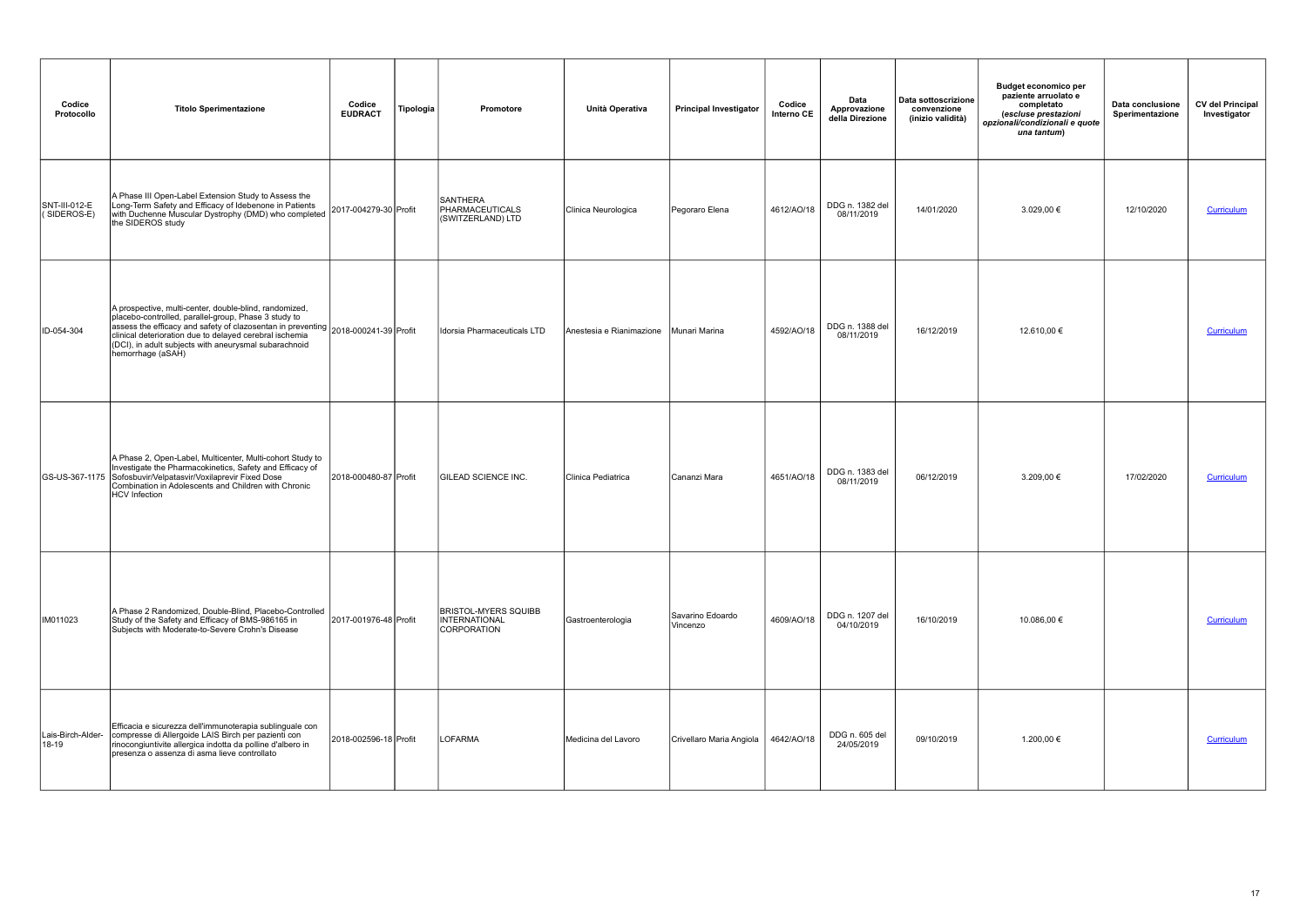| Codice<br>Protocollo               | <b>Titolo Sperimentazione</b>                                                                                                                                                                                                                                                                                                                 | Codice<br><b>EUDRACT</b> | Tipologia | Promotore                                                   | Unità Operativa          | <b>Principal Investigator</b> | Codice<br>Interno CE | Data<br>Approvazione<br>della Direzione | Data sottoscrizione<br>convenzione<br>(inizio validità) | <b>Budget economico per</b><br>paziente arruolato e<br>completato<br>(escluse prestazioni<br>opzionali/condizionali e quote<br>una tantum) | Data conclusione<br>Sperimentazione | <b>CV del Principal</b><br>Investigator |
|------------------------------------|-----------------------------------------------------------------------------------------------------------------------------------------------------------------------------------------------------------------------------------------------------------------------------------------------------------------------------------------------|--------------------------|-----------|-------------------------------------------------------------|--------------------------|-------------------------------|----------------------|-----------------------------------------|---------------------------------------------------------|--------------------------------------------------------------------------------------------------------------------------------------------|-------------------------------------|-----------------------------------------|
| SNT-III-012-E<br>$($ SIDEROS-E $)$ | A Phase III Open-Label Extension Study to Assess the<br>Long-Term Safety and Efficacy of Idebenone in Patients<br>with Duchenne Muscular Dystrophy (DMD) who completed<br>the SIDEROS study                                                                                                                                                   | 2017-004279-30 Profit    |           | <b>SANTHERA</b><br>PHARMACEUTICALS<br>(SWITZERLAND) LTD     | Clinica Neurologica      | Pegoraro Elena                | 4612/AO/18           | DDG n. 1382 del<br>08/11/2019           | 14/01/2020                                              | 3.029,00 €                                                                                                                                 | 12/10/2020                          | Curriculum                              |
| ID-054-304                         | A prospective, multi-center, double-blind, randomized,<br>placebo-controlled, parallel-group, Phase 3 study to<br>assess the efficacy and safety of clazosentan in preventing  2018-000241-39 Profit<br>clinical deterioration due to delayed cerebral ischemia<br>(DCI), in adult subjects with aneurysmal subarachnoid<br>hemorrhage (aSAH) |                          |           | Idorsia Pharmaceuticals LTD                                 | Anestesia e Rianimazione | Munari Marina                 | 4592/AO/18           | DDG n. 1388 del<br>08/11/2019           | 16/12/2019                                              | 12.610,00 €                                                                                                                                |                                     | Curriculum                              |
|                                    | A Phase 2, Open-Label, Multicenter, Multi-cohort Study to<br>Investigate the Pharmacokinetics, Safety and Efficacy of<br>GS-US-367-1175 Sofosbuvir/Velpatasvir/Voxilaprevir Fixed Dose<br>Combination in Adolescents and Children with Chronic<br>HCV Infection                                                                               | 2018-000480-87 Profit    |           | <b>GILEAD SCIENCE INC.</b>                                  | Clinica Pediatrica       | Cananzi Mara                  | 4651/AO/18           | DDG n. 1383 del<br>08/11/2019           | 06/12/2019                                              | 3.209,00 €                                                                                                                                 | 17/02/2020                          | Curriculum                              |
| IM011023                           | A Phase 2 Randomized, Double-Blind, Placebo-Controlled<br>Study of the Safety and Efficacy of BMS-986165 in<br>Subjects with Moderate-to-Severe Crohn's Disease                                                                                                                                                                               | 2017-001976-48 Profit    |           | <b>BRISTOL-MYERS SQUIBB</b><br>INTERNATIONAL<br>CORPORATION | Gastroenterologia        | Savarino Edoardo<br>Vincenzo  | 4609/AO/18           | DDG n. 1207 del<br>04/10/2019           | 16/10/2019                                              | 10.086,00 €                                                                                                                                |                                     | Curriculum                              |
| Lais-Birch-Alder-<br>18-19         | Efficacia e sicurezza dell'immunoterapia sublinguale con<br>compresse di Allergoide LAIS Birch per pazienti con<br>rinocongiuntivite allergica indotta da polline d'albero in<br>presenza o assenza di asma lieve controllato                                                                                                                 | 2018-002596-18 Profit    |           | <b>LOFARMA</b>                                              | Medicina del Lavoro      | Crivellaro Maria Angiola      | 4642/AO/18           | DDG n. 605 del<br>24/05/2019            | 09/10/2019                                              | 1.200,00 €                                                                                                                                 |                                     | <b>Curriculum</b>                       |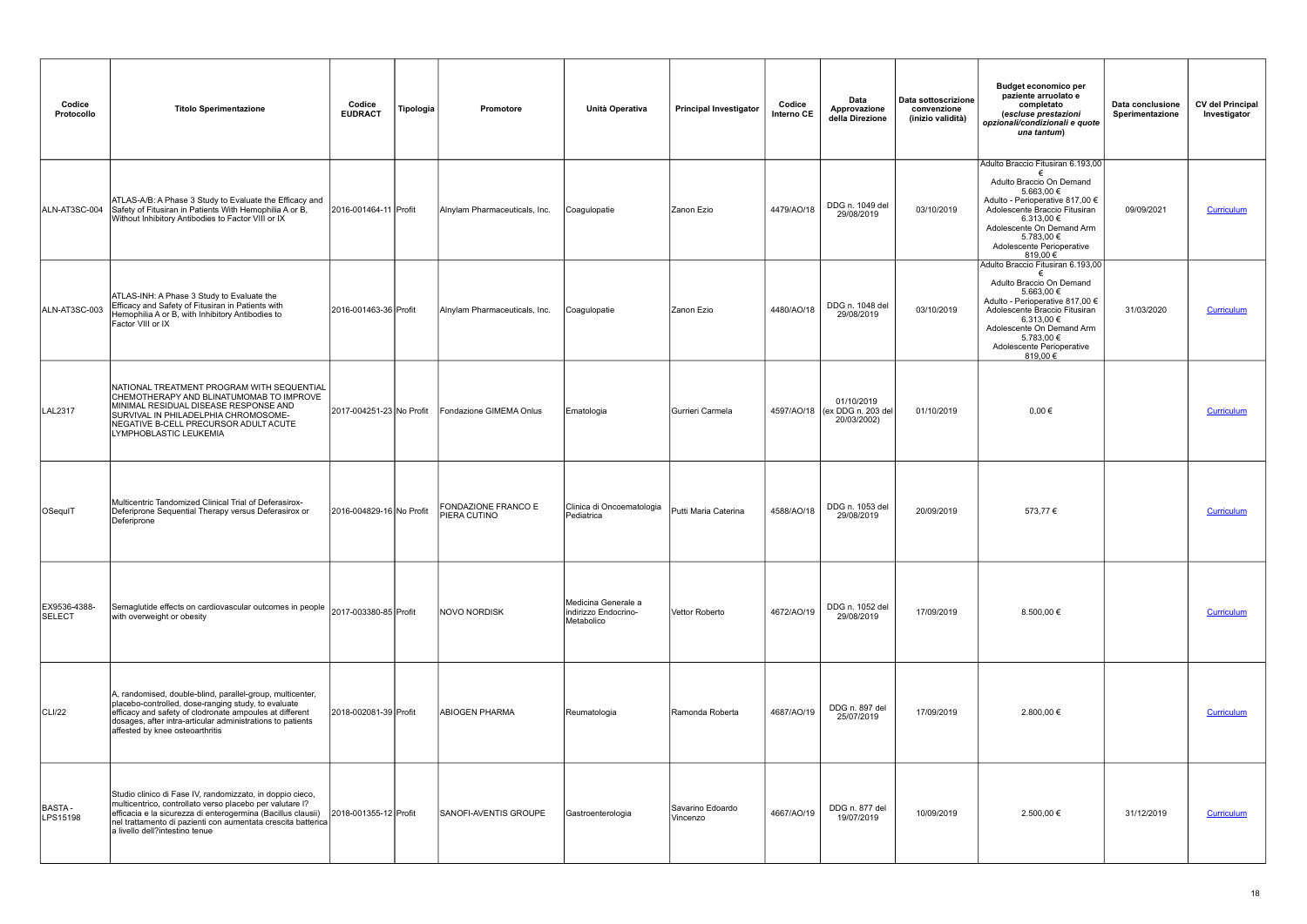| Codice<br>Protocollo   | <b>Titolo Sperimentazione</b>                                                                                                                                                                                                                                                           | Codice<br><b>EUDRACT</b> | Tipologia | Promotore                           | Unità Operativa                                           | <b>Principal Investigator</b> | Codice<br>Interno CE | Data<br>Approvazione<br>della Direzione                    | Data sottoscrizione<br>convenzione<br>(inizio validità) | <b>Budget economico per</b><br>paziente arruolato e<br>completato<br>(escluse prestazioni<br>opzionali/condizionali e quote<br>una tantum)                                                                                                        | Data conclusione<br>Sperimentazione | <b>CV del Principal</b><br>Investigator |
|------------------------|-----------------------------------------------------------------------------------------------------------------------------------------------------------------------------------------------------------------------------------------------------------------------------------------|--------------------------|-----------|-------------------------------------|-----------------------------------------------------------|-------------------------------|----------------------|------------------------------------------------------------|---------------------------------------------------------|---------------------------------------------------------------------------------------------------------------------------------------------------------------------------------------------------------------------------------------------------|-------------------------------------|-----------------------------------------|
| ALN-AT3SC-004          | ATLAS-A/B: A Phase 3 Study to Evaluate the Efficacy and<br>Safety of Fitusiran in Patients With Hemophilia A or B,<br>Without Inhibitory Antibodies to Factor VIII or IX                                                                                                                | 2016-001464-11 Profit    |           | Alnylam Pharmaceuticals, Inc.       | Coagulopatie                                              | Zanon Ezio                    | 4479/AO/18           | DDG n. 1049 del<br>29/08/2019                              | 03/10/2019                                              | Adulto Braccio Fitusiran 6.193,00<br>Adulto Braccio On Demand<br>5.663,00 €<br>Adulto - Perioperative 817,00 €<br>Adolescente Braccio Fitusiran<br>6.313,00 €<br>Adolescente On Demand Arm<br>5.783,00 €<br>Adolescente Perioperative<br>819,00 € | 09/09/2021                          | Curriculum                              |
| ALN-AT3SC-003          | ATLAS-INH: A Phase 3 Study to Evaluate the<br>Efficacy and Safety of Fitusiran in Patients with<br>Hemophilia A or B, with Inhibitory Antibodies to<br>Factor VIII or IX                                                                                                                | 2016-001463-36 Profit    |           | Alnylam Pharmaceuticals, Inc.       | Coagulopatie                                              | Zanon Ezio                    | 4480/AO/18           | DDG n. 1048 del<br>29/08/2019                              | 03/10/2019                                              | Adulto Braccio Fitusiran 6.193,00<br>Adulto Braccio On Demand<br>5.663,00 €<br>Adulto - Perioperative 817,00 €<br>Adolescente Braccio Fitusiran<br>6.313,00 €<br>Adolescente On Demand Arm<br>5.783,00 €<br>Adolescente Perioperative<br>819,00 € | 31/03/2020                          | Curriculum                              |
| LAL2317                | NATIONAL TREATMENT PROGRAM WITH SEQUENTIAL<br>CHEMOTHERAPY AND BLINATUMOMAB TO IMPROVE<br>MINIMAL RESIDUAL DISEASE RESPONSE AND<br>SURVIVAL IN PHILADELPHIA CHROMOSOME-<br>NEGATIVE B-CELL PRECURSOR ADULT ACUTE<br>LYMPHOBLASTIC LEUKEMIA                                              | 2017-004251-23 No Profit |           | Fondazione GIMEMA Onlus             | Ematologia                                                | Gurrieri Carmela              |                      | 01/10/2019<br>4597/AO/18 (ex DDG n. 203 del<br>20/03/2002) | 01/10/2019                                              | $0,00 \in$                                                                                                                                                                                                                                        |                                     | Curriculum                              |
| OSequIT                | Multicentric Tandomized Clinical Trial of Deferasirox-<br>Deferiprone Sequential Therapy versus Deferasirox or<br>Deferiprone                                                                                                                                                           | 2016-004829-16 No Profit |           | FONDAZIONE FRANCO E<br>PIERA CUTINO | Clinica di Oncoematologia<br>Pediatrica                   | Putti Maria Caterina          | 4588/AO/18           | DDG n. 1053 del<br>29/08/2019                              | 20/09/2019                                              | 573,77€                                                                                                                                                                                                                                           |                                     | Curriculum                              |
| EX9536-4388-<br>SELECT | Semaglutide effects on cardiovascular outcomes in people  2017-003380-85 Profit<br>with overweight or obesity                                                                                                                                                                           |                          |           | <b>NOVO NORDISK</b>                 | Medicina Generale a<br>indirizzo Endocrino-<br>Metabolico | Vettor Roberto                | 4672/AO/19           | DDG n. 1052 del<br>29/08/2019                              | 17/09/2019                                              | 8.500,00 €                                                                                                                                                                                                                                        |                                     | Curriculum                              |
| CLI/22                 | A, randomised, double-blind, parallel-group, multicenter,<br>placebo-controlled, dose-ranging study, to evaluate<br>efficacy and safety of clodronate ampoules at different<br>dosages, after intra-articular administrations to patients<br>affested by knee osteoarthritis            | 2018-002081-39 Profit    |           | ABIOGEN PHARMA                      | Reumatologia                                              | Ramonda Roberta               | 4687/AO/19           | DDG n. 897 del<br>25/07/2019                               | 17/09/2019                                              | 2.800,00 €                                                                                                                                                                                                                                        |                                     | Curriculum                              |
| BASTA-<br>LPS15198     | Studio clinico di Fase IV, randomizzato, in doppio cieco,<br>multicentrico, controllato verso placebo per valutare l?<br>efficacia e la sicurezza di enterogermina (Bacillus clausii)<br>nel trattamento di pazienti con aumentata crescita batterica<br>a livello dell?intestino tenue | 2018-001355-12 Profit    |           | <b>SANOFI-AVENTIS GROUPE</b>        | Gastroenterologia                                         | Savarino Edoardo<br>Vincenzo  | 4667/AO/19           | DDG n. 877 del<br>19/07/2019                               | 10/09/2019                                              | 2.500,00 €                                                                                                                                                                                                                                        | 31/12/2019                          | Curriculum                              |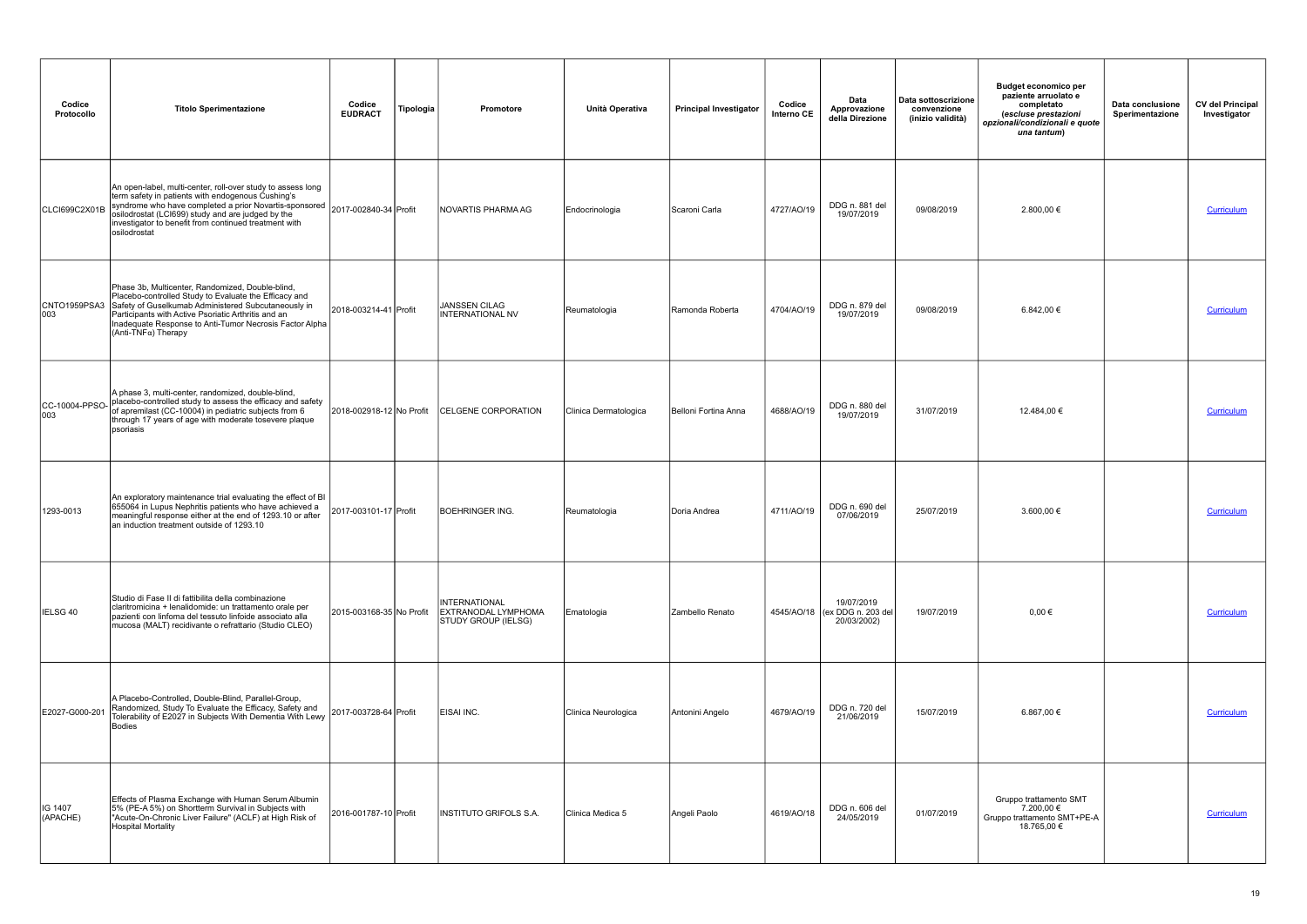| Codice<br>Protocollo   | <b>Titolo Sperimentazione</b>                                                                                                                                                                                                                                                                                                  | Codice<br><b>EUDRACT</b> | Tipologia | Promotore                                                   | Unità Operativa       | <b>Principal Investigator</b> | Codice<br>Interno CE | Data<br>Approvazione<br>della Direzione                    | Data sottoscrizione<br>convenzione<br>(inizio validità) | <b>Budget economico per</b><br>paziente arruolato e<br>completato<br>(escluse prestazioni<br>opzionali/condizionali e quote<br>una tantum) | Data conclusione<br>Sperimentazione | <b>CV del Principal</b><br>Investigator |
|------------------------|--------------------------------------------------------------------------------------------------------------------------------------------------------------------------------------------------------------------------------------------------------------------------------------------------------------------------------|--------------------------|-----------|-------------------------------------------------------------|-----------------------|-------------------------------|----------------------|------------------------------------------------------------|---------------------------------------------------------|--------------------------------------------------------------------------------------------------------------------------------------------|-------------------------------------|-----------------------------------------|
| CLCI699C2X01B          | An open-label, multi-center, roll-over study to assess long<br>term safety in patients with endogenous Cushing's<br>syndrome who have completed a prior Novartis-sponsored 2017-002840-34 Profit<br>osilodrostat (LCI699) study and are judged by the<br>investigator to benefit from continued treatment with<br>osilodrostat |                          |           | NOVARTIS PHARMA AG                                          | Endocrinologia        | Scaroni Carla                 | 4727/AO/19           | DDG n. 881 del<br>19/07/2019                               | 09/08/2019                                              | 2.800,00 €                                                                                                                                 |                                     | Curriculum                              |
| CNTO1959PSA3<br>003    | Phase 3b, Multicenter, Randomized, Double-blind,<br>Placebo-controlled Study to Evaluate the Efficacy and<br>Safety of Guselkumab Administered Subcutaneously in<br>Participants with Active Psoriatic Arthritis and an<br>Inadequate Response to Anti-Tumor Necrosis Factor Alpha<br>(Anti-TNFα) Therapy                      | 2018-003214-41 Profit    |           | JANSSEN CILAG<br>INTERNATIONAL NV                           | Reumatologia          | Ramonda Roberta               | 4704/AO/19           | DDG n. 879 del<br>19/07/2019                               | 09/08/2019                                              | 6.842,00 €                                                                                                                                 |                                     | Curriculum                              |
| CC-10004-PPSO-<br>1003 | A phase 3, multi-center, randomized, double-blind,<br>placebo-controlled study to assess the efficacy and safety<br>of apremilast (CC-10004) in pediatric subjects from 6<br>through 17 years of age with moderate tosevere plaque<br>psoriasis                                                                                | 2018-002918-12 No Profit |           | <b>CELGENE CORPORATION</b>                                  | Clinica Dermatologica | Belloni Fortina Anna          | 4688/AO/19           | DDG n. 880 del<br>19/07/2019                               | 31/07/2019                                              | 12.484,00 €                                                                                                                                |                                     | Curriculum                              |
| 1293-0013              | An exploratory maintenance trial evaluating the effect of BI<br>655064 in Lupus Nephritis patients who have achieved a<br>meaningful response either at the end of 1293.10 or after<br>an induction treatment outside of 1293.10                                                                                               | 2017-003101-17 Profit    |           | BOEHRINGER ING.                                             | Reumatologia          | Doria Andrea                  | 4711/AO/19           | DDG n. 690 del<br>07/06/2019                               | 25/07/2019                                              | 3.600,00 €                                                                                                                                 |                                     | Curriculum                              |
| IELSG 40               | Studio di Fase II di fattibilita della combinazione<br>claritromicina + lenalidomide: un trattamento orale per<br>pazienti con linfoma del tessuto linfoide associato alla<br>mucosa (MALT) recidivante o refrattario (Studio CLEO)                                                                                            | 2015-003168-35 No Profit |           | INTERNATIONAL<br>EXTRANODAL LYMPHOMA<br>STUDY GROUP (IELSG) | Ematologia            | Zambello Renato               |                      | 19/07/2019<br>4545/AO/18 (ex DDG n. 203 del<br>20/03/2002) | 19/07/2019                                              | $0,00 \in$                                                                                                                                 |                                     | Curriculum                              |
| E2027-G000-201         | A Placebo-Controlled, Double-Blind, Parallel-Group,<br>Randomized, Study To Evaluate the Efficacy, Safety and<br>Tolerability of E2027 in Subjects With Dementia With Lewy<br>Bodies                                                                                                                                           | 2017-003728-64 Profit    |           | EISAI INC.                                                  | Clinica Neurologica   | Antonini Angelo               | 4679/AO/19           | DDG n. 720 del<br>21/06/2019                               | 15/07/2019                                              | 6.867,00 €                                                                                                                                 |                                     | <b>Curriculum</b>                       |
| IG 1407<br>(APACHE)    | Effects of Plasma Exchange with Human Serum Albumin<br>5% (PE-A 5%) on Shortterm Survival in Subjects with<br>"Acute-On-Chronic Liver Failure" (ACLF) at High Risk of<br>Hospital Mortality                                                                                                                                    | 2016-001787-10 Profit    |           | INSTITUTO GRIFOLS S.A.                                      | Clinica Medica 5      | Angeli Paolo                  | 4619/AO/18           | DDG n. 606 del<br>24/05/2019                               | 01/07/2019                                              | Gruppo trattamento SMT<br>7.200,00 €<br>Gruppo trattamento SMT+PE-A<br>18.765,00 €                                                         |                                     | Curriculum                              |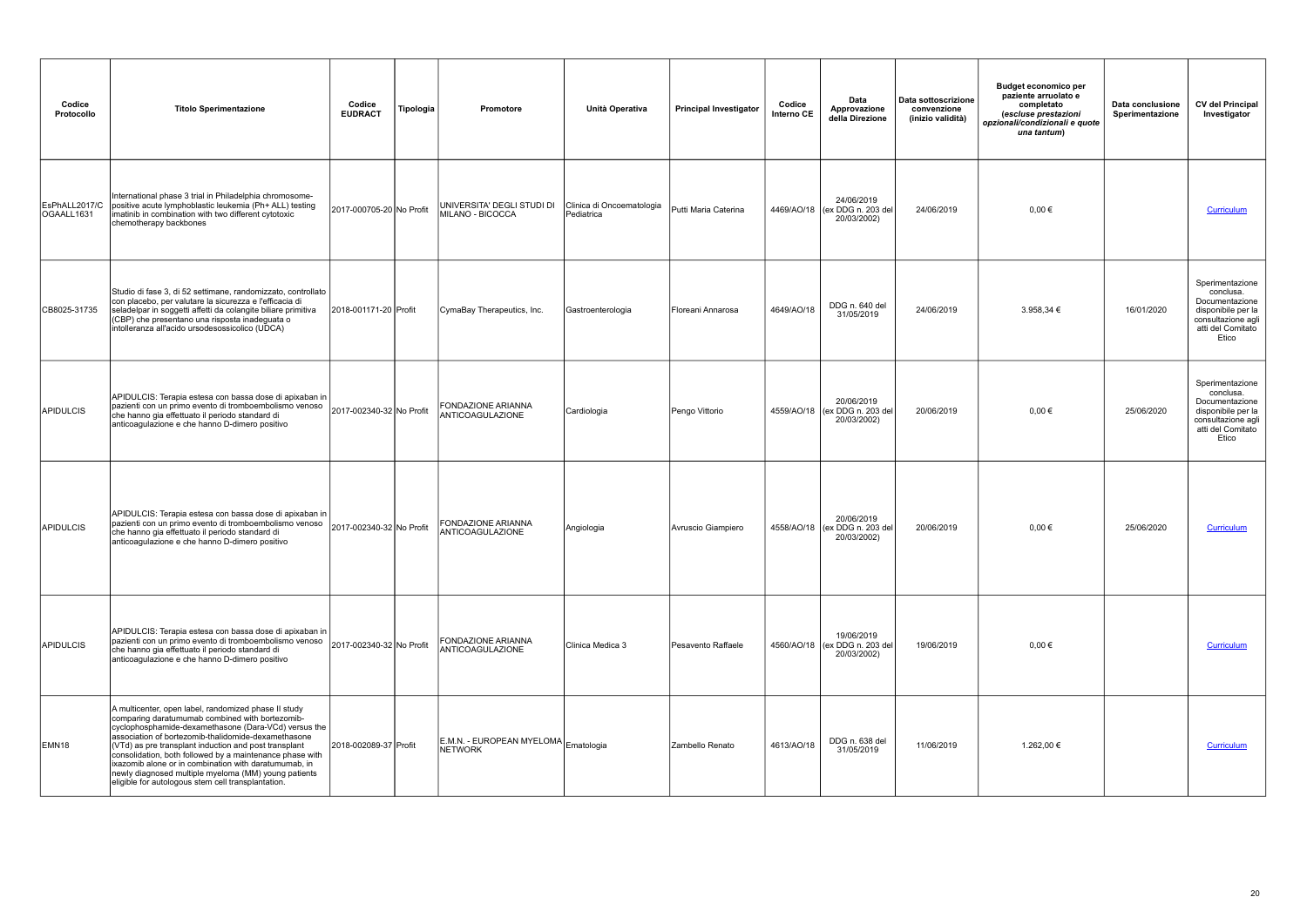| Codice<br>Protocollo        | <b>Titolo Sperimentazione</b>                                                                                                                                                                                                                                                                                                                                                                                                                                                                                      | Codice<br><b>EUDRACT</b> | Tipologia | Promotore                                       | Unità Operativa                         | <b>Principal Investigator</b> | Codice<br>Interno CE | Data<br>Approvazione<br>della Direzione                    | Data sottoscrizione<br>convenzione<br>(inizio validità) | Budget economico per<br>paziente arruolato e<br>completato<br>(escluse prestazioni<br>opzionali/condizionali e quote<br>una tantum) | Data conclusione<br>Sperimentazione | <b>CV del Principal</b><br>Investigator                                                                                  |
|-----------------------------|--------------------------------------------------------------------------------------------------------------------------------------------------------------------------------------------------------------------------------------------------------------------------------------------------------------------------------------------------------------------------------------------------------------------------------------------------------------------------------------------------------------------|--------------------------|-----------|-------------------------------------------------|-----------------------------------------|-------------------------------|----------------------|------------------------------------------------------------|---------------------------------------------------------|-------------------------------------------------------------------------------------------------------------------------------------|-------------------------------------|--------------------------------------------------------------------------------------------------------------------------|
| EsPhALL2017/C<br>OGAALL1631 | International phase 3 trial in Philadelphia chromosome-<br>positive acute lymphoblastic leukemia (Ph+ ALL) testing<br>imatinib in combination with two different cytotoxic<br>chemotherapy backbones                                                                                                                                                                                                                                                                                                               | 2017-000705-20 No Profit |           | UNIVERSITA' DEGLI STUDI DI<br>MILANO - BICOCCA  | Clinica di Oncoematologia<br>Pediatrica | Putti Maria Caterina          |                      | 24/06/2019<br>4469/AO/18 (ex DDG n. 203 del<br>20/03/2002) | 24/06/2019                                              | $0.00 \in$                                                                                                                          |                                     | Curriculum                                                                                                               |
| CB8025-31735                | Studio di fase 3, di 52 settimane, randomizzato, controllato<br>con placebo, per valutare la sicurezza e l'efficacia di<br>seladelpar in soggetti affetti da colangite biliare primitiva<br>(CBP) che presentano una risposta inadeguata o<br>intolleranza all'acido ursodesossicolico (UDCA)                                                                                                                                                                                                                      | 2018-001171-20 Profit    |           | CymaBay Therapeutics, Inc.                      | Gastroenterologia                       | Floreani Annarosa             | 4649/AO/18           | DDG n. 640 del<br>31/05/2019                               | 24/06/2019                                              | 3.958,34 €                                                                                                                          | 16/01/2020                          | Sperimentazione<br>conclusa.<br>Documentazione<br>disponibile per la<br>consultazione agli<br>atti del Comitato<br>Etico |
| <b>APIDULCIS</b>            | APIDULCIS: Terapia estesa con bassa dose di apixaban in<br>pazienti con un primo evento di tromboembolismo venoso<br>che hanno gia effettuato il periodo standard di<br>anticoagulazione e che hanno D-dimero positivo                                                                                                                                                                                                                                                                                             | 2017-002340-32 No Profit |           | FONDAZIONE ARIANNA<br>ANTICOAGULAZIONE          | Cardiologia                             | Pengo Vittorio                |                      | 20/06/2019<br>4559/AO/18 (ex DDG n. 203 del<br>20/03/2002) | 20/06/2019                                              | $0,00 \in$                                                                                                                          | 25/06/2020                          | Sperimentazione<br>conclusa.<br>Documentazione<br>disponibile per la<br>consultazione agli<br>atti del Comitato<br>Etico |
| APIDULCIS                   | APIDULCIS: Terapia estesa con bassa dose di apixaban in<br>pazienti con un primo evento di tromboembolismo venoso<br>che hanno gia effettuato il periodo standard di<br>anticoagulazione e che hanno D-dimero positivo                                                                                                                                                                                                                                                                                             | 2017-002340-32 No Profit |           | FONDAZIONE ARIANNA<br>ANTICOAGULAZIONE          | Angiologia                              | Avruscio Giampiero            |                      | 20/06/2019<br>4558/AO/18 (ex DDG n. 203 del<br>20/03/2002) | 20/06/2019                                              | $0.00 \in$                                                                                                                          | 25/06/2020                          | Curriculum                                                                                                               |
| APIDULCIS                   | APIDULCIS: Terapia estesa con bassa dose di apixaban in<br>pazienti con un primo evento di tromboembolismo venoso<br>che hanno gia effettuato il periodo standard di<br>anticoagulazione e che hanno D-dimero positivo                                                                                                                                                                                                                                                                                             | 2017-002340-32 No Profit |           | FONDAZIONE ARIANNA<br>ANTICOAGULAZIONE          | <b>Clinica Medica 3</b>                 | Pesavento Raffaele            |                      | 19/06/2019<br>4560/AO/18 (ex DDG n. 203 del<br>20/03/2002) | 19/06/2019                                              | $0,00 \in$                                                                                                                          |                                     | Curriculum                                                                                                               |
| EMN <sub>18</sub>           | A multicenter, open label, randomized phase II study<br>comparing daratumumab combined with bortezomib-<br>cyclophosphamide-dexamethasone (Dara-VCd) versus the<br>association of bortezomib-thalidomide-dexamethasone<br>(VTd) as pre transplant induction and post transplant<br>consolidation, both followed by a maintenance phase with<br>ixazomib alone or in combination with daratumumab, in<br>newly diagnosed multiple myeloma (MM) young patients<br>eligible for autologous stem cell transplantation. | 2018-002089-37 Profit    |           | E.M.N. - EUROPEAN MYELOMA Ematologia<br>NETWORK |                                         | Zambello Renato               | 4613/AO/18           | DDG n. 638 del<br>31/05/2019                               | 11/06/2019                                              | 1.262,00 €                                                                                                                          |                                     | Curriculum                                                                                                               |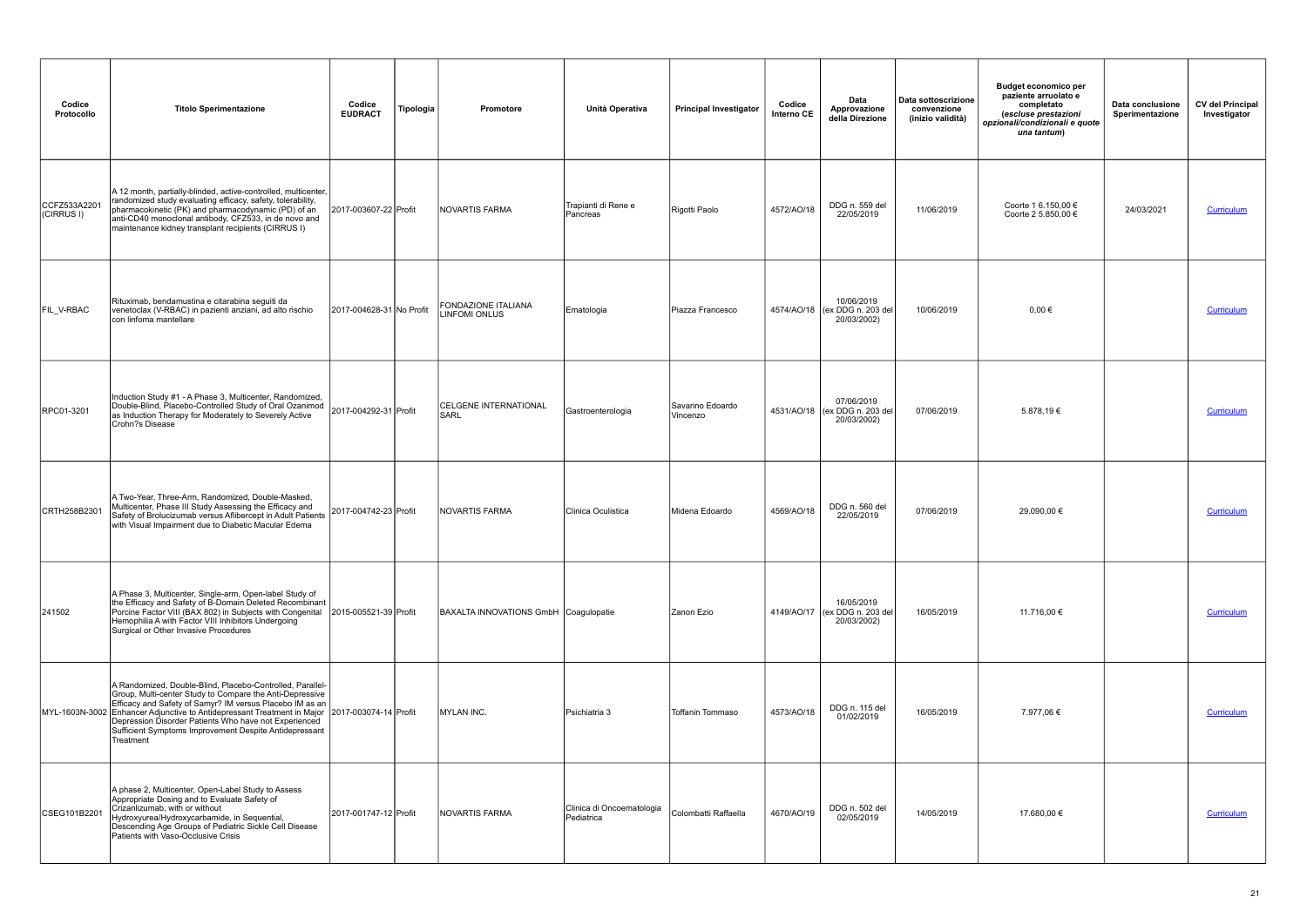| Codice<br>Protocollo       | <b>Titolo Sperimentazione</b>                                                                                                                                                                                                                                                                                                                                                                                      | Codice<br><b>EUDRACT</b> | Tipologia | Promotore                                   | Unità Operativa                         | <b>Principal Investigator</b> | Codice<br>Interno CE | Data<br>Approvazione<br>della Direzione                    | Data sottoscrizione<br>convenzione<br>(inizio validità) | <b>Budget economico per</b><br>paziente arruolato e<br>completato<br>(escluse prestazioni<br>opzionali/condizionali e quote<br>una tantum) | Data conclusione<br>Sperimentazione | <b>CV del Principal</b><br>Investigator |
|----------------------------|--------------------------------------------------------------------------------------------------------------------------------------------------------------------------------------------------------------------------------------------------------------------------------------------------------------------------------------------------------------------------------------------------------------------|--------------------------|-----------|---------------------------------------------|-----------------------------------------|-------------------------------|----------------------|------------------------------------------------------------|---------------------------------------------------------|--------------------------------------------------------------------------------------------------------------------------------------------|-------------------------------------|-----------------------------------------|
| CCFZ533A2201<br>(CIRRUS I) | A 12 month, partially-blinded, active-controlled, multicenter,<br>randomized study evaluating efficacy, safety, tolerability,<br>pharmacokinetic (PK) and pharmacodynamic (PD) of an<br>anti-CD40 monoclonal antibody, CFZ533, in de novo and<br>maintenance kidney transplant recipients (CIRRUS I)                                                                                                               | 2017-003607-22 Profit    |           | NOVARTIS FARMA                              | Trapianti di Rene e<br>Pancreas         | Rigotti Paolo                 | 4572/AO/18           | DDG n. 559 del<br>22/05/2019                               | 11/06/2019                                              | Coorte 1 6.150,00 €<br>Coorte 2 5.850.00 €                                                                                                 | 24/03/2021                          | <b>Curriculum</b>                       |
| FIL_V-RBAC                 | Rituximab, bendamustina e citarabina seguiti da<br>venetoclax (V-RBAC) in pazienti anziani, ad alto rischio<br>con linfoma mantellare                                                                                                                                                                                                                                                                              | 2017-004628-31 No Profit |           | FONDAZIONE ITALIANA<br><b>LINFOMI ONLUS</b> | Ematologia                              | Piazza Francesco              |                      | 10/06/2019<br>4574/AO/18 (ex DDG n. 203 del<br>20/03/2002) | 10/06/2019                                              | $0,00 \in$                                                                                                                                 |                                     | Curriculum                              |
| RPC01-3201                 | Induction Study #1 - A Phase 3, Multicenter, Randomized,<br>Double-Blind, Placebo-Controlled Study of Oral Ozanimod<br>as Induction Therapy for Moderately to Severely Active<br>Crohn?s Disease                                                                                                                                                                                                                   | 2017-004292-31 Profit    |           | <b>CELGENE INTERNATIONAL</b><br><b>SARL</b> | Gastroenterologia                       | Savarino Edoardo<br>Vincenzo  |                      | 07/06/2019<br>4531/AO/18 (ex DDG n. 203 del<br>20/03/2002) | 07/06/2019                                              | 5.878,19€                                                                                                                                  |                                     | Curriculum                              |
| CRTH258B2301               | A Two-Year, Three-Arm, Randomized, Double-Masked,<br>Multicenter, Phase III Study Assessing the Efficacy and<br>Safety of Brolucizumab versus Aflibercept in Adult Patients<br>with Visual Impairment due to Diabetic Macular Edema                                                                                                                                                                                | 2017-004742-23 Profit    |           | NOVARTIS FARMA                              | Clinica Oculistica                      | Midena Edoardo                | 4569/AO/18           | DDG n. 560 del<br>22/05/2019                               | 07/06/2019                                              | 29.090,00 €                                                                                                                                |                                     | <b>Curriculum</b>                       |
| 241502                     | A Phase 3, Multicenter, Single-arm, Open-label Study of<br>the Efficacy and Safety of B-Domain Deleted Recombinant<br>Porcine Factor VIII (BAX 802) in Subjects with Congenital<br>Hemophilia A with Factor VIII Inhibitors Undergoing<br>Surgical or Other Invasive Procedures                                                                                                                                    | 2015-005521-39 Profit    |           | BAXALTA INNOVATIONS GmbH Coagulopatie       |                                         | Zanon Ezio                    |                      | 16/05/2019<br>4149/AO/17 (ex DDG n. 203 del<br>20/03/2002) | 16/05/2019                                              | 11.716,00 €                                                                                                                                |                                     | Curriculum                              |
|                            | A Randomized, Double-Blind, Placebo-Controlled, Parallel-<br>Group, Multi-center Study to Compare the Anti-Depressive<br>Efficacy and Safety of Samyr? IM versus Placebo IM as an<br>MYL-1603N-3002 Enhancer Adjunctive to Antidepressant Treatment in Major 2017-003074-14 Profit<br>Depression Disorder Patients Who have not Experienced<br>Sufficient Symptoms Improvement Despite Antidepressant<br>Treatment |                          |           | MYLAN INC.                                  | Psichiatria 3                           | <b>Toffanin Tommaso</b>       | 4573/AO/18           | DDG n. 115 del<br>01/02/2019                               | 16/05/2019                                              | 7.977,06 €                                                                                                                                 |                                     | Curriculum                              |
| CSEG101B2201               | A phase 2, Multicenter, Open-Label Study to Assess<br>Appropriate Dosing and to Evaluate Safety of<br>Crizanlizumab, with or without<br>Hydroxyurea/Hydroxycarbamide, in Sequential,<br>Descending Age Groups of Pediatric Sickle Cell Disease<br>Patients with Vaso-Occlusive Crisis                                                                                                                              | 2017-001747-12 Profit    |           | INOVARTIS FARMA                             | Clinica di Oncoematologia<br>Pediatrica | Colombatti Raffaella          | 4670/AO/19           | DDG n. 502 del<br>02/05/2019                               | 14/05/2019                                              | 17.680,00 €                                                                                                                                |                                     | Curriculum                              |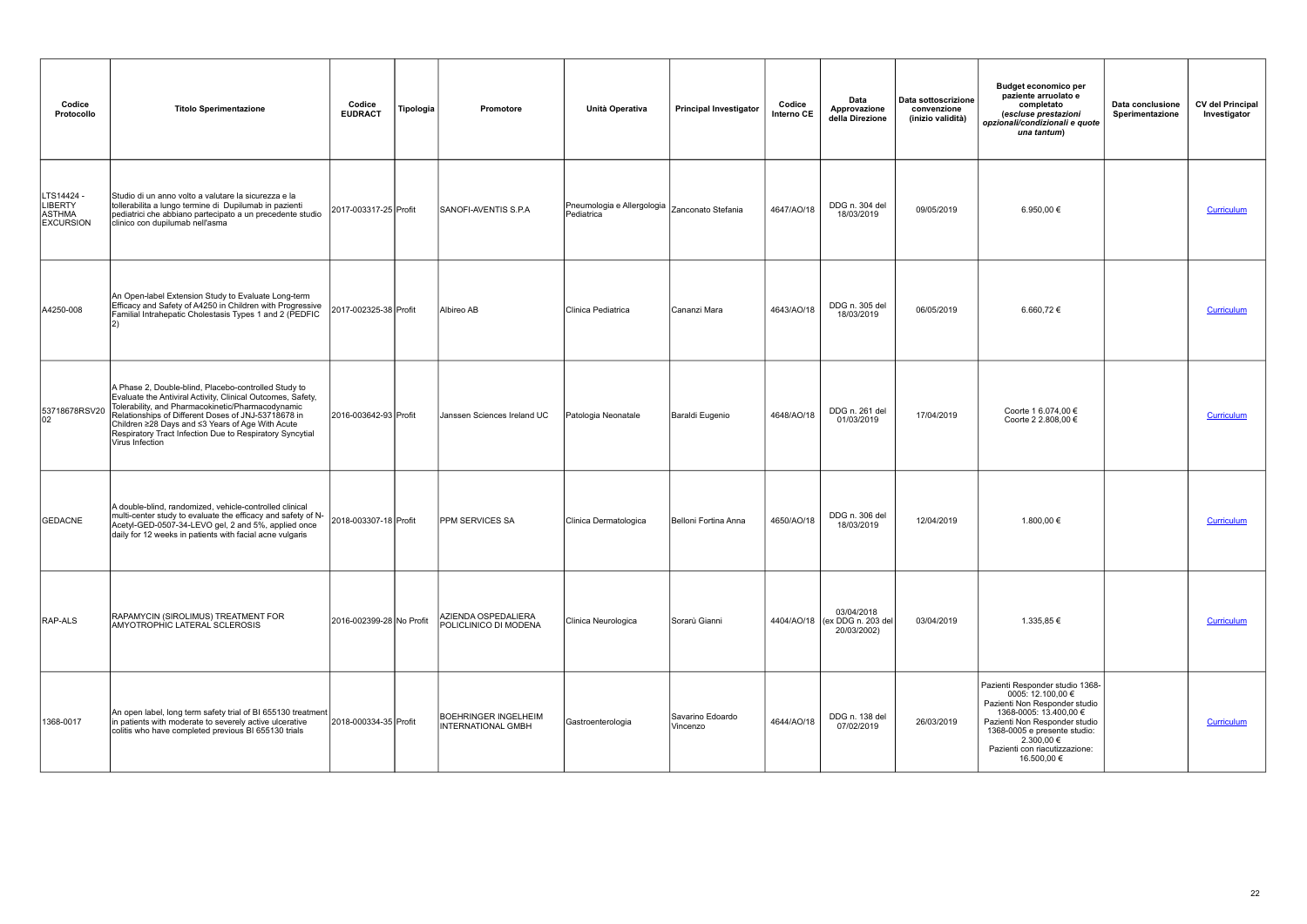| Codice<br>Protocollo                                              | <b>Titolo Sperimentazione</b>                                                                                                                                                                                                                                                                                                                                      | Codice<br>Tipologia<br><b>EUDRACT</b> | Promotore                                         | Unità Operativa                          | <b>Principal Investigator</b> | Codice<br>Interno CE | Data<br>Approvazione<br>della Direzione                    | Data sottoscrizione<br>convenzione<br>(inizio validità) | <b>Budget economico per</b><br>paziente arruolato e<br>completato<br>(escluse prestazioni<br>opzionali/condizionali e quote<br>una tantum)                                                                                                     | Data conclusione<br>Sperimentazione | <b>CV del Principal</b><br>Investigator |
|-------------------------------------------------------------------|--------------------------------------------------------------------------------------------------------------------------------------------------------------------------------------------------------------------------------------------------------------------------------------------------------------------------------------------------------------------|---------------------------------------|---------------------------------------------------|------------------------------------------|-------------------------------|----------------------|------------------------------------------------------------|---------------------------------------------------------|------------------------------------------------------------------------------------------------------------------------------------------------------------------------------------------------------------------------------------------------|-------------------------------------|-----------------------------------------|
| LTS14424 -<br><b>LIBERTY</b><br><b>ASTHMA</b><br><b>EXCURSION</b> | Studio di un anno volto a valutare la sicurezza e la<br>tollerabilita a lungo termine di Dupilumab in pazienti<br>pediatrici che abbiano partecipato a un precedente studio<br>clinico con dupilumab nell'asma                                                                                                                                                     | 2017-003317-25 Profit                 | SANOFI-AVENTIS S.P.A                              | Pneumologia e Allergologia<br>Pediatrica | Zanconato Stefania            | 4647/AO/18           | DDG n. 304 del<br>18/03/2019                               | 09/05/2019                                              | 6.950,00 €                                                                                                                                                                                                                                     |                                     | Curriculum                              |
| A4250-008                                                         | An Open-label Extension Study to Evaluate Long-term<br>Efficacy and Safety of A4250 in Children with Progressive<br>Familial Intrahepatic Cholestasis Types 1 and 2 (PEDFIC                                                                                                                                                                                        | 2017-002325-38 Profit                 | Albireo AB                                        | Clinica Pediatrica                       | Cananzi Mara                  | 4643/AO/18           | DDG n. 305 del<br>18/03/2019                               | 06/05/2019                                              | 6.660,72€                                                                                                                                                                                                                                      |                                     | Curriculum                              |
| 53718678RSV20<br>02                                               | A Phase 2, Double-blind, Placebo-controlled Study to<br>Evaluate the Antiviral Activity, Clinical Outcomes, Safety,<br>Tolerability, and Pharmacokinetic/Pharmacodynamic<br>Relationships of Different Doses of JNJ-53718678 in<br>Children ≥28 Days and ≤3 Years of Age With Acute<br>Respiratory Tract Infection Due to Respiratory Syncytial<br>Virus Infection | 2016-003642-93 Profit                 | Janssen Sciences Ireland UC                       | Patologia Neonatale                      | Baraldi Eugenio               | 4648/AO/18           | DDG n. 261 del<br>01/03/2019                               | 17/04/2019                                              | Coorte 1 6.074,00 €<br>Coorte 2 2.808,00 €                                                                                                                                                                                                     |                                     | <b>Curriculum</b>                       |
| <b>GEDACNE</b>                                                    | A double-blind, randomized, vehicle-controlled clinical<br>multi-center study to evaluate the efficacy and safety of N-<br>Acetyl-GED-0507-34-LEVO gel, 2 and 5%, applied once<br>daily for 12 weeks in patients with facial acne vulgaris                                                                                                                         | 2018-003307-18 Profit                 | <b>PPM SERVICES SA</b>                            | Clinica Dermatologica                    | Belloni Fortina Anna          | 4650/AO/18           | DDG n. 306 del<br>18/03/2019                               | 12/04/2019                                              | 1.800,00 €                                                                                                                                                                                                                                     |                                     | Curriculum                              |
| RAP-ALS                                                           | RAPAMYCIN (SIROLIMUS) TREATMENT FOR<br>AMYOTROPHIC LATERAL SCLEROSIS                                                                                                                                                                                                                                                                                               | 2016-002399-28 No Profit              | AZIENDA OSPEDALIERA<br>POLICLINICO DI MODENA      | Clinica Neurologica                      | Sorarù Gianni                 |                      | 03/04/2018<br>4404/AO/18 (ex DDG n. 203 del<br>20/03/2002) | 03/04/2019                                              | 1.335,85 €                                                                                                                                                                                                                                     |                                     | Curriculum                              |
| 1368-0017                                                         | An open label, long term safety trial of BI 655130 treatment<br>in patients with moderate to severely active ulcerative<br>colitis who have completed previous BI 655130 trials                                                                                                                                                                                    | 2018-000334-35 Profit                 | <b>BOEHRINGER INGELHEIM</b><br>INTERNATIONAL GMBH | Gastroenterologia                        | Savarino Edoardo<br>Vincenzo  | 4644/AO/18           | DDG n. 138 del<br>07/02/2019                               | 26/03/2019                                              | Pazienti Responder studio 1368-<br>0005: 12.100,00 €<br>Pazienti Non Responder studio<br>1368-0005: 13.400,00 €<br>Pazienti Non Responder studio<br>1368-0005 e presente studio:<br>2.300,00 €<br>Pazienti con riacutizzazione:<br>16.500,00 € |                                     | Curriculum                              |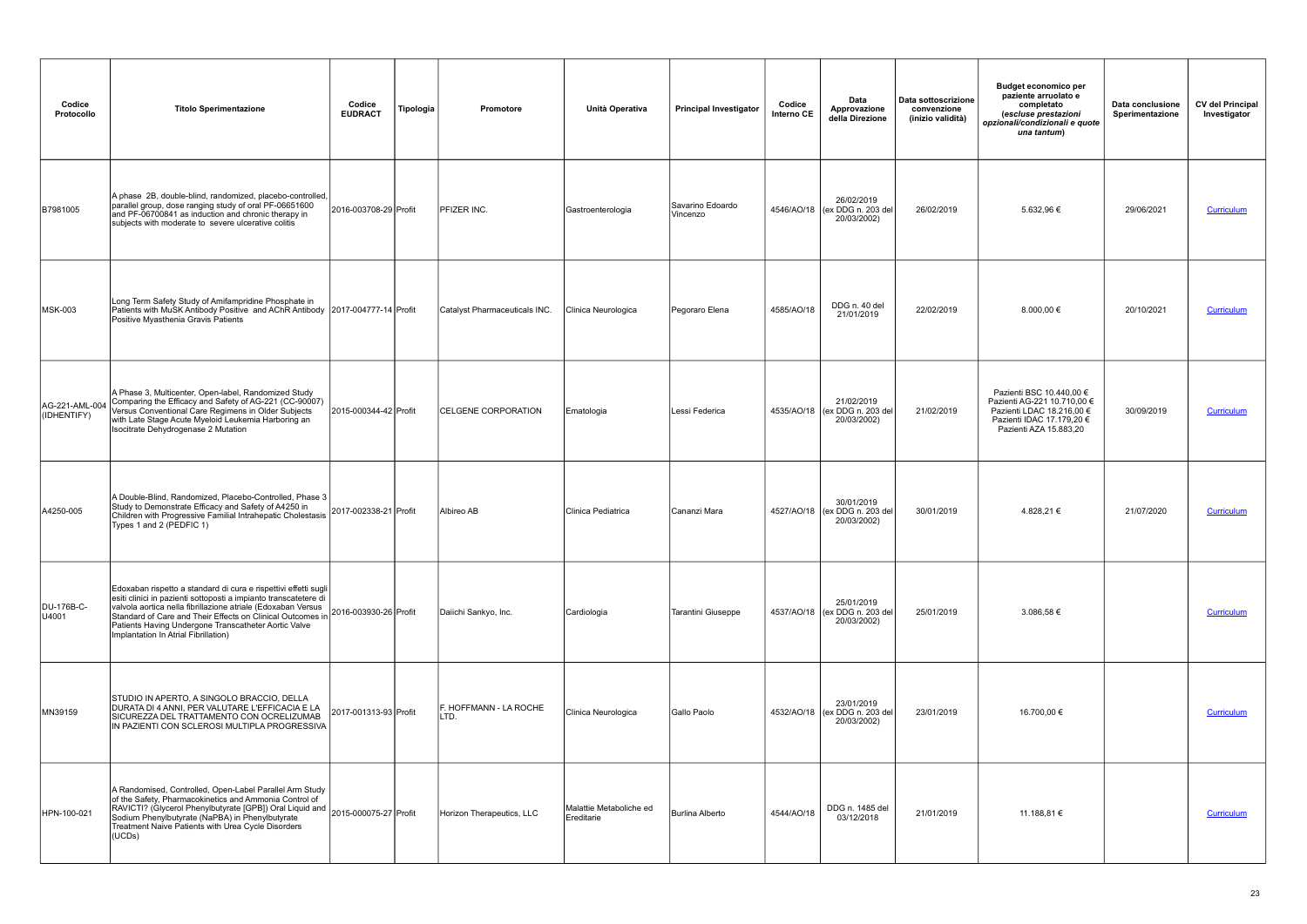| Codice<br>Protocollo          | <b>Titolo Sperimentazione</b>                                                                                                                                                                                                                                                                                                                                     | Codice<br><b>EUDRACT</b> | Tipologia | <b>Promotore</b>               | Unità Operativa                       | <b>Principal Investigator</b> | Codice<br>Interno CE | Data<br>Approvazione<br>della Direzione                    | Data sottoscrizione<br>convenzione<br>(inizio validità) | <b>Budget economico per</b><br>paziente arruolato e<br>completato<br>(escluse prestazioni<br>opzionali/condizionali e quote<br>una tantum)  | Data conclusione<br>Sperimentazione | <b>CV del Principal</b><br>Investigator |
|-------------------------------|-------------------------------------------------------------------------------------------------------------------------------------------------------------------------------------------------------------------------------------------------------------------------------------------------------------------------------------------------------------------|--------------------------|-----------|--------------------------------|---------------------------------------|-------------------------------|----------------------|------------------------------------------------------------|---------------------------------------------------------|---------------------------------------------------------------------------------------------------------------------------------------------|-------------------------------------|-----------------------------------------|
| B7981005                      | A phase 2B, double-blind, randomized, placebo-controlled,<br>parallel group, dose ranging study of oral PF-06651600<br>and PF-06700841 as induction and chronic therapy in<br>subjects with moderate to severe ulcerative colitis                                                                                                                                 | 2016-003708-29 Profit    |           | <b>PFIZER INC.</b>             | Gastroenterologia                     | Savarino Edoardo<br>Vincenzo  |                      | 26/02/2019<br>4546/AO/18 (ex DDG n. 203 del<br>20/03/2002) | 26/02/2019                                              | 5.632,96 €                                                                                                                                  | 29/06/2021                          | Curriculum                              |
| MSK-003                       | Long Term Safety Study of Amifampridine Phosphate in<br>Patients with MuSK Antibody Positive and AChR Antibody 2017-004777-14 Profit<br>Positive Myasthenia Gravis Patients                                                                                                                                                                                       |                          |           | Catalyst Pharmaceuticals INC.  | Clinica Neurologica                   | Pegoraro Elena                | 4585/AO/18           | DDG n. 40 del<br>21/01/2019                                | 22/02/2019                                              | 8.000,00 $\in$                                                                                                                              | 20/10/2021                          | <b>Curriculum</b>                       |
| AG-221-AML-004<br>(IDHENTIFY) | A Phase 3, Multicenter, Open-label, Randomized Study<br>Comparing the Efficacy and Safety of AG-221 (CC-90007)<br>Versus Conventional Care Regimens in Older Subjects<br>with Late Stage Acute Myeloid Leukemia Harboring an<br>Isocitrate Dehydrogenase 2 Mutation                                                                                               | 2015-000344-42 Profit    |           | <b>CELGENE CORPORATION</b>     | Ematologia                            | Lessi Federica                |                      | 21/02/2019<br>4535/AO/18 (ex DDG n. 203 del<br>20/03/2002) | 21/02/2019                                              | Pazienti BSC 10.440,00 €<br>Pazienti AG-221 10.710,00 €<br>Pazienti LDAC 18.216,00 €<br>Pazienti IDAC 17.179,20 €<br>Pazienti AZA 15.883,20 | 30/09/2019                          | Curriculum                              |
| A4250-005                     | A Double-Blind, Randomized, Placebo-Controlled, Phase 3<br>Study to Demonstrate Efficacy and Safety of A4250 in<br>Children with Progressive Familial Intrahepatic Cholestasis<br>Types 1 and 2 (PEDFIC 1)                                                                                                                                                        | 2017-002338-21 Profit    |           | Albireo AB                     | Clinica Pediatrica                    | Cananzi Mara                  |                      | 30/01/2019<br>4527/AO/18 (ex DDG n. 203 del<br>20/03/2002) | 30/01/2019                                              | 4.828,21€                                                                                                                                   | 21/07/2020                          | <b>Curriculum</b>                       |
| DU-176B-C-<br>U4001           | Edoxaban rispetto a standard di cura e rispettivi effetti sugli<br>esiti clinici in pazienti sottoposti a impianto transcatetere di<br>valvola aortica nella fibrillazione atriale (Edoxaban Versus<br>Standard of Care and Their Effects on Clinical Outcomes in<br>Patients Having Undergone Transcatheter Aortic Valve<br>Implantation In Atrial Fibrillation) | 2016-003930-26 Profit    |           | Daiichi Sankyo, Inc.           | Cardiologia                           | Tarantini Giuseppe            |                      | 25/01/2019<br>4537/AO/18 (ex DDG n. 203 del<br>20/03/2002) | 25/01/2019                                              | 3.086,58 €                                                                                                                                  |                                     | Curriculum                              |
| MN39159                       | STUDIO IN APERTO, A SINGOLO BRACCIO, DELLA<br>DURATA DI 4 ANNI, PER VALUTARE L'EFFICACIA E LA<br>SICUREZZA DEL TRATTAMENTO CON OCRELIZUMAB<br>IN PAZIENTI CON SCLEROSI MULTIPLA PROGRESSIVA                                                                                                                                                                       | 2017-001313-93 Profit    |           | F. HOFFMANN - LA ROCHE<br>LTD. | Clinica Neurologica                   | Gallo Paolo                   |                      | 23/01/2019<br>4532/AO/18 (ex DDG n. 203 del<br>20/03/2002) | 23/01/2019                                              | 16.700,00 €                                                                                                                                 |                                     | <b>Curriculum</b>                       |
| HPN-100-021                   | A Randomised, Controlled, Open-Label Parallel Arm Study<br>of the Safety, Pharmacokinetics and Ammonia Control of<br>RAVICTI? (Glycerol Phenylbutyrate [GPB]) Oral Liquid and 2015-000075-27 Profit<br>Sodium Phenylbutyrate (NaPBA) in Phenylbutyrate<br>Treatment Naive Patients with Urea Cycle Disorders<br>(UCDs)                                            |                          |           | Horizon Therapeutics, LLC      | Malattie Metaboliche ed<br>Ereditarie | <b>Burlina Alberto</b>        | 4544/AO/18           | DDG n. 1485 del<br>03/12/2018                              | 21/01/2019                                              | 11.188,81 €                                                                                                                                 |                                     | Curriculum                              |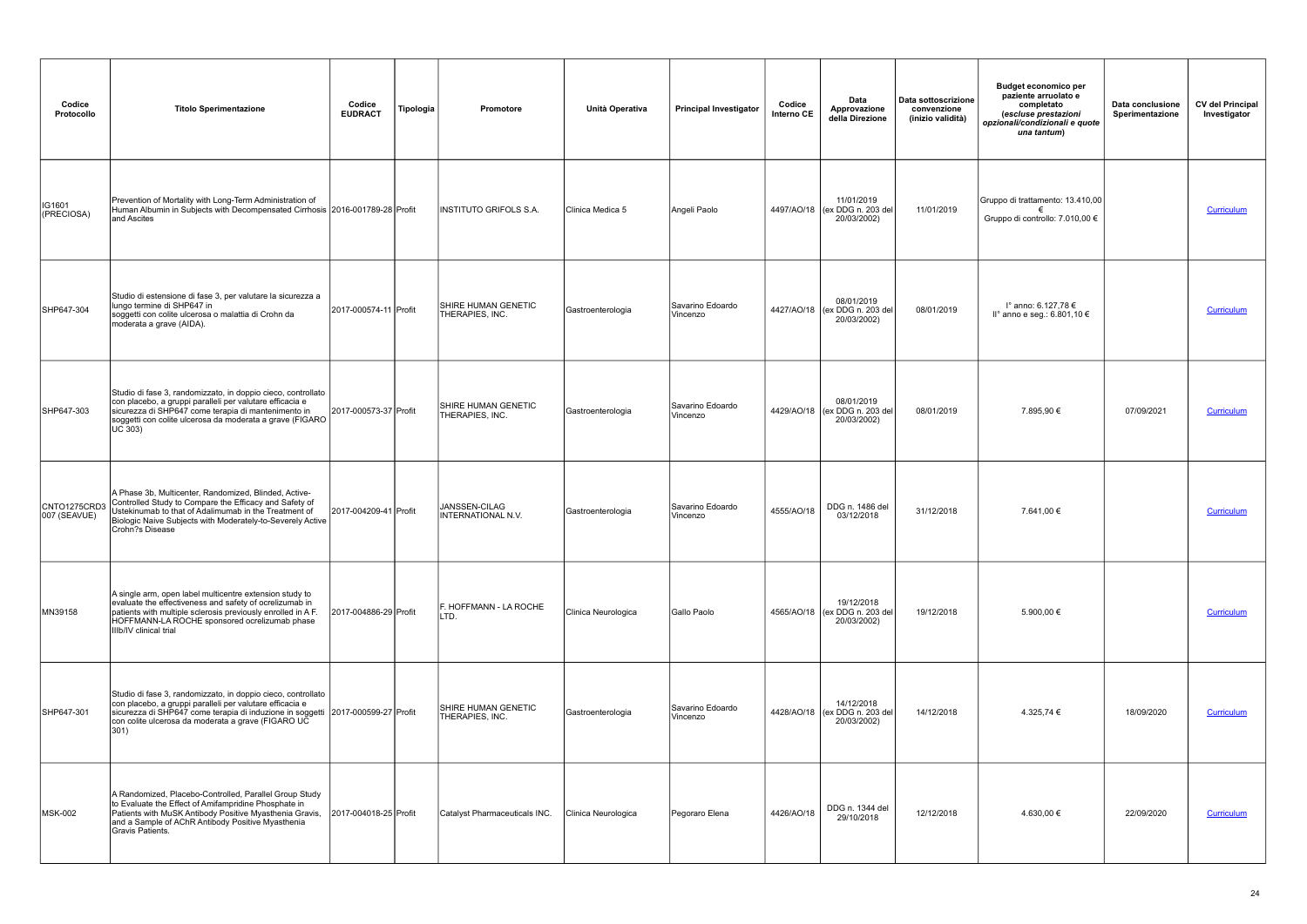| Codice<br>Protocollo         | <b>Titolo Sperimentazione</b>                                                                                                                                                                                                                                             | Codice<br><b>EUDRACT</b> | Tipologia | Promotore                                     | Unità Operativa     | <b>Principal Investigator</b> | Codice<br>Interno CE | Data<br>Approvazione<br>della Direzione                    | Data sottoscrizione<br>convenzione<br>(inizio validità) | <b>Budget economico per</b><br>paziente arruolato e<br>completato<br>(escluse prestazioni<br>opzionali/condizionali e quote<br>una tantum) | Data conclusione<br>Sperimentazione | <b>CV del Principal</b><br>Investigator |
|------------------------------|---------------------------------------------------------------------------------------------------------------------------------------------------------------------------------------------------------------------------------------------------------------------------|--------------------------|-----------|-----------------------------------------------|---------------------|-------------------------------|----------------------|------------------------------------------------------------|---------------------------------------------------------|--------------------------------------------------------------------------------------------------------------------------------------------|-------------------------------------|-----------------------------------------|
| IG1601<br>(PRECIOSA)         | Prevention of Mortality with Long-Term Administration of<br>Human Albumin in Subjects with Decompensated Cirrhosis 2016-001789-28 Profit<br>and Ascites                                                                                                                   |                          |           | IINSTITUTO GRIFOLS S.A.                       | Clinica Medica 5    | Angeli Paolo                  |                      | 11/01/2019<br>4497/AO/18 (ex DDG n. 203 del<br>20/03/2002) | 11/01/2019                                              | Gruppo di trattamento: 13.410,00<br>Gruppo di controllo: 7.010,00 €                                                                        |                                     | Curriculum                              |
| SHP647-304                   | Studio di estensione di fase 3, per valutare la sicurezza a<br>lungo termine di SHP647 in<br>soggetti con colite ulcerosa o malattia di Crohn da<br>moderata a grave (AIDA).                                                                                              | 2017-000574-11 Profit    |           | SHIRE HUMAN GENETIC<br>THERAPIES, INC.        | Gastroenterologia   | Savarino Edoardo<br>Vincenzo  |                      | 08/01/2019<br>4427/AO/18 (ex DDG n. 203 del<br>20/03/2002) | 08/01/2019                                              | l° anno: 6.127,78 €<br>II° anno e seg.: 6.801,10 $\in$                                                                                     |                                     | Curriculum                              |
| SHP647-303                   | Studio di fase 3, randomizzato, in doppio cieco, controllato<br>con placebo, a gruppi paralleli per valutare efficacia e<br>sicurezza di SHP647 come terapia di mantenimento in<br>soggetti con colite ulcerosa da moderata a grave (FIGARO<br>UC 303)                    | 2017-000573-37 Profit    |           | SHIRE HUMAN GENETIC<br>THERAPIES, INC.        | Gastroenterologia   | Savarino Edoardo<br>Vincenzo  |                      | 08/01/2019<br>4429/AO/18 (ex DDG n. 203 del<br>20/03/2002) | 08/01/2019                                              | 7.895,90 €                                                                                                                                 | 07/09/2021                          | Curriculum                              |
| CNTO1275CRD3<br>007 (SEAVUE) | A Phase 3b, Multicenter, Randomized, Blinded, Active-<br>Controlled Study to Compare the Efficacy and Safety of<br>Ustekinumab to that of Adalimumab in the Treatment of<br>Biologic Naive Subjects with Moderately-to-Severely Active<br>Crohn?s Disease                 | 2017-004209-41 Profit    |           | JANSSEN-CILAG<br><b>INTERNATIONAL N.V.</b>    | Gastroenterologia   | Savarino Edoardo<br>Vincenzo  | 4555/AO/18           | DDG n. 1486 del<br>03/12/2018                              | 31/12/2018                                              | 7.641,00 €                                                                                                                                 |                                     | <b>Curriculum</b>                       |
| MN39158                      | A single arm, open label multicentre extension study to<br>evaluate the effectiveness and safety of ocrelizumab in<br>patients with multiple sclerosis previously enrolled in A F.<br>HOFFMANN-LA ROCHE sponsored ocrelizumab phase<br>IIIb/IV clinical trial             | 2017-004886-29 Profit    |           | F. HOFFMANN - LA ROCHE<br>LTD.                | Clinica Neurologica | Gallo Paolo                   |                      | 19/12/2018<br>4565/AO/18 (ex DDG n. 203 del<br>20/03/2002) | 19/12/2018                                              | 5.900,00 €                                                                                                                                 |                                     | Curriculum                              |
| SHP647-301                   | Studio di fase 3, randomizzato, in doppio cieco, controllato<br>con placebo, a gruppi paralleli per valutare efficacia e<br>sicurezza di SHP647 come terapia di induzione in soggetti 2017-000599-27 Profit<br>con colite ulcerosa da moderata a grave (FIGARO UC<br>301) |                          |           | <b>SHIRE HUMAN GENETIC</b><br>THERAPIES, INC. | Gastroenterologia   | Savarino Edoardo<br>Vincenzo  |                      | 14/12/2018<br>4428/AO/18 (ex DDG n. 203 del<br>20/03/2002) | 14/12/2018                                              | 4.325,74 €                                                                                                                                 | 18/09/2020                          | Curriculum                              |
| <b>MSK-002</b>               | A Randomized, Placebo-Controlled, Parallel Group Study<br>to Evaluate the Effect of Amifampridine Phosphate in<br>Patients with MuSK Antibody Positive Myasthenia Gravis,<br>and a Sample of AChR Antibody Positive Myasthenia<br>Gravis Patients.                        | 2017-004018-25 Profit    |           | Catalyst Pharmaceuticals INC.                 | Clinica Neurologica | Pegoraro Elena                | 4426/AO/18           | DDG n. 1344 del<br>29/10/2018                              | 12/12/2018                                              | 4.630,00 €                                                                                                                                 | 22/09/2020                          | Curriculum                              |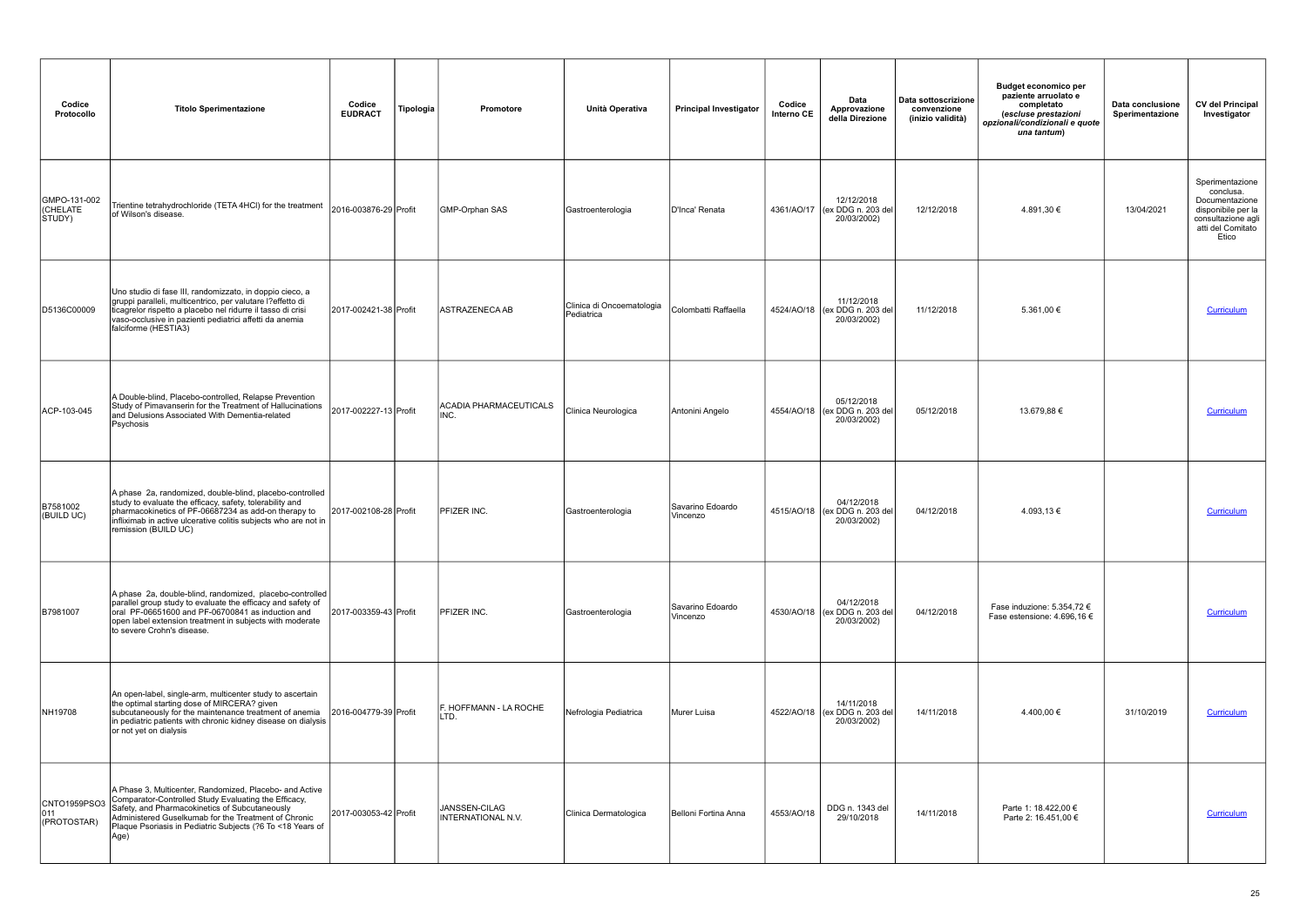| Codice<br>Protocollo               | <b>Titolo Sperimentazione</b>                                                                                                                                                                                                                                                                   | Codice<br><b>EUDRACT</b> | Tipologia | Promotore                           | Unità Operativa                         | <b>Principal Investigator</b> | Codice<br>Interno CE | Data<br>Approvazione<br>della Direzione                    | Data sottoscrizione<br>convenzione<br>(inizio validità) | <b>Budget economico per</b><br>paziente arruolato e<br>completato<br>(escluse prestazioni<br>opzionali/condizionali e quote<br>una tantum) | Data conclusione<br>Sperimentazione | <b>CV del Principal</b><br>Investigator                                                                                  |
|------------------------------------|-------------------------------------------------------------------------------------------------------------------------------------------------------------------------------------------------------------------------------------------------------------------------------------------------|--------------------------|-----------|-------------------------------------|-----------------------------------------|-------------------------------|----------------------|------------------------------------------------------------|---------------------------------------------------------|--------------------------------------------------------------------------------------------------------------------------------------------|-------------------------------------|--------------------------------------------------------------------------------------------------------------------------|
| GMPO-131-002<br>(CHELATE<br>STUDY) | Trientine tetrahydrochloride (TETA 4HCl) for the treatment<br>of Wilson's disease.                                                                                                                                                                                                              | 2016-003876-29 Profit    |           | GMP-Orphan SAS                      | Gastroenterologia                       | D'Inca' Renata                |                      | 12/12/2018<br>4361/AO/17 (ex DDG n. 203 del<br>20/03/2002) | 12/12/2018                                              | 4.891,30 €                                                                                                                                 | 13/04/2021                          | Sperimentazione<br>conclusa.<br>Documentazione<br>disponibile per la<br>consultazione agli<br>atti del Comitato<br>Etico |
| D5136C00009                        | Uno studio di fase III, randomizzato, in doppio cieco, a<br>gruppi paralleli, multicentrico, per valutare l?effetto di<br>ticagrelor rispetto a placebo nel ridurre il tasso di crisi<br>vaso-occlusive in pazienti pediatrici affetti da anemia<br>falciforme (HESTIA3)                        | 2017-002421-38 Profit    |           | ASTRAZENECA AB                      | Clinica di Oncoematologia<br>Pediatrica | Colombatti Raffaella          |                      | 11/12/2018<br>4524/AO/18 (ex DDG n. 203 del<br>20/03/2002) | 11/12/2018                                              | 5.361,00 €                                                                                                                                 |                                     | Curriculum                                                                                                               |
| ACP-103-045                        | A Double-blind, Placebo-controlled, Relapse Prevention<br>Study of Pimavanserin for the Treatment of Hallucinations<br>and Delusions Associated With Dementia-related<br>Psychosis                                                                                                              | 2017-002227-13 Profit    |           | ACADIA PHARMACEUTICALS<br>INC.      | Clinica Neurologica                     | Antonini Angelo               |                      | 05/12/2018<br>4554/AO/18 (ex DDG n. 203 del<br>20/03/2002) | 05/12/2018                                              | 13.679,88 €                                                                                                                                |                                     | Curriculum                                                                                                               |
| B7581002<br>(BUILD UC)             | A phase 2a, randomized, double-blind, placebo-controlled<br>study to evaluate the efficacy, safety, tolerability and<br>pharmacokinetics of PF-06687234 as add-on therapy to<br>infliximab in active ulcerative colitis subjects who are not in<br>remission (BUILD UC)                         | 2017-002108-28 Profit    |           | <b>PFIZER INC.</b>                  | Gastroenterologia                       | Savarino Edoardo<br>Vincenzo  |                      | 04/12/2018<br>4515/AO/18 (ex DDG n. 203 del<br>20/03/2002) | 04/12/2018                                              | 4.093,13€                                                                                                                                  |                                     | Curriculum                                                                                                               |
| B7981007                           | A phase 2a, double-blind, randomized, placebo-controlled<br>parallel group study to evaluate the efficacy and safety of<br>oral PF-06651600 and PF-06700841 as induction and<br>open label extension treatment in subjects with moderate<br>to severe Crohn's disease.                          | 2017-003359-43 Profit    |           | <b>PFIZER INC.</b>                  | Gastroenterologia                       | Savarino Edoardo<br>Vincenzo  |                      | 04/12/2018<br>4530/AO/18 (ex DDG n. 203 del<br>20/03/2002) | 04/12/2018                                              | Fase induzione: 5.354,72 $\epsilon$<br>Fase estensione: 4.696,16 €                                                                         |                                     | Curriculum                                                                                                               |
| NH19708                            | An open-label, single-arm, multicenter study to ascertain<br>the optimal starting dose of MIRCERA? given<br>subcutaneously for the maintenance treatment of anemia<br>in pediatric patients with chronic kidney disease on dialysis<br>or not yet on dialysis                                   | 2016-004779-39 Profit    |           | F. HOFFMANN - LA ROCHE<br>LTD.      | Nefrologia Pediatrica                   | Murer Luisa                   |                      | 14/11/2018<br>4522/AO/18 (ex DDG n. 203 del<br>20/03/2002) | 14/11/2018                                              | 4.400,00 €                                                                                                                                 | 31/10/2019                          | <b>Curriculum</b>                                                                                                        |
| CNTO1959PSO3<br>011<br>(PROTOSTAR) | A Phase 3, Multicenter, Randomized, Placebo- and Active<br>Comparator-Controlled Study Evaluating the Efficacy,<br>Safety, and Pharmacokinetics of Subcutaneously<br>Administered Guselkumab for the Treatment of Chronic<br>Plaque Psoriasis in Pediatric Subjects (?6 To <18 Years of<br>Age) | 2017-003053-42 Profit    |           | JANSSEN-CILAG<br>INTERNATIONAL N.V. | Clinica Dermatologica                   | Belloni Fortina Anna          | 4553/AO/18           | DDG n. 1343 del<br>29/10/2018                              | 14/11/2018                                              | Parte 1: 18.422,00 €<br>Parte 2: 16.451,00 €                                                                                               |                                     | Curriculum                                                                                                               |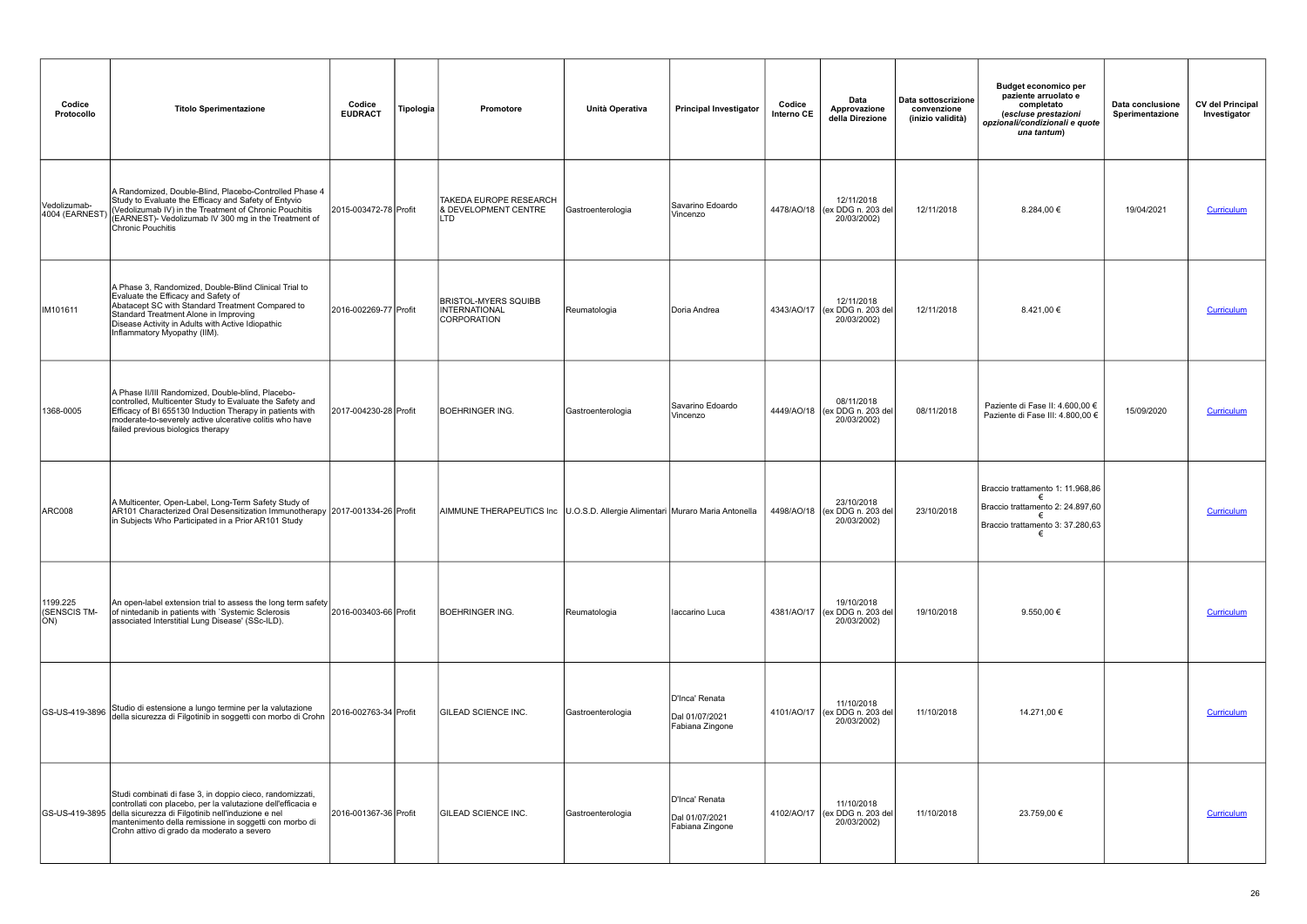| Codice<br>Protocollo            | <b>Titolo Sperimentazione</b>                                                                                                                                                                                                                                                                          | Codice<br><b>EUDRACT</b> | Tipologia | <b>Promotore</b>                                                               | Unità Operativa           | <b>Principal Investigator</b>                       | Codice<br>Interno CE | Data<br>Approvazione<br>della Direzione                     | Data sottoscrizione<br>convenzione<br>(inizio validità) | <b>Budget economico per</b><br>paziente arruolato e<br>completato<br>(escluse prestazioni<br>opzionali/condizionali e quote<br>una tantum) | Data conclusione<br>Sperimentazione | <b>CV del Principal</b><br>Investigator |
|---------------------------------|--------------------------------------------------------------------------------------------------------------------------------------------------------------------------------------------------------------------------------------------------------------------------------------------------------|--------------------------|-----------|--------------------------------------------------------------------------------|---------------------------|-----------------------------------------------------|----------------------|-------------------------------------------------------------|---------------------------------------------------------|--------------------------------------------------------------------------------------------------------------------------------------------|-------------------------------------|-----------------------------------------|
| Vedolizumab-<br>4004 (EARNEST   | A Randomized, Double-Blind, Placebo-Controlled Phase 4<br>Study to Evaluate the Efficacy and Safety of Entyvio<br>(Vedolizumab IV) in the Treatment of Chronic Pouchitis<br>(EARNEST)- Vedolizumab IV 300 mg in the Treatment of<br>Chronic Pouchitis                                                  | 2015-003472-78 Profit    |           | <b>TAKEDA EUROPE RESEARCH</b><br><b>8 DEVELOPMENT CENTRE</b><br><b>LTD</b>     | <b>IGastroenterologia</b> | Savarino Edoardo<br>Vincenzo                        |                      | 12/11/2018<br>4478/AO/18 (ex DDG n. 203 del<br>20/03/2002)  | 12/11/2018                                              | 8.284,00 €                                                                                                                                 | 19/04/2021                          | <b>Curriculum</b>                       |
| IM101611                        | A Phase 3, Randomized, Double-Blind Clinical Trial to<br>Evaluate the Efficacy and Safety of<br>Abatacept SC with Standard Treatment Compared to<br>Standard Treatment Alone in Improving<br>Disease Activity in Adults with Active Idiopathic<br>Inflammatory Myopathy (IIM).                         | 2016-002269-77 Profit    |           | <b>BRISTOL-MYERS SQUIBB</b><br>INTERNATIONAL<br>CORPORATION                    | Reumatologia              | Doria Andrea                                        |                      | 12/11/2018<br>4343/AO/17 (ex DDG n. 203 del)<br>20/03/2002) | 12/11/2018                                              | 8.421,00 €                                                                                                                                 |                                     | Curriculum                              |
| 1368-0005                       | A Phase II/III Randomized, Double-blind, Placebo-<br>controlled, Multicenter Study to Evaluate the Safety and<br>Efficacy of BI 655130 Induction Therapy in patients with<br>moderate-to-severely active ulcerative colitis who have<br>failed previous biologics therapy                              | 2017-004230-28 Profit    |           | <b>BOEHRINGER ING.</b>                                                         | Gastroenterologia         | Savarino Edoardo<br>Vincenzo                        |                      | 08/11/2018<br>4449/AO/18 (ex DDG n. 203 del<br>20/03/2002)  | 08/11/2018                                              | Paziente di Fase II: 4.600,00 €<br>Paziente di Fase III: 4.800.00 €                                                                        | 15/09/2020                          | Curriculum                              |
| ARC008                          | A Multicenter, Open-Label, Long-Term Safety Study of<br>AR101 Characterized Oral Desensitization Immunotherapy 2017-001334-26 Profit<br>in Subjects Who Participated in a Prior AR101 Study                                                                                                            |                          |           | AIMMUNE THERAPEUTICS Inc   U.O.S.D. Allergie Alimentari Muraro Maria Antonella |                           |                                                     |                      | 23/10/2018<br>4498/AO/18 (ex DDG n. 203 del<br>20/03/2002)  | 23/10/2018                                              | Braccio trattamento 1: 11.968,86<br>Braccio trattamento 2: 24.897,60<br>Braccio trattamento 3: 37.280.63                                   |                                     | <b>Curriculum</b>                       |
| 1199.225<br>(SENSCIS TM-<br>ON) | An open-label extension trial to assess the long term safety<br>of nintedanib in patients with `Systemic Sclerosis<br>associated Interstitial Lung Disease' (SSc-ILD).                                                                                                                                 | 2016-003403-66 Profit    |           | <b>BOEHRINGER ING.</b>                                                         | Reumatologia              | Iaccarino Luca                                      |                      | 19/10/2018<br>4381/AO/17 (ex DDG n. 203 del<br>20/03/2002)  | 19/10/2018                                              | 9.550,00 €                                                                                                                                 |                                     | Curriculum                              |
| GS-US-419-3896                  | Studio di estensione a lungo termine per la valutazione<br>della sicurezza di Filgotinib in soggetti con morbo di Crohn                                                                                                                                                                                | 2016-002763-34 Profit    |           | <b>GILEAD SCIENCE INC.</b>                                                     | Gastroenterologia         | D'Inca' Renata<br>Dal 01/07/2021<br>Fabiana Zingone |                      | 11/10/2018<br>4101/AO/17 (ex DDG n. 203 del<br>20/03/2002)  | 11/10/2018                                              | 14.271,00 €                                                                                                                                |                                     | <b>Curriculum</b>                       |
|                                 | Studi combinati di fase 3, in doppio cieco, randomizzati,<br>controllati con placebo, per la valutazione dell'efficacia e<br>GS-US-419-3895 della sicurezza di Filgotinib nell'induzione e nel<br>mantenimento della remissione in soggetti con morbo di<br>Crohn attivo di grado da moderato a severo | 2016-001367-36 Profit    |           | <b>GILEAD SCIENCE INC.</b>                                                     | Gastroenterologia         | D'Inca' Renata<br>Dal 01/07/2021<br>Fabiana Zingone |                      | 11/10/2018<br>4102/AO/17 (ex DDG n. 203 del<br>20/03/2002)  | 11/10/2018                                              | 23.759,00 €                                                                                                                                |                                     | Curriculum                              |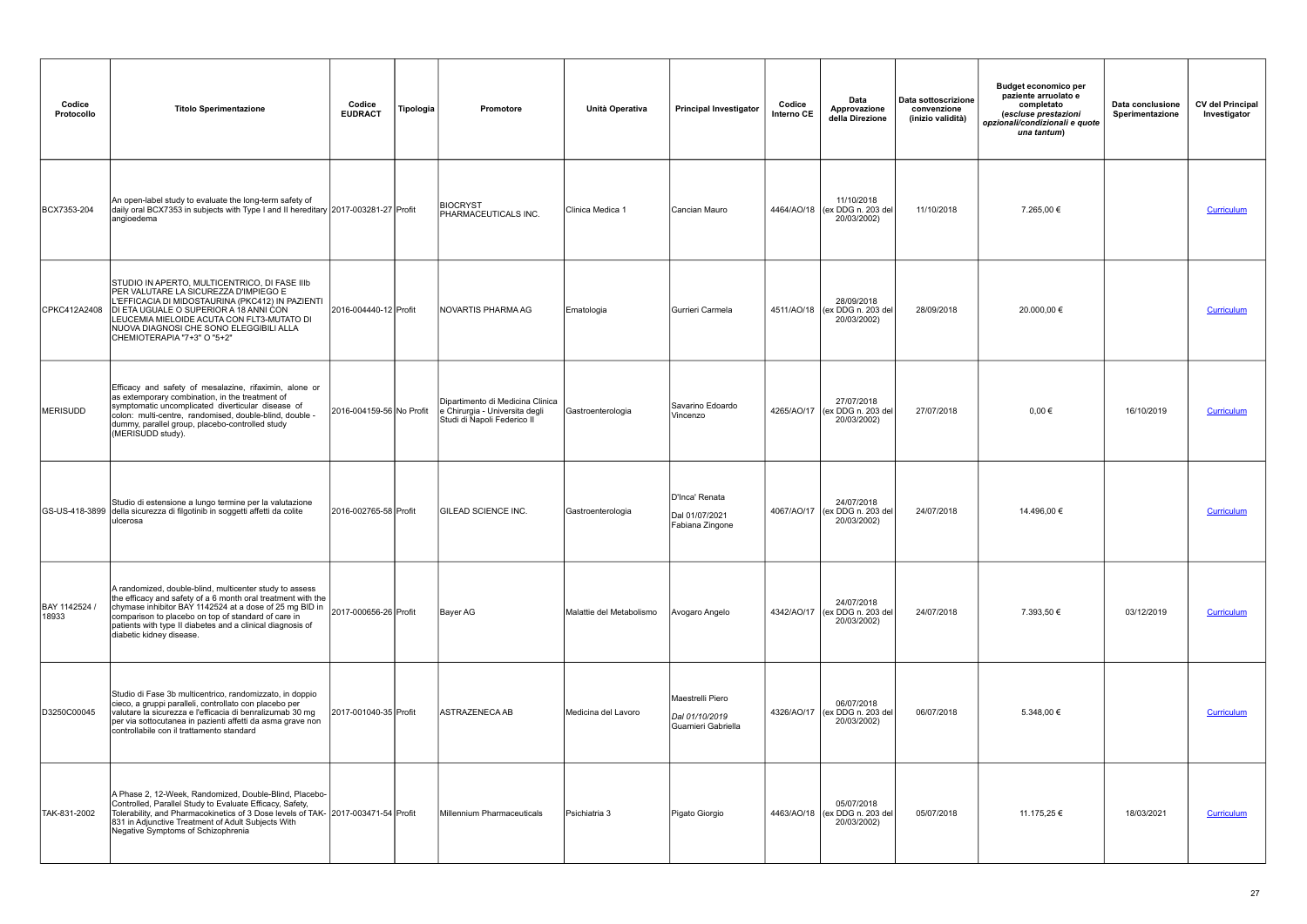| Codice<br>Protocollo   | <b>Titolo Sperimentazione</b>                                                                                                                                                                                                                                                                                                                             | Codice<br><b>EUDRACT</b> | Tipologia | <b>Promotore</b>                                                                                  | Unità Operativa          | <b>Principal Investigator</b>                             | Codice<br>Interno CE | Data<br>Approvazione<br>della Direzione                     | Data sottoscrizione<br>convenzione<br>(inizio validità) | <b>Budget economico per</b><br>paziente arruolato e<br>completato<br>(escluse prestazioni<br>opzionali/condizionali e quote<br>una tantum) | Data conclusione<br>Sperimentazione | <b>CV del Principal</b><br>Investigator |
|------------------------|-----------------------------------------------------------------------------------------------------------------------------------------------------------------------------------------------------------------------------------------------------------------------------------------------------------------------------------------------------------|--------------------------|-----------|---------------------------------------------------------------------------------------------------|--------------------------|-----------------------------------------------------------|----------------------|-------------------------------------------------------------|---------------------------------------------------------|--------------------------------------------------------------------------------------------------------------------------------------------|-------------------------------------|-----------------------------------------|
| BCX7353-204            | An open-label study to evaluate the long-term safety of<br>daily oral BCX7353 in subjects with Type I and II hereditary 2017-003281-27 Profit<br>angioedema                                                                                                                                                                                               |                          |           | <b>BIOCRYST</b><br>PHARMACEUTICALS INC.                                                           | Clinica Medica 1         | Cancian Mauro                                             |                      | 11/10/2018<br>4464/AO/18 (ex DDG n. 203 del<br>20/03/2002)  | 11/10/2018                                              | 7.265,00 €                                                                                                                                 |                                     | Curriculum                              |
| CPKC412A2408           | STUDIO IN APERTO, MULTICENTRICO, DI FASE IIIb<br>PER VALUTARE LA SICUREZZA D'IMPIEGO E<br>L'EFFICACIA DI MIDOSTAURINA (PKC412) IN PAZIENTI<br>DI ETA UGUALE O SUPERIOR A 18 ANNI CON<br>LEUCEMIA MIELOIDE ACUTA CON FLT3-MUTATO DI<br>NUOVA DIAGNOSI CHE SONO ELEGGIBILI ALLA<br>CHEMIOTERAPIA "7+3" O "5+2"                                              | 2016-004440-12 Profit    |           | INOVARTIS PHARMA AG                                                                               | Ematologia               | Gurrieri Carmela                                          |                      | 28/09/2018<br>4511/AO/18 (ex DDG n. 203 del)<br>20/03/2002) | 28/09/2018                                              | 20.000,00 €                                                                                                                                |                                     | Curriculum                              |
| MERISUDD               | Efficacy and safety of mesalazine, rifaximin, alone or<br>as extemporary combination, in the treatment of<br>symptomatic uncomplicated diverticular disease of<br>colon: multi-centre, randomised, double-blind, double -<br>dummy, parallel group, placebo-controlled study<br>(MERISUDD study).                                                         | 2016-004159-56 No Profit |           | Dipartimento di Medicina Clinica<br>e Chirurgia - Universita degli<br>Studi di Napoli Federico II | Gastroenterologia        | Savarino Edoardo<br>Vincenzo                              |                      | 27/07/2018<br>4265/AO/17 (ex DDG n. 203 del<br>20/03/2002)  | 27/07/2018                                              | $0.00 \in$                                                                                                                                 | 16/10/2019                          | Curriculum                              |
|                        | Studio di estensione a lungo termine per la valutazione<br>GS-US-418-3899 della sicurezza di filgotinib in soggetti affetti da colite<br>lulcerosa                                                                                                                                                                                                        | 2016-002765-58 Profit    |           | <b>GILEAD SCIENCE INC.</b>                                                                        | Gastroenterologia        | D'Inca' Renata<br>Dal 01/07/2021<br>Fabiana Zingone       |                      | 24/07/2018<br>4067/AO/17 (ex DDG n. 203 del<br>20/03/2002)  | 24/07/2018                                              | 14.496,00 €                                                                                                                                |                                     | Curriculum                              |
| BAY 1142524 /<br>18933 | A randomized, double-blind, multicenter study to assess<br>the efficacy and safety of a 6 month oral treatment with the<br>chymase inhibitor BAY 1142524 at a dose of 25 mg BID in 2017-000656-26 Profit<br>comparison to placebo on top of standard of care in<br>patients with type II diabetes and a clinical diagnosis of<br>diabetic kidney disease. |                          |           | Bayer AG                                                                                          | Malattie del Metabolismo | Avogaro Angelo                                            |                      | 24/07/2018<br>4342/AO/17 (ex DDG n. 203 del<br>20/03/2002)  | 24/07/2018                                              | 7.393,50 €                                                                                                                                 | 03/12/2019                          | <b>Curriculum</b>                       |
| D3250C00045            | Studio di Fase 3b multicentrico, randomizzato, in doppio<br>cieco, a gruppi paralleli, controllato con placebo per<br>valutare la sicurezza e l'efficacia di benralizumab 30 mg<br>per via sottocutanea in pazienti affetti da asma grave non<br>controllabile con il trattamento standard                                                                | 2017-001040-35 Profit    |           | <b>IASTRAZENECA AB</b>                                                                            | Medicina del Lavoro      | Maestrelli Piero<br>Dal 01/10/2019<br>Guarnieri Gabriella |                      | 06/07/2018<br>4326/AO/17 (ex DDG n. 203 del)<br>20/03/2002) | 06/07/2018                                              | 5.348,00 €                                                                                                                                 |                                     | Curriculum                              |
| TAK-831-2002           | A Phase 2, 12-Week, Randomized, Double-Blind, Placebo-<br>Controlled, Parallel Study to Evaluate Efficacy, Safety,<br>Tolerability, and Pharmacokinetics of 3 Dose levels of TAK- 2017-003471-54 Profit<br>831 in Adjunctive Treatment of Adult Subjects With<br>Negative Symptoms of Schizophrenia                                                       |                          |           | Millennium Pharmaceuticals                                                                        | Psichiatria 3            | Pigato Giorgio                                            |                      | 05/07/2018<br>4463/AO/18 (ex DDG n. 203 del)<br>20/03/2002) | 05/07/2018                                              | 11.175,25 €                                                                                                                                | 18/03/2021                          | Curriculum                              |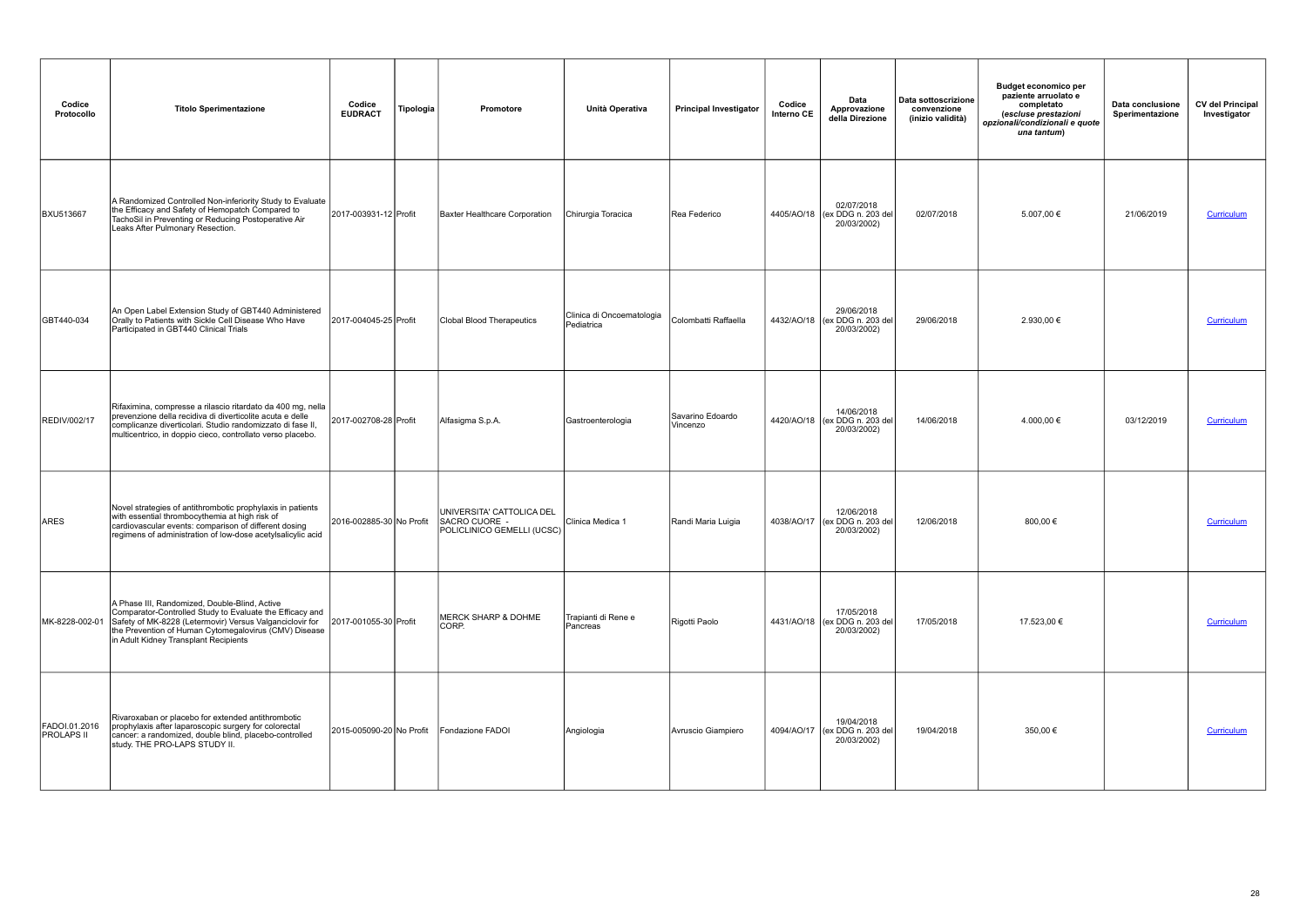| Codice<br>Protocollo               | <b>Titolo Sperimentazione</b>                                                                                                                                                                                                                                           | Codice<br><b>EUDRACT</b> | Tipologia | Promotore                                                                | Unità Operativa                         | <b>Principal Investigator</b> | Codice<br>Interno CE | Data<br>Approvazione<br>della Direzione                    | Data sottoscrizione<br>convenzione<br>(inizio validità) | <b>Budget economico per</b><br>paziente arruolato e<br>completato<br>(escluse prestazioni<br>opzionali/condizionali e quote<br>una tantum) | Data conclusione<br>Sperimentazione | <b>CV del Principal</b><br>Investigator |
|------------------------------------|-------------------------------------------------------------------------------------------------------------------------------------------------------------------------------------------------------------------------------------------------------------------------|--------------------------|-----------|--------------------------------------------------------------------------|-----------------------------------------|-------------------------------|----------------------|------------------------------------------------------------|---------------------------------------------------------|--------------------------------------------------------------------------------------------------------------------------------------------|-------------------------------------|-----------------------------------------|
| <b>BXU513667</b>                   | A Randomized Controlled Non-inferiority Study to Evaluate<br>the Efficacy and Safety of Hemopatch Compared to<br>TachoSil in Preventing or Reducing Postoperative Air<br>Leaks After Pulmonary Resection.                                                               | 2017-003931-12 Profit    |           | Baxter Healthcare Corporation                                            | Chirurgia Toracica                      | Rea Federico                  |                      | 02/07/2018<br>4405/AO/18 (ex DDG n. 203 del<br>20/03/2002) | 02/07/2018                                              | 5.007,00 €                                                                                                                                 | 21/06/2019                          | Curriculum                              |
| GBT440-034                         | An Open Label Extension Study of GBT440 Administered<br>Orally to Patients with Sickle Cell Disease Who Have<br>Participated in GBT440 Clinical Trials                                                                                                                  | 2017-004045-25 Profit    |           | Clobal Blood Therapeutics                                                | Clinica di Oncoematologia<br>Pediatrica | Colombatti Raffaella          |                      | 29/06/2018<br>4432/AO/18 (ex DDG n. 203 del<br>20/03/2002) | 29/06/2018                                              | 2.930,00 €                                                                                                                                 |                                     | Curriculum                              |
| <b>REDIV/002/17</b>                | Rifaximina, compresse a rilascio ritardato da 400 mg, nella<br>prevenzione della recidiva di diverticolite acuta e delle<br>complicanze diverticolari. Studio randomizzato di fase II,<br>multicentrico, in doppio cieco, controllato verso placebo.                    | 2017-002708-28 Profit    |           | Alfasigma S.p.A.                                                         | Gastroenterologia                       | Savarino Edoardo<br>Vincenzo  |                      | 14/06/2018<br>4420/AO/18 (ex DDG n. 203 del<br>20/03/2002) | 14/06/2018                                              | 4.000,00 €                                                                                                                                 | 03/12/2019                          | Curriculum                              |
| ARES                               | Novel strategies of antithrombotic prophylaxis in patients<br>with essential thrombocythemia at high risk of<br>cardiovascular events: comparison of different dosing<br>regimens of administration of low-dose acetylsalicylic acid                                    | 2016-002885-30 No Profit |           | UNIVERSITA' CATTOLICA DEL<br>SACRO CUORE -<br>POLICLINICO GEMELLI (UCSC) | Clinica Medica 1                        | Randi Maria Luigia            |                      | 12/06/2018<br>4038/AO/17 (ex DDG n. 203 del<br>20/03/2002) | 12/06/2018                                              | 800,00 €                                                                                                                                   |                                     | Curriculum                              |
| MK-8228-002-01                     | A Phase III, Randomized, Double-Blind, Active<br>Comparator-Controlled Study to Evaluate the Efficacy and<br>Safety of MK-8228 (Letermovir) Versus Valganciclovir for<br>the Prevention of Human Cytomegalovirus (CMV) Disease<br>in Adult Kidney Transplant Recipients | 2017-001055-30 Profit    |           | <b>MERCK SHARP &amp; DOHME</b><br>CORP.                                  | Trapianti di Rene e<br>Pancreas         | Rigotti Paolo                 |                      | 17/05/2018<br>4431/AO/18 (ex DDG n. 203 del<br>20/03/2002) | 17/05/2018                                              | 17.523,00 €                                                                                                                                |                                     | Curriculum                              |
| FADOI.01.2016<br><b>PROLAPS II</b> | Rivaroxaban or placebo for extended antithrombotic<br>prophylaxis after laparoscopic surgery for colorectal<br>cancer: a randomized, double blind, placebo-controlled<br>study. THE PRO-LAPS STUDY II.                                                                  | 2015-005090-20 No Profit |           | Fondazione FADOI                                                         | Angiologia                              | Avruscio Giampiero            |                      | 19/04/2018<br>4094/AO/17 (ex DDG n. 203 del<br>20/03/2002) | 19/04/2018                                              | 350,00 €                                                                                                                                   |                                     | <b>Curriculum</b>                       |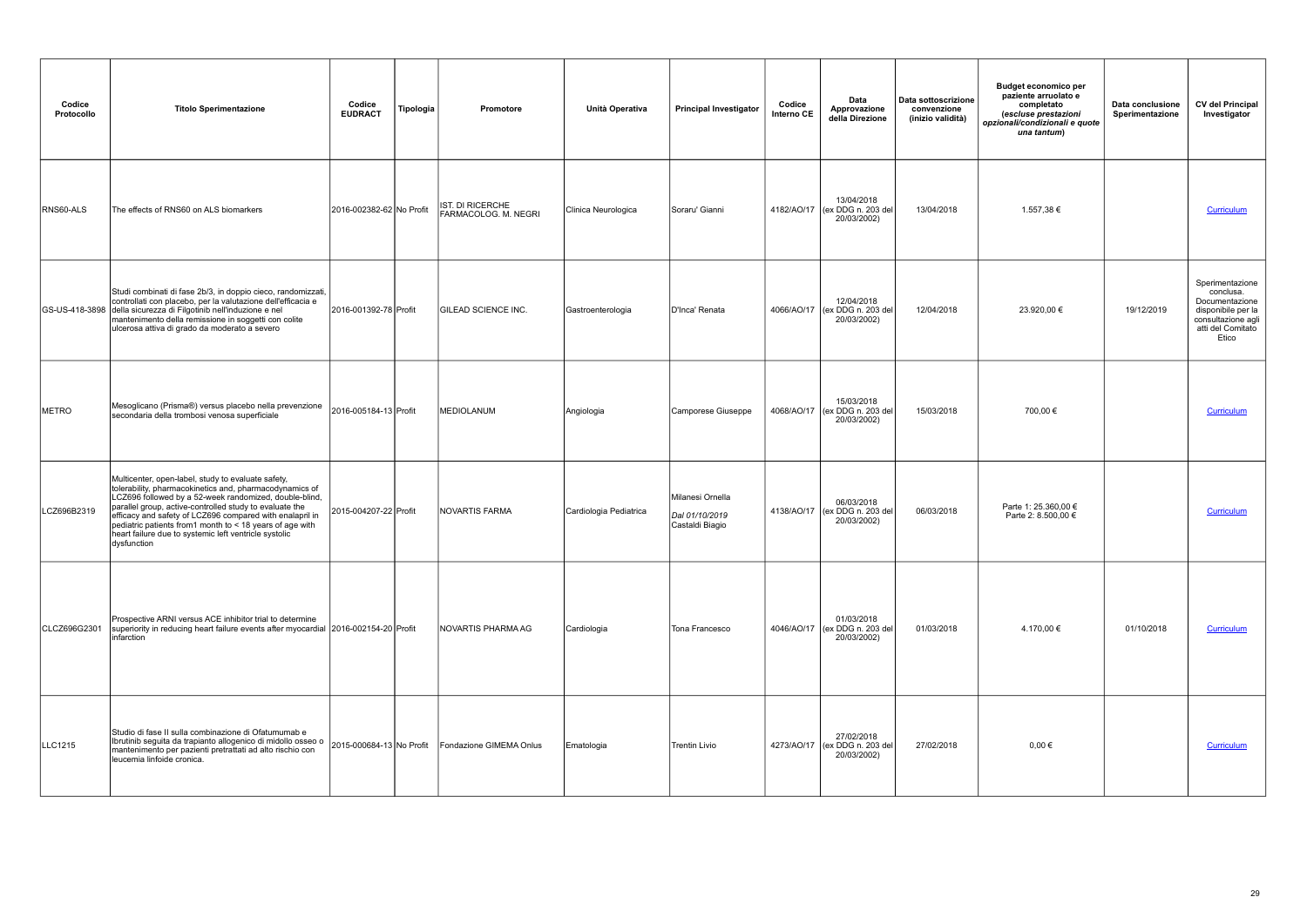| Codice<br>Protocollo | <b>Titolo Sperimentazione</b>                                                                                                                                                                                                                                                                                                                                                                                                      | Codice<br><b>EUDRACT</b> | Tipologia | Promotore                                | Unità Operativa        | <b>Principal Investigator</b>                         | Codice<br>Interno CE | Data<br>Approvazione<br>della Direzione                    | Data sottoscrizione<br>convenzione<br>(inizio validità) | <b>Budget economico per</b><br>paziente arruolato e<br>completato<br>(escluse prestazioni<br>opzionali/condizionali e quote<br>una tantum) | Data conclusione<br>Sperimentazione | <b>CV del Principal</b><br>Investigator                                                                                  |
|----------------------|------------------------------------------------------------------------------------------------------------------------------------------------------------------------------------------------------------------------------------------------------------------------------------------------------------------------------------------------------------------------------------------------------------------------------------|--------------------------|-----------|------------------------------------------|------------------------|-------------------------------------------------------|----------------------|------------------------------------------------------------|---------------------------------------------------------|--------------------------------------------------------------------------------------------------------------------------------------------|-------------------------------------|--------------------------------------------------------------------------------------------------------------------------|
| RNS60-ALS            | The effects of RNS60 on ALS biomarkers                                                                                                                                                                                                                                                                                                                                                                                             | 2016-002382-62 No Profit |           | IST. DI RICERCHE<br>FARMACOLOG. M. NEGRI | Clinica Neurologica    | Soraru' Gianni                                        |                      | 13/04/2018<br>4182/AO/17 (ex DDG n. 203 del<br>20/03/2002) | 13/04/2018                                              | 1.557,38 €                                                                                                                                 |                                     | Curriculum                                                                                                               |
| GS-US-418-3898       | Studi combinati di fase 2b/3, in doppio cieco, randomizzati,<br>controllati con placebo, per la valutazione dell'efficacia e<br>della sicurezza di Filgotinib nell'induzione e nel<br>mantenimento della remissione in soggetti con colite<br>ulcerosa attiva di grado da moderato a severo                                                                                                                                        | 2016-001392-78 Profit    |           | <b>GILEAD SCIENCE INC.</b>               | Gastroenterologia      | D'Inca' Renata                                        | 4066/AO/17           | 12/04/2018<br>(ex DDG n. 203 del<br>20/03/2002)            | 12/04/2018                                              | 23.920,00 €                                                                                                                                | 19/12/2019                          | Sperimentazione<br>conclusa.<br>Documentazione<br>disponibile per la<br>consultazione agli<br>atti del Comitato<br>Etico |
| <b>METRO</b>         | Mesoglicano (Prisma®) versus placebo nella prevenzione<br>secondaria della trombosi venosa superficiale                                                                                                                                                                                                                                                                                                                            | 2016-005184-13 Profit    |           | MEDIOLANUM                               | Angiologia             | Camporese Giuseppe                                    |                      | 15/03/2018<br>4068/AO/17 (ex DDG n. 203 del<br>20/03/2002) | 15/03/2018                                              | 700,00 €                                                                                                                                   |                                     | Curriculum                                                                                                               |
| LCZ696B2319          | Multicenter, open-label, study to evaluate safety,<br>tolerability, pharmacokinetics and, pharmacodynamics of<br>LCZ696 followed by a 52-week randomized, double-blind,<br>parallel group, active-controlled study to evaluate the<br>efficacy and safety of LCZ696 compared with enalapril in<br>pediatric patients from1 month to < 18 years of age with<br>heart failure due to systemic left ventricle systolic<br>dysfunction | 2015-004207-22 Profit    |           | NOVARTIS FARMA                           | Cardiologia Pediatrica | Milanesi Ornella<br>Dal 01/10/2019<br>Castaldi Biagio |                      | 06/03/2018<br>4138/AO/17 (ex DDG n. 203 del<br>20/03/2002) | 06/03/2018                                              | Parte 1: 25.360,00 €<br>Parte 2: 8.500,00 €                                                                                                |                                     | Curriculum                                                                                                               |
| CLCZ696G2301         | Prospective ARNI versus ACE inhibitor trial to determine<br>superiority in reducing heart failure events after myocardial 2016-002154-20 Profit<br>Iinfarction                                                                                                                                                                                                                                                                     |                          |           | NOVARTIS PHARMA AG                       | Cardiologia            | Tona Francesco                                        |                      | 01/03/2018<br>4046/AO/17 (ex DDG n. 203 del<br>20/03/2002) | 01/03/2018                                              | 4.170,00 €                                                                                                                                 | 01/10/2018                          | Curriculum                                                                                                               |
| LLC1215              | Studio di fase II sulla combinazione di Ofatumumab e<br>Ibrutinib seguita da trapianto allogenico di midollo osseo o<br>mantenimento per pazienti pretrattati ad alto rischio con<br>leucemia linfoide cronica.                                                                                                                                                                                                                    | 2015-000684-13 No Profit |           | Fondazione GIMEMA Onlus                  | Ematologia             | <b>Trentin Livio</b>                                  |                      | 27/02/2018<br>4273/AO/17 (ex DDG n. 203 del<br>20/03/2002) | 27/02/2018                                              | $0.00 \in$                                                                                                                                 |                                     | <b>Curriculum</b>                                                                                                        |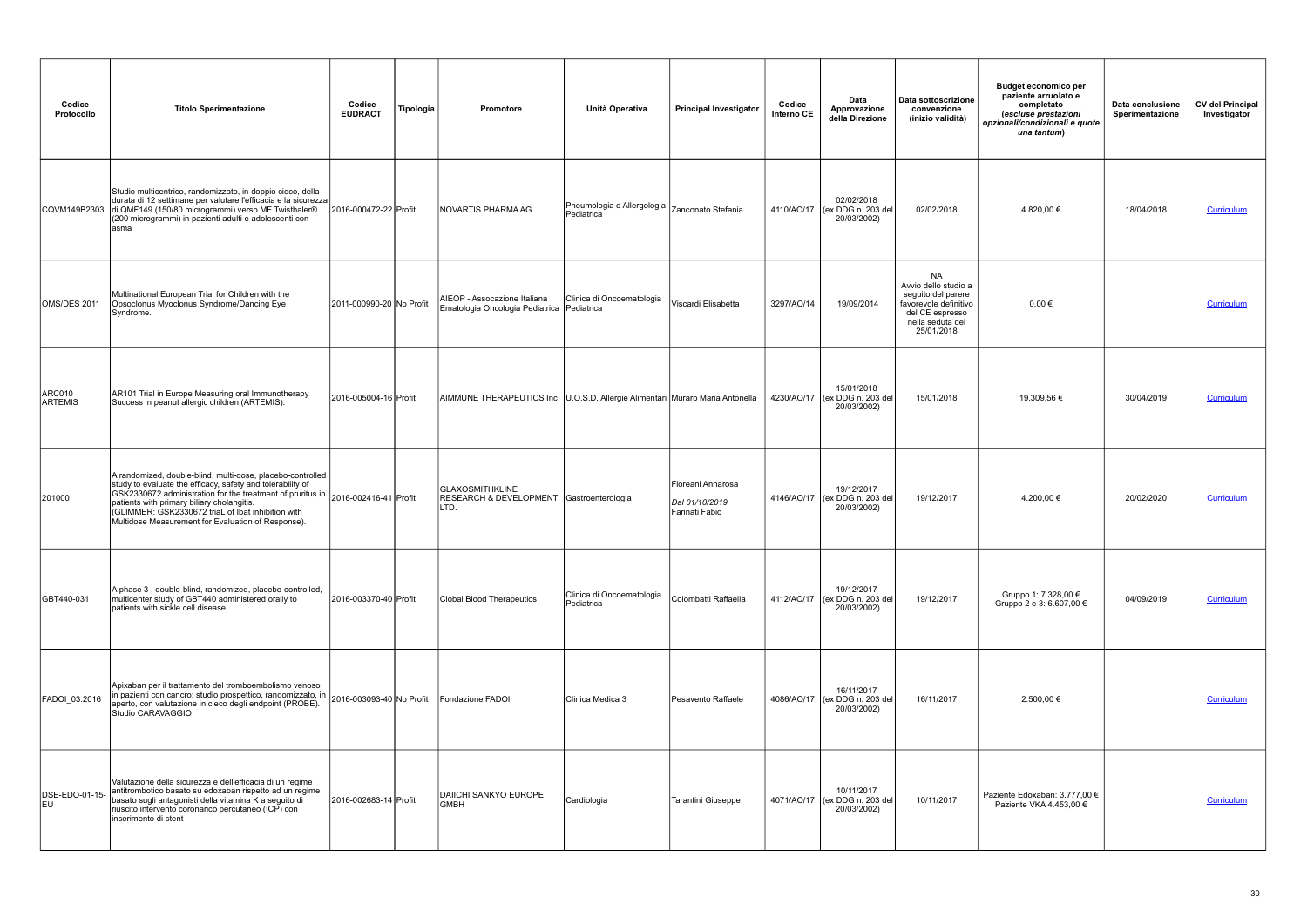| Codice<br>Protocollo     | <b>Titolo Sperimentazione</b>                                                                                                                                                                                                                                                                                                                                                       | Codice<br><b>EUDRACT</b> | Tipologia | Promotore                                                                      | Unità Operativa                          | <b>Principal Investigator</b>                         | Codice<br>Interno CE | Data<br>Approvazione<br>della Direzione                    | Data sottoscrizione<br>convenzione<br>(inizio validità)                                                                               | <b>Budget economico per</b><br>paziente arruolato e<br>completato<br>(escluse prestazioni<br>opzionali/condizionali e quote<br>una tantum) | Data conclusione<br>Sperimentazione | <b>CV del Principal</b><br>Investigator |
|--------------------------|-------------------------------------------------------------------------------------------------------------------------------------------------------------------------------------------------------------------------------------------------------------------------------------------------------------------------------------------------------------------------------------|--------------------------|-----------|--------------------------------------------------------------------------------|------------------------------------------|-------------------------------------------------------|----------------------|------------------------------------------------------------|---------------------------------------------------------------------------------------------------------------------------------------|--------------------------------------------------------------------------------------------------------------------------------------------|-------------------------------------|-----------------------------------------|
| CQVM149B2303             | Studio multicentrico, randomizzato, in doppio cieco, della<br>durata di 12 settimane per valutare l'efficacia e la sicurezza<br>di QMF149 (150/80 microgrammi) verso MF Twisthaler®<br>(200 microgrammi) in pazienti adulti e adolescenti con<br>lasma                                                                                                                              | 2016-000472-22 Profit    |           | NOVARTIS PHARMA AG                                                             | Pneumologia e Allergologia<br>Pediatrica | Zanconato Stefania                                    | 4110/AO/17           | 02/02/2018<br>(ex DDG n. 203 del<br>20/03/2002)            | 02/02/2018                                                                                                                            | 4.820,00 €                                                                                                                                 | 18/04/2018                          | <b>Curriculum</b>                       |
| OMS/DES 2011             | Multinational European Trial for Children with the<br>Opsoclonus Myoclonus Syndrome/Dancing Eye<br>Syndrome.                                                                                                                                                                                                                                                                        | 2011-000990-20 No Profit |           | AIEOP - Assocazione Italiana<br>Ematologia Oncologia Pediatrica Pediatrica     | Clinica di Oncoematologia                | Viscardi Elisabetta                                   | 3297/AO/14           | 19/09/2014                                                 | <b>NA</b><br>Avvio dello studio a<br>seguito del parere<br>favorevole definitivo<br>del CE espresso<br>nella seduta del<br>25/01/2018 | $0,00 \in$                                                                                                                                 |                                     | <b>Curriculum</b>                       |
| ARC010<br><b>ARTEMIS</b> | AR101 Trial in Europe Measuring oral Immunotherapy<br>Success in peanut allergic children (ARTEMIS).                                                                                                                                                                                                                                                                                | 2016-005004-16 Profit    |           | AIMMUNE THERAPEUTICS Inc   U.O.S.D. Allergie Alimentari Muraro Maria Antonella |                                          |                                                       |                      | 15/01/2018<br>4230/AO/17 (ex DDG n. 203 del<br>20/03/2002) | 15/01/2018                                                                                                                            | 19.309,56 €                                                                                                                                | 30/04/2019                          | Curriculum                              |
| 201000                   | A randomized, double-blind, multi-dose, placebo-controlled<br>study to evaluate the efficacy, safety and tolerability of<br>$ \text{SK2330672}$ administration for the treatment of pruritus in $ 2016-002416-41 $ Profit<br>patients with primary biliary cholangitis.<br>(GLIMMER: GSK2330672 triaL of lbat inhibition with<br>Multidose Measurement for Evaluation of Response). |                          |           | <b>GLAXOSMITHKLINE</b><br>RESEARCH & DEVELOPMENT Gastroenterologia<br>LTD.     |                                          | Floreani Annarosa<br>Dal 01/10/2019<br>Farinati Fabio |                      | 19/12/2017<br>4146/AO/17 (ex DDG n. 203 del<br>20/03/2002) | 19/12/2017                                                                                                                            | 4.200,00 €                                                                                                                                 | 20/02/2020                          | Curriculum                              |
| GBT440-031               | A phase 3, double-blind, randomized, placebo-controlled,<br>multicenter study of GBT440 administered orally to<br>patients with sickle cell disease                                                                                                                                                                                                                                 | 2016-003370-40 Profit    |           | Clobal Blood Therapeutics                                                      | Clinica di Oncoematologia<br>Pediatrica  | Colombatti Raffaella                                  |                      | 19/12/2017<br>4112/AO/17 (ex DDG n. 203 del<br>20/03/2002) | 19/12/2017                                                                                                                            | Gruppo 1: 7.328,00 €<br>Gruppo 2 e 3: 6.607,00 €                                                                                           | 04/09/2019                          | Curriculum                              |
| FADOI_03.2016            | Apixaban per il trattamento del tromboembolismo venoso<br>Apixabari per il trattamento dei administratori di anno 2016-003093-40 No Profit<br>aperto, con valutazione in cieco degli endpoint (PROBE).<br>Studio CARAVAGGIO                                                                                                                                                         |                          |           | Fondazione FADOI                                                               | Clinica Medica 3                         | Pesavento Raffaele                                    |                      | 16/11/2017<br>4086/AO/17 (ex DDG n. 203 del<br>20/03/2002) | 16/11/2017                                                                                                                            | 2.500,00 €                                                                                                                                 |                                     | <b>Curriculum</b>                       |
| DSE-EDO-01-15-<br>leu    | Valutazione della sicurezza e dell'efficacia di un regime<br>antitrombotico basato su edoxaban rispetto ad un regime<br>basato sugli antagonisti della vitamina K a seguito di<br>riuscito intervento coronarico percutaneo (ICP) con<br>inserimento di stent                                                                                                                       | 2016-002683-14 Profit    |           | <b>DAIICHI SANKYO EUROPE</b><br><b>GMBH</b>                                    | Cardiologia                              | Tarantini Giuseppe                                    |                      | 10/11/2017<br>4071/AO/17 (ex DDG n. 203 del<br>20/03/2002) | 10/11/2017                                                                                                                            | Paziente Edoxaban: 3.777,00 €<br>Paziente VKA 4.453.00 €                                                                                   |                                     | Curriculum                              |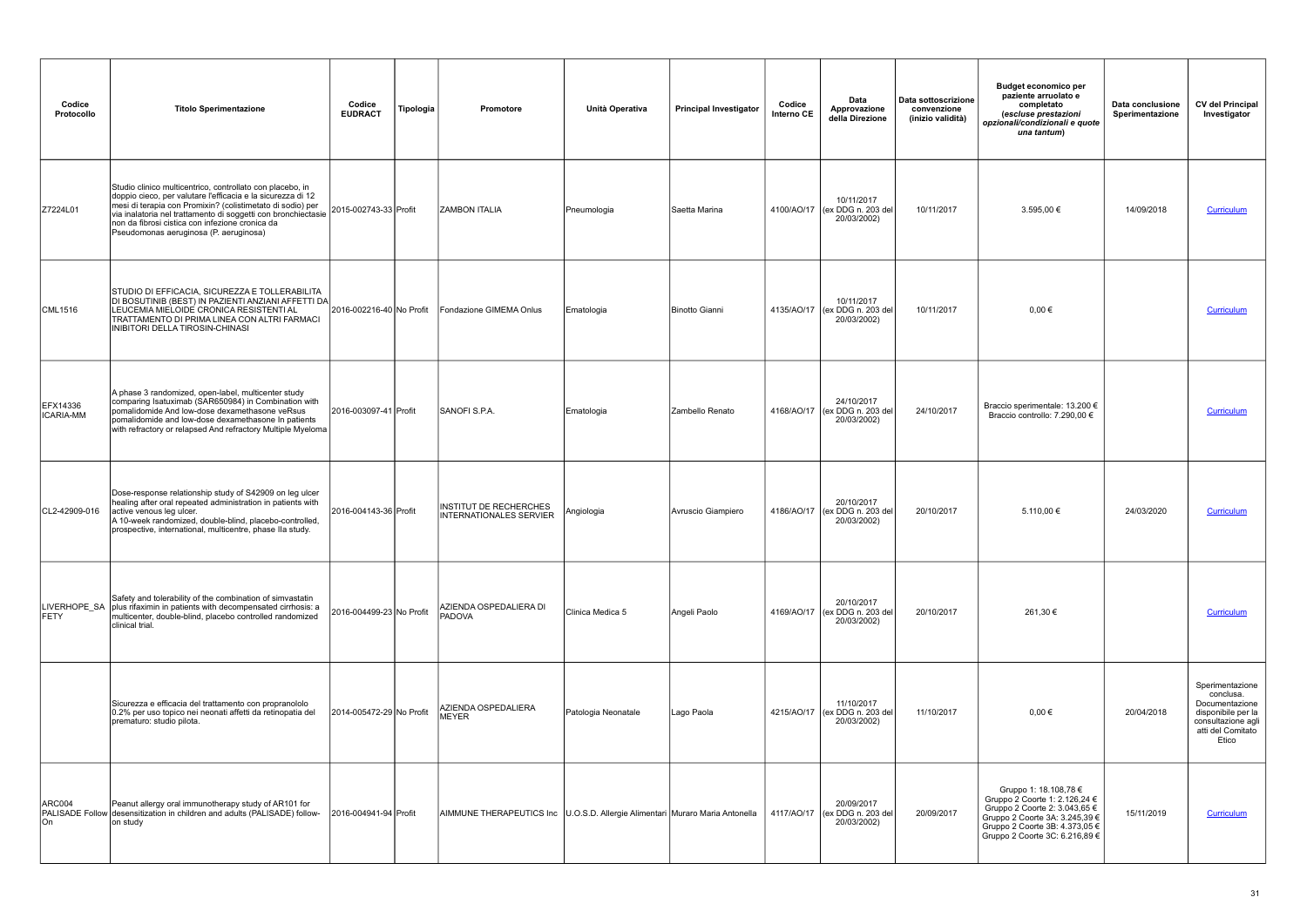| Codice<br>Protocollo  | <b>Titolo Sperimentazione</b>                                                                                                                                                                                                                                                                                                                        | Codice<br><b>EUDRACT</b> | Tipologia | Promotore                                                                      | Unità Operativa     | <b>Principal Investigator</b> | Codice<br>Interno CE | Data<br>Approvazione<br>della Direzione                    | Data sottoscrizione<br>convenzione<br>(inizio validità) | <b>Budget economico per</b><br>paziente arruolato e<br>completato<br>(escluse prestazioni<br>opzionali/condizionali e quote<br>una tantum)                                                    | Data conclusione<br>Sperimentazione | <b>CV del Principal</b><br>Investigator                                                                                  |
|-----------------------|------------------------------------------------------------------------------------------------------------------------------------------------------------------------------------------------------------------------------------------------------------------------------------------------------------------------------------------------------|--------------------------|-----------|--------------------------------------------------------------------------------|---------------------|-------------------------------|----------------------|------------------------------------------------------------|---------------------------------------------------------|-----------------------------------------------------------------------------------------------------------------------------------------------------------------------------------------------|-------------------------------------|--------------------------------------------------------------------------------------------------------------------------|
| Z7224L01              | Studio clinico multicentrico, controllato con placebo, in<br>doppio cieco, per valutare l'efficacia e la sicurezza di 12<br>mesi di terapia con Promixin? (colistimetato di sodio) per<br>via inalatoria nel trattamento di soggetti con bronchiectasie<br>non da fibrosi cistica con infezione cronica da<br>Pseudomonas aeruginosa (P. aeruginosa) | 2015-002743-33 Profit    |           | <b>ZAMBON ITALIA</b>                                                           | Pneumologia         | Saetta Marina                 | 4100/AO/17           | 10/11/2017<br>(ex DDG n. 203 del<br>20/03/2002)            | 10/11/2017                                              | 3.595,00 €                                                                                                                                                                                    | 14/09/2018                          | <b>Curriculum</b>                                                                                                        |
| <b>CML1516</b>        | STUDIO DI EFFICACIA, SICUREZZA E TOLLERABILITA<br>DI BOSUTINIB (BEST) IN PAZIENTI ANZIANI AFFETTI DA<br>LEUCEMIA MIELOIDE CRONICA RESISTENTI AL<br>TRATTAMENTO DI PRIMA LINEA CON ALTRI FARMACI<br>INIBITORI DELLA TIROSIN-CHINASI                                                                                                                   | 2016-002216-40 No Profit |           | Fondazione GIMEMA Onlus                                                        | Ematologia          | Binotto Gianni                |                      | 10/11/2017<br>4135/AO/17 (ex DDG n. 203 del<br>20/03/2002) | 10/11/2017                                              | $0.00 \in$                                                                                                                                                                                    |                                     | Curriculum                                                                                                               |
| EFX14336<br>ICARIA-MM | A phase 3 randomized, open-label, multicenter study<br>comparing Isatuximab (SAR650984) in Combination with<br>pomalidomide And low-dose dexamethasone veRsus<br>pomalidomide and low-dose dexamethasone In patients<br>with refractory or relapsed And refractory Multiple Myeloma                                                                  | 2016-003097-41 Profit    |           | SANOFI S.P.A.                                                                  | Ematologia          | Zambello Renato               |                      | 24/10/2017<br>4168/AO/17 (ex DDG n. 203 del<br>20/03/2002) | 24/10/2017                                              | Braccio sperimentale: 13.200 €<br>Braccio controllo: 7.290,00 €                                                                                                                               |                                     | Curriculum                                                                                                               |
| CL2-42909-016         | Dose-response relationship study of S42909 on leg ulcer<br>healing after oral repeated administration in patients with<br>active venous leg ulcer.<br>A 10-week randomized, double-blind, placebo-controlled,<br>prospective, international, multicentre, phase IIa study.                                                                           | 2016-004143-36 Profit    |           | INSTITUT DE RECHERCHES<br><b>INTERNATIONALES SERVIER</b>                       | Angiologia          | Avruscio Giampiero            |                      | 20/10/2017<br>4186/AO/17 (ex DDG n. 203 del<br>20/03/2002) | 20/10/2017                                              | 5.110,00 €                                                                                                                                                                                    | 24/03/2020                          | <b>Curriculum</b>                                                                                                        |
| LIVERHOPE_SA<br>FETY  | Safety and tolerability of the combination of simvastatin<br>plus rifaximin in patients with decompensated cirrhosis: a<br>multicenter, double-blind, placebo controlled randomized<br>clinical trial.                                                                                                                                               | 2016-004499-23 No Profit |           | AZIENDA OSPEDALIERA DI<br>PADOVA                                               | Clinica Medica 5    | Angeli Paolo                  |                      | 20/10/2017<br>4169/AO/17 (ex DDG n. 203 del<br>20/03/2002) | 20/10/2017                                              | 261,30 €                                                                                                                                                                                      |                                     | Curriculum                                                                                                               |
|                       | Sicurezza e efficacia del trattamento con propranololo<br>0.2% per uso topico nei neonati affetti da retinopatia del<br>prematuro: studio pilota.                                                                                                                                                                                                    | 2014-005472-29 No Profit |           | AZIENDA OSPEDALIERA<br>MEYER                                                   | Patologia Neonatale | Lago Paola                    |                      | 11/10/2017<br>4215/AO/17 (ex DDG n. 203 del<br>20/03/2002) | 11/10/2017                                              | $0,00 \in$                                                                                                                                                                                    | 20/04/2018                          | Sperimentazione<br>conclusa.<br>Documentazione<br>disponibile per la<br>consultazione agli<br>atti del Comitato<br>Etico |
| ARC004<br>On          | Peanut allergy oral immunotherapy study of AR101 for<br>PALISADE Follow desensitization in children and adults (PALISADE) follow-<br>on study                                                                                                                                                                                                        | 2016-004941-94 Profit    |           | AIMMUNE THERAPEUTICS Inc   U.O.S.D. Allergie Alimentari Muraro Maria Antonella |                     |                               |                      | 20/09/2017<br>4117/AO/17 (ex DDG n. 203 del<br>20/03/2002) | 20/09/2017                                              | Gruppo 1: 18.108,78 €<br>Gruppo 2 Coorte 1: 2.126,24 €<br>Gruppo 2 Coorte 2: 3.043,65 €<br>Gruppo 2 Coorte 3A: 3.245,39 €<br>Gruppo 2 Coorte 3B: 4.373,05 €<br>Gruppo 2 Coorte 3C: 6.216,89 € | 15/11/2019                          | Curriculum                                                                                                               |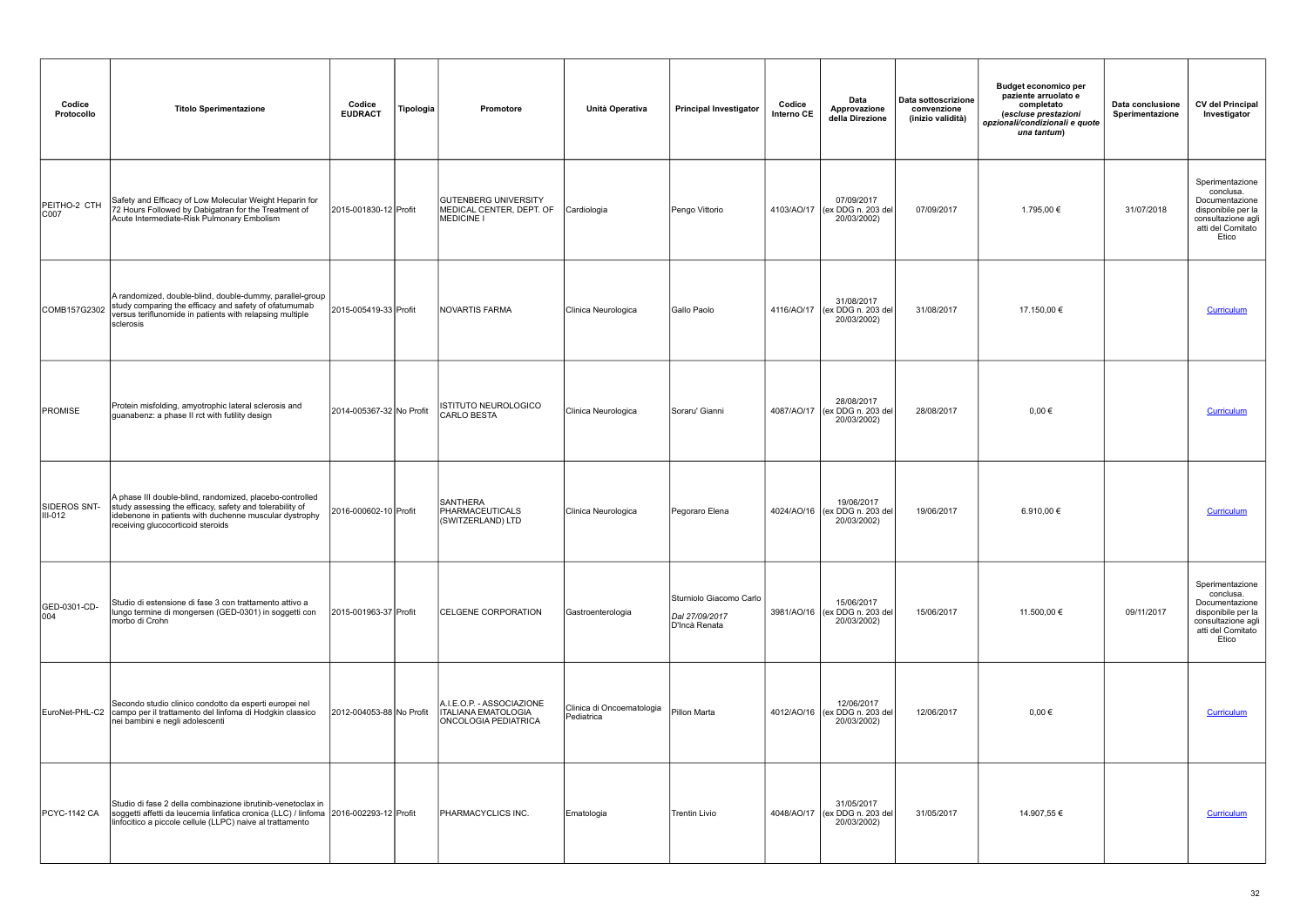| Codice<br>Protocollo      | <b>Titolo Sperimentazione</b>                                                                                                                                                                                       | Codice<br><b>EUDRACT</b> | Tipologia | Promotore                                                                       | Unità Operativa                         | <b>Principal Investigator</b>                              | Codice<br>Interno CE | Data<br>Approvazione<br>della Direzione                    | Data sottoscrizione<br>convenzione<br>(inizio validità) | <b>Budget economico per</b><br>paziente arruolato e<br>completato<br>(escluse prestazioni<br>opzionali/condizionali e quote<br>una tantum) | Data conclusione<br>Sperimentazione | <b>CV del Principal</b><br>Investigator                                                                                  |
|---------------------------|---------------------------------------------------------------------------------------------------------------------------------------------------------------------------------------------------------------------|--------------------------|-----------|---------------------------------------------------------------------------------|-----------------------------------------|------------------------------------------------------------|----------------------|------------------------------------------------------------|---------------------------------------------------------|--------------------------------------------------------------------------------------------------------------------------------------------|-------------------------------------|--------------------------------------------------------------------------------------------------------------------------|
| PEITHO-2 CTH<br>C007      | Safety and Efficacy of Low Molecular Weight Heparin for<br>72 Hours Followed by Dabigatran for the Treatment of<br>Acute Intermediate-Risk Pulmonary Embolism                                                       | 2015-001830-12 Profit    |           | <b>GUTENBERG UNIVERSITY</b><br>MEDICAL CENTER, DEPT. OF<br><b>MEDICINE I</b>    | Cardiologia                             | Pengo Vittorio                                             |                      | 07/09/2017<br>4103/AO/17 (ex DDG n. 203 del<br>20/03/2002) | 07/09/2017                                              | 1.795,00 €                                                                                                                                 | 31/07/2018                          | Sperimentazione<br>conclusa.<br>Documentazione<br>disponibile per la<br>consultazione agli<br>atti del Comitato<br>Etico |
| COMB157G2302              | A randomized, double-blind, double-dummy, parallel-group<br>study comparing the efficacy and safety of ofatumumab<br>versus teriflunomide in patients with relapsing multiple<br>sclerosis                          | 2015-005419-33 Profit    |           | NOVARTIS FARMA                                                                  | Clinica Neurologica                     | Gallo Paolo                                                |                      | 31/08/2017<br>4116/AO/17 (ex DDG n. 203 del<br>20/03/2002) | 31/08/2017                                              | 17.150,00 €                                                                                                                                |                                     | Curriculum                                                                                                               |
| PROMISE                   | Protein misfolding, amyotrophic lateral sclerosis and<br>guanabenz: a phase II rct with futility design                                                                                                             | 2014-005367-32 No Profit |           | ISTITUTO NEUROLOGICO<br><b>CARLO BESTA</b>                                      | Clinica Neurologica                     | Soraru' Gianni                                             |                      | 28/08/2017<br>4087/AO/17 (ex DDG n. 203 del<br>20/03/2002) | 28/08/2017                                              | $0.00 \in$                                                                                                                                 |                                     | Curriculum                                                                                                               |
| SIDEROS SNT-<br>$III-012$ | A phase III double-blind, randomized, placebo-controlled<br>study assessing the efficacy, safety and tolerability of<br>idebenone in patients with duchenne muscular dystrophy<br>receiving glucocorticoid steroids | 2016-000602-10 Profit    |           | <b>SANTHERA</b><br>PHARMACEUTICALS<br>(SWITZERLAND) LTD                         | Clinica Neurologica                     | Pegoraro Elena                                             |                      | 19/06/2017<br>4024/AO/16 (ex DDG n. 203 del<br>20/03/2002) | 19/06/2017                                              | 6.910,00€                                                                                                                                  |                                     | Curriculum                                                                                                               |
| GED-0301-CD-<br>004       | Studio di estensione di fase 3 con trattamento attivo a<br>lungo termine di mongersen (GED-0301) in soggetti con<br>morbo di Crohn                                                                                  | 2015-001963-37 Profit    |           | <b>CELGENE CORPORATION</b>                                                      | Gastroenterologia                       | Sturniolo Giacomo Carlo<br>Dal 27/09/2017<br>D'Incà Renata |                      | 15/06/2017<br>3981/AO/16 (ex DDG n. 203 del<br>20/03/2002) | 15/06/2017                                              | 11.500,00 €                                                                                                                                | 09/11/2017                          | Sperimentazione<br>conclusa.<br>Documentazione<br>disponibile per la<br>consultazione agli<br>atti del Comitato<br>Etico |
|                           | Secondo studio clinico condotto da esperti europei nel<br>EuroNet-PHL-C2 campo per il trattamento del linfoma di Hodgkin classico<br>nei bambini e negli adolescenti                                                | 2012-004053-88 No Profit |           | A.I.E.O.P. - ASSOCIAZIONE<br><b>ITALIANA EMATOLOGIA</b><br>ONCOLOGIA PEDIATRICA | Clinica di Oncoematologia<br>Pediatrica | Pillon Marta                                               |                      | 12/06/2017<br>4012/AO/16 (ex DDG n. 203 del<br>20/03/2002) | 12/06/2017                                              | $0.00 \in$                                                                                                                                 |                                     | Curriculum                                                                                                               |
| <b>PCYC-1142 CA</b>       | Studio di fase 2 della combinazione ibrutinib-venetoclax in<br>soggetti affetti da leucemia linfatica cronica (LLC) / linfoma 2016-002293-12 Profit<br>linfocitico a piccole cellule (LLPC) naive al trattamento    |                          |           | <b>PHARMACYCLICS INC.</b>                                                       | Ematologia                              | Trentin Livio                                              |                      | 31/05/2017<br>4048/AO/17 (ex DDG n. 203 del<br>20/03/2002) | 31/05/2017                                              | 14.907,55 €                                                                                                                                |                                     | Curriculum                                                                                                               |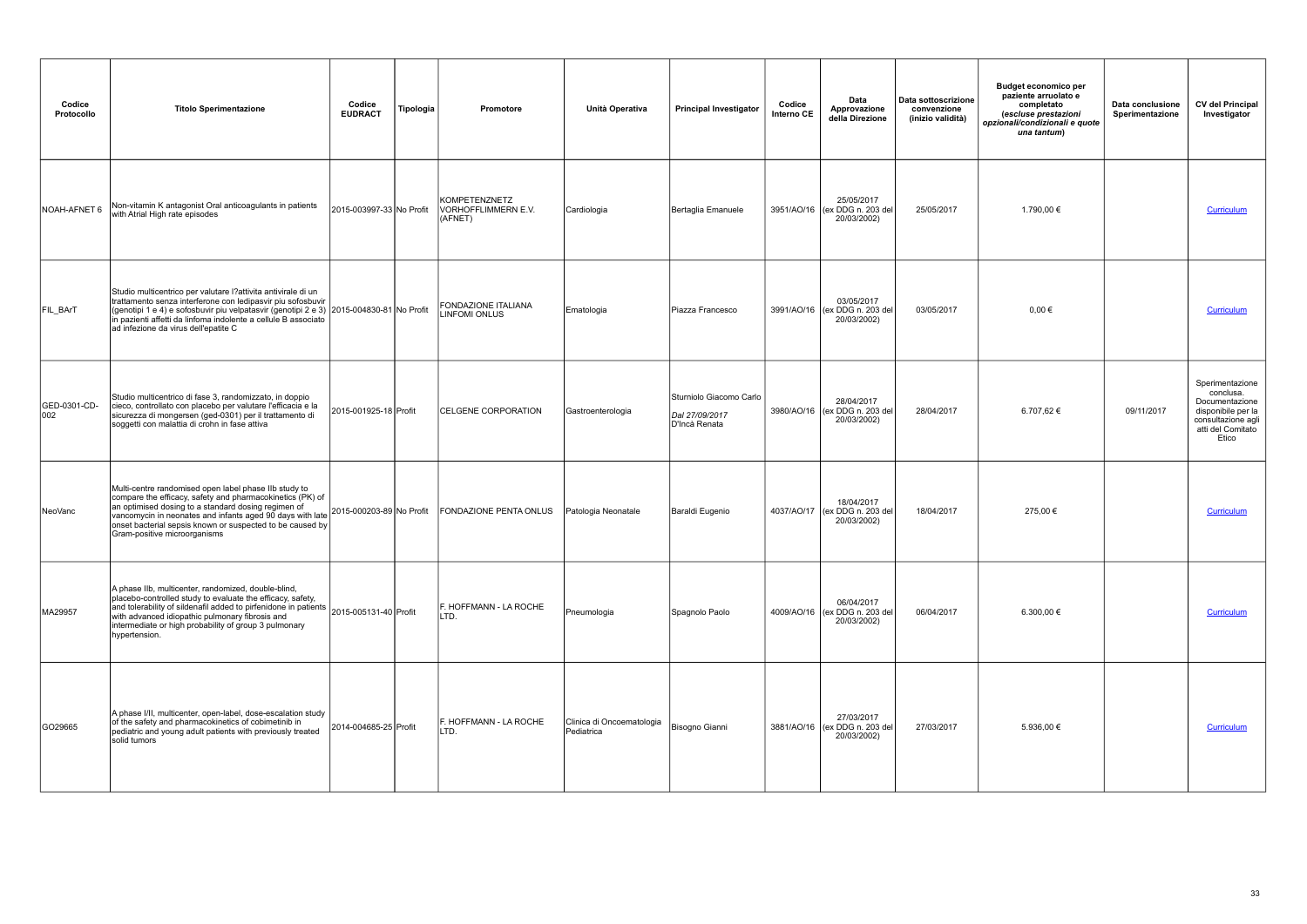| Codice<br>Protocollo | <b>Titolo Sperimentazione</b>                                                                                                                                                                                                                                                                                                           | Codice<br><b>EUDRACT</b> | Tipologia | Promotore                                       | Unità Operativa                         | <b>Principal Investigator</b>                              | Codice<br>Interno CE | Data<br>Approvazione<br>della Direzione                    | Data sottoscrizione<br>convenzione<br>(inizio validità) | <b>Budget economico per</b><br>paziente arruolato e<br>completato<br>(escluse prestazioni<br>opzionali/condizionali e quote<br>una tantum) | Data conclusione<br>Sperimentazione | <b>CV del Principal</b><br>Investigator                                                                                  |
|----------------------|-----------------------------------------------------------------------------------------------------------------------------------------------------------------------------------------------------------------------------------------------------------------------------------------------------------------------------------------|--------------------------|-----------|-------------------------------------------------|-----------------------------------------|------------------------------------------------------------|----------------------|------------------------------------------------------------|---------------------------------------------------------|--------------------------------------------------------------------------------------------------------------------------------------------|-------------------------------------|--------------------------------------------------------------------------------------------------------------------------|
| NOAH-AFNET 6         | Non-vitamin K antagonist Oral anticoagulants in patients<br>with Atrial High rate episodes                                                                                                                                                                                                                                              | 2015-003997-33 No Profit |           | KOMPETENZNETZ<br>VORHOFFLIMMERN E.V.<br>(AFNET) | Cardiologia                             | Bertaglia Emanuele                                         |                      | 25/05/2017<br>3951/AO/16 (ex DDG n. 203 del<br>20/03/2002) | 25/05/2017                                              | 1.790,00 €                                                                                                                                 |                                     | Curriculum                                                                                                               |
| FIL_BArT             | Studio multicentrico per valutare l?attivita antivirale di un<br>trattamento senza interferone con ledipasvir piu sofosbuvir<br>(genotipi 1 e 4) e sofosbuvir piu velpatasvir (genotipi 2 e 3) 2015-004830-81 No Profit<br>in pazienti affetti da linfoma indolente a cellule B associato<br>ad infezione da virus dell'epatite C       |                          |           | FONDAZIONE ITALIANA<br><b>LINFOMI ONLUS</b>     | Ematologia                              | Piazza Francesco                                           |                      | 03/05/2017<br>3991/AO/16 (ex DDG n. 203 del<br>20/03/2002) | 03/05/2017                                              | $0,00 \in$                                                                                                                                 |                                     | Curriculum                                                                                                               |
| GED-0301-CD-<br>002  | Studio multicentrico di fase 3, randomizzato, in doppio<br>cieco, controllato con placebo per valutare l'efficacia e la<br>sicurezza di mongersen (ged-0301) per il trattamento di<br>soggetti con malattia di crohn in fase attiva                                                                                                     | 2015-001925-18 Profit    |           | <b>CELGENE CORPORATION</b>                      | Gastroenterologia                       | Sturniolo Giacomo Carlo<br>Dal 27/09/2017<br>D'Incà Renata |                      | 28/04/2017<br>3980/AO/16 (ex DDG n. 203 del<br>20/03/2002) | 28/04/2017                                              | 6.707,62 €                                                                                                                                 | 09/11/2017                          | Sperimentazione<br>conclusa.<br>Documentazione<br>disponibile per la<br>consultazione agli<br>atti del Comitato<br>Etico |
| NeoVanc              | Multi-centre randomised open label phase IIb study to<br>compare the efficacy, safety and pharmacokinetics (PK) of<br>an optimised dosing to a standard dosing regimen of<br>vancomycin in neonates and infants aged 90 days with late<br>onset bacterial sepsis known or suspected to be caused by<br>Gram-positive microorganisms     | 2015-000203-89 No Profit |           | FONDAZIONE PENTA ONLUS                          | Patologia Neonatale                     | Baraldi Eugenio                                            |                      | 18/04/2017<br>4037/AO/17 (ex DDG n. 203 del<br>20/03/2002) | 18/04/2017                                              | 275,00 €                                                                                                                                   |                                     | Curriculum                                                                                                               |
| MA29957              | A phase IIb, multicenter, randomized, double-blind,<br>placebo-controlled study to evaluate the efficacy, safety,<br>and tolerability of sildenafil added to pirfenidone in patients 2015-005131-40 Profit<br>with advanced idiopathic pulmonary fibrosis and<br>intermediate or high probability of group 3 pulmonary<br>hypertension. |                          |           | F. HOFFMANN - LA ROCHE<br>LTD.                  | Pneumologia                             | Spagnolo Paolo                                             |                      | 06/04/2017<br>4009/AO/16 (ex DDG n. 203 del<br>20/03/2002) | 06/04/2017                                              | 6.300,00 €                                                                                                                                 |                                     | Curriculum                                                                                                               |
| GO29665              | A phase I/II, multicenter, open-label, dose-escalation study<br>of the safety and pharmacokinetics of cobimetinib in<br>pediatric and young adult patients with previously treated<br>solid tumors                                                                                                                                      | 2014-004685-25 Profit    |           | F. HOFFMANN - LA ROCHE<br>LTD.                  | Clinica di Oncoematologia<br>Pediatrica | Bisogno Gianni                                             |                      | 27/03/2017<br>3881/AO/16 (ex DDG n. 203 del<br>20/03/2002) | 27/03/2017                                              | 5.936,00 €                                                                                                                                 |                                     | <b>Curriculum</b>                                                                                                        |